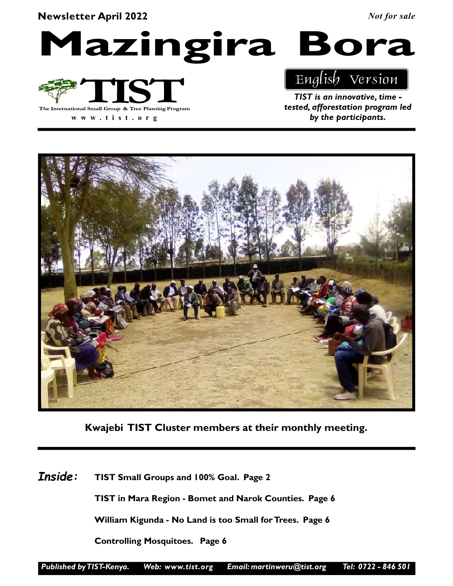#### Newsletter April 2022

Not for sale

Mazingira Bora



w w w . t i s t . o r g

### English Version

TIST is an innovative, time tested, afforestation program led by the participants.



Kwajebi TIST Cluster members at their monthly meeting.

TIST Small Groups and 100% Goal. Page 2 Inside:

TIST in Mara Region - Bomet and Narok Counties. Page 6

William Kigunda - No Land is too Small for Trees. Page 6

Controlling Mosquitoes. Page 6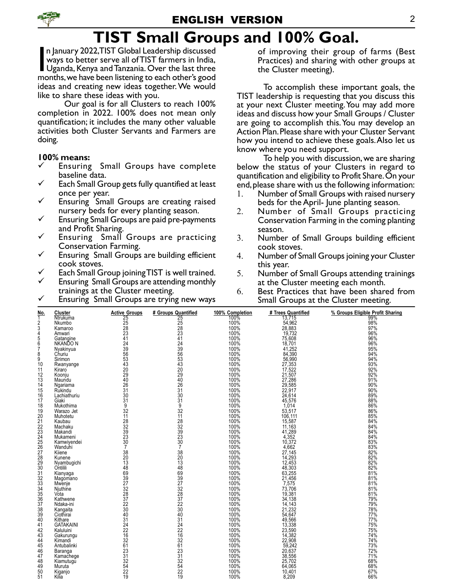

# TIST Small Groups and 100% Goal.

In January 2022, TIST Global Leadership discussed<br>ways to better serve all of TIST farmers in India,<br>Uganda, Kenya and Tanzania. Over the last three<br>months, we have been listening to each other's good n January 2022, TIST Global Leadership discussed ways to better serve all of TIST farmers in India, Uganda, Kenya and Tanzania. Over the last three ideas and creating new ideas together. We would like to share these ideas with you.

Our goal is for all Clusters to reach 100% completion in 2022. 100% does not mean only quantification; it includes the many other valuable activities both Cluster Servants and Farmers are doing.

#### 100% means:

- $\checkmark$  Ensuring Small Groups have complete baseline data.
- Each Small Group gets fully quantified at least once per year.
- Ensuring Small Groups are creating raised nursery beds for every planting season.
- Ensuring Small Groups are paid pre-payments and Profit Sharing.
- $\checkmark$  Ensuring Small Groups are practicing Conservation Farming.
- Ensuring Small Groups are building efficient cook stoves.

Each Small Group joining TIST is well trained.

- Ensuring Small Groups are attending monthly trainings at the Cluster meeting.
- Ensuring Small Groups are trying new ways

of improving their group of farms (Best Practices) and sharing with other groups at the Cluster meeting).

To accomplish these important goals, the TIST leadership is requesting that you discuss this at your next Cluster meeting. You may add more ideas and discuss how your Small Groups / Cluster are going to accomplish this. You may develop an Action Plan. Please share with your Cluster Servant how you intend to achieve these goals. Also let us know where you need support.

To help you with discussion, we are sharing below the status of your Clusters in regard to quantification and eligibility to Profit Share. On your end, please share with us the following information:

- 1. Number of Small Groups with raised nursery beds for the April- June planting season.
- 2. Number of Small Groups practicing Conservation Farming in the coming planting season.
- 3. Number of Small Groups building efficient cook stoves.
- 4. Number of Small Groups joining your Cluster this year.
- 5. Number of Small Groups attending trainings at the Cluster meeting each month.
- 6. Best Practices that have been shared from Small Groups at the Cluster meeting.

| No.             | Cluster               | <b>Active Groups</b> | # Groups Quantified | 100% Completion | # Trees Quantified                | % Groups Eligible Profit Sharing |
|-----------------|-----------------------|----------------------|---------------------|-----------------|-----------------------------------|----------------------------------|
| 1               | Ntrukuma              | $\frac{25}{25}$      | 25                  | 100%            | $\frac{73,715}{54,962}$<br>28,883 | 99%<br>98%                       |
| 2               | Nkumbo                |                      | 25                  | 100%            |                                   |                                  |
| 3               | Kamaroo               | $\overline{28}$      | $\overline{28}$     | 100%            |                                   | 97%                              |
| 4               | Amwari                | $\frac{23}{41}$      | 23                  | 100%            | 19,732                            | 96%<br>96%                       |
| 5               | Gatangine<br>NKANDO N |                      | 41                  | 100%            | 75,608                            |                                  |
| 6               |                       | 24                   | 24                  | 100%            | 18,701                            | 96%                              |
| 7               | Nyakinyua             | $\frac{1}{39}$       | 39<br>56            | 100%<br>100%    | 41,252                            | 95%<br>94%                       |
| 8               | Churiu                |                      |                     |                 |                                   |                                  |
| 9               | Sirimon               | 53                   | 53                  | 100%            | 56,990                            | 94%                              |
| 10              | Rwanyange             | $\frac{43}{20}$      | $^{43}_{20}$        | 100%<br>100%    | 27,353                            | 93%<br>92%                       |
| 11              | Kiraro                |                      |                     |                 | 17,522                            |                                  |
| 12              | Koonju                | 29                   | 29                  | 100%            | 21,507                            | 92%                              |
| 13              | Maundu                | 40                   | 40                  | 100%<br>100%    | 27,286                            | 91%<br>90%                       |
| 14              | Ngariama              | 26                   | 26                  |                 | 29,585                            |                                  |
| 15              | Rukindu               | 31                   | 31                  | 100%            | 22,917                            | 90%                              |
| 16              | Lachiathuriu          | 30                   | 30                  | 100%<br>100%    | 24.614                            | $\frac{89\%}{88\%}$              |
| 17              | Giaki                 | 31                   | 31                  |                 | 45,576                            |                                  |
| 18              | Mukothima             | 9                    | 9                   | 100%            | 1.014                             | 86%                              |
| 19              | Warazo Jet            | 32                   | 32                  | 100%<br>100%    | 53,517                            | 86%<br>85%                       |
| 20              | Muhotetu              | 11                   | 11                  |                 | 106,111                           |                                  |
| 21              | Kaubau                | 28                   | 28                  | 100%            | 15,587                            | 84%                              |
| 22              | Machaku               | $\frac{32}{39}$      | $\overline{32}$     | 100%<br>100%    | 11.163                            | 84%<br>84%                       |
| 23              | Makandi               |                      | 39                  |                 | 41,289                            |                                  |
| 24              | Mukameni              | 23                   | 23                  | 100%            | 4,352                             | 84%                              |
| $\frac{25}{26}$ | Kamwiyendei           | 30                   | 30                  | 100%<br>100%    | 10.372                            | 83%<br>83%                       |
|                 | Wanduhi               | 7                    | 7                   |                 | 4,662                             |                                  |
| 27              | Kiiene                | 38                   | 38                  | 100%            | 27,145                            | 82%                              |
| 28              | Kunene                | 20                   | 20                  | 100%<br>100%    | 14,293                            | 82%<br>82%                       |
| 29              | Nyambugichi           | 13                   | 13                  |                 | 12,453                            |                                  |
| 30              | Ontilili              | 48                   | 48                  | 100%            | 48,303                            | 82%                              |
| 31              | Kianyaga              | $\frac{69}{39}$      | 69<br>39            | 100%<br>100%    | 63,255<br>21,456                  | 81%                              |
| 32              | Magómano              |                      |                     |                 |                                   | 81%                              |
| 33              | Mwenje                | $\frac{5}{27}$       | 27                  | 100%            | 7,575                             | 81%                              |
| 34              | Njuthine              | $\frac{32}{28}$      | $\frac{32}{28}$     | 100%            | 73,706                            | 81%                              |
| 35              | Vota                  |                      |                     | 100%            | 19,381                            | 81%                              |
| 36              | Kathwene              | $\overline{37}$      | 37                  | 100%            | 34,138                            | 79%                              |
| 37              | Ndaka-ini             | $\frac{22}{30}$      | $\frac{22}{30}$     | 100%<br>100%    | 14.143                            | 79%                              |
| 38              | Kangaita              |                      |                     |                 | 21,232                            | 78%                              |
| 39              | Ciothirai             | 40                   | 40                  | 100%            | 54,647                            | 77%                              |
| 40              | Kithare               | 31                   | 31                  | 100%<br>100%    | 49,566                            | 77%                              |
| 41              | <b>GATAKAINI</b>      | $\frac{24}{22}$      | 24                  |                 | 13,338                            | 75%                              |
| 42              | Kaluluini             |                      | $\overline{2}2$     | 100%            | 23,590                            | 75%                              |
| 43              | Gakurungu             | $\frac{16}{32}$      | 16                  | 100%<br>100%    | 14,382<br>22,908                  | 74%<br>74%                       |
| 44              | Kimandi               |                      | 32                  |                 |                                   |                                  |
| 45              | Antubalinki           | 61                   | 61                  | 100%            | 59,242                            | 73%                              |
| 46              | Baranga               | 23                   | 23                  | 100%            | 20.637                            | 72%                              |
| 47              | Kamachege             | 31                   | 31                  | 100%            | 38,556                            | 71%                              |
| 48              | Kiamutugu             | 32                   | 32                  | 100%            | 25,702                            | 68%                              |
| 49              | Muruta                | $\frac{54}{22}$      | $\frac{54}{22}$     | 100%            | 64,065                            | 68%                              |
| 50              | Kiganjo               |                      |                     | 100%            | 10,401                            | 67%                              |
| 51              | Kilia                 | 19                   | 19                  | 100%            | 8,209                             | 66%                              |
|                 |                       |                      |                     |                 |                                   |                                  |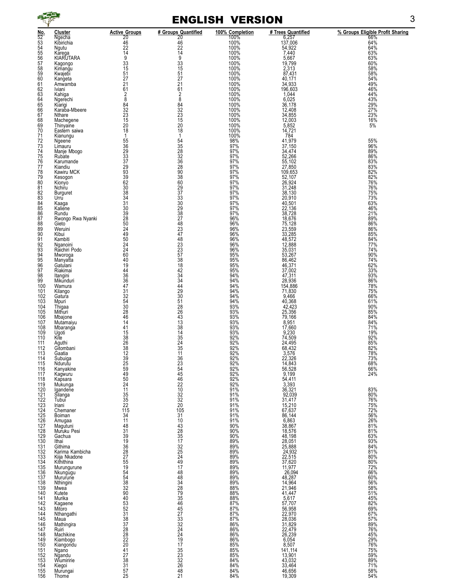

|            |                            |                                               | <b>ENGLISH VERSION</b>                                         |                 |                                                                                                                           |                                  |  |  |
|------------|----------------------------|-----------------------------------------------|----------------------------------------------------------------|-----------------|---------------------------------------------------------------------------------------------------------------------------|----------------------------------|--|--|
| <u>No.</u> | Cluster                    | <b>Active Groups</b>                          | # Groups Quantified                                            | 100% Completion | # Trees Quantified                                                                                                        | % Groups Eligible Profit Sharing |  |  |
| 52         | Ngecha<br>Kibirichia       | 20<br>46<br>22                                | 20                                                             | 100%<br>100%    | 6,257                                                                                                                     | 66%<br>64%                       |  |  |
| 53<br>54   | Ngutu                      |                                               | $\frac{46}{22}$                                                | 100%            | $137,006$<br>54,922                                                                                                       | 64%                              |  |  |
| 55         | Karega<br>KIARUTARA        | $\begin{array}{c} 14 \\ 9 \end{array}$        | 14                                                             | 100%<br>100%    | 7,440<br>5,667                                                                                                            | 63%<br>63%                       |  |  |
| 56<br>57   | Kagongo                    | $\check{33}$                                  | $\frac{9}{33}$                                                 | 100%            | 19,799                                                                                                                    | 60%                              |  |  |
| 58         | Kimangu                    | 15                                            | 15<br>51<br>27<br>21<br>61                                     | 100%            | 2,313<br>87,431<br>40,171                                                                                                 | 58%                              |  |  |
| 59<br>60   | Kwajebi<br>Kangeta         | $\frac{51}{27}$                               |                                                                | 100%<br>100%    |                                                                                                                           | 58%<br>54%                       |  |  |
| 61         | Amwamba                    | $\overline{2}$ 1                              |                                                                | 100%            | 34,933<br>196,603<br>1,044                                                                                                | 49%<br>46%                       |  |  |
| 62<br>63   | Iviani<br>Kahiga           | 61<br>$\overline{2}$                          | $\overline{c}$                                                 | 100%<br>100%    |                                                                                                                           | 44%                              |  |  |
| 64         | Ngerechi                   | 8                                             | 8                                                              | 100%            |                                                                                                                           | 43%                              |  |  |
| 65         | Kiarigi<br>Karaba-Mbeere   | 84                                            | $\frac{84}{32}$                                                | 100%            | 6,025<br>36,178                                                                                                           | 29%<br>27%                       |  |  |
| 66<br>67   | Nthare                     | $\overline{3}\overline{2}$<br>$\overline{23}$ |                                                                | 100%<br>100%    | 12,408                                                                                                                    | 23%                              |  |  |
| 68         | Machegene                  | $\frac{15}{20}$                               | $\frac{23}{15}$                                                | 100%            | 34,855<br>12,003                                                                                                          | 16%                              |  |  |
| 69<br>70   | Thinyaine<br>Eastern saiwa | 18                                            | 18                                                             | 100%<br>100%    | 5,852<br>14,721                                                                                                           | 5%                               |  |  |
|            | Kianungu                   | 1                                             | $\mathbf{1}$                                                   | 100%            |                                                                                                                           |                                  |  |  |
| 71<br>72   | Ngeene                     | $5\overline{5}$                               | 54                                                             | 98%             | 784<br>41,979                                                                                                             | 55%                              |  |  |
| 73<br>74   | Limauru<br>Manje Mbogo     | $\frac{36}{29}$                               | 35<br>28<br>32                                                 | 97%<br>97%      | 37,150<br>34,474                                                                                                          | 96%<br>89%                       |  |  |
| 75         | Rubate                     |                                               |                                                                | 97%             | 52,266                                                                                                                    | 86%                              |  |  |
| 76<br>77   | Karumande<br>Kiandiu       |                                               |                                                                | 97%             |                                                                                                                           | 83%                              |  |  |
| 78         | Kawiru MCK                 | 37<br>29<br>93<br>39<br>39<br>62              | 36<br>28<br>90                                                 | 97%<br>97%      | 55,102<br>27,850<br>109,653                                                                                               | 83%<br>82%                       |  |  |
| 79         | Kesogon                    |                                               |                                                                | 97%             | $52,107$<br>$26,924$<br>$31,248$<br>$38,130$<br>$20,910$<br>$40,501$                                                      | 82%                              |  |  |
| 80<br>81   | Kionyo<br>Nchiru           | $\overline{30}$                               |                                                                | 97%<br>97%      |                                                                                                                           | 76%<br>76%                       |  |  |
| 82         | Burguret                   | $\overline{38}$                               |                                                                | 97%             |                                                                                                                           | 75%                              |  |  |
| 83<br>84   | Urru<br>Kaaga              | 34<br>$\overline{31}$                         |                                                                | 97%<br>97%      |                                                                                                                           | 73%<br>63%                       |  |  |
| 85         | Kaliene                    |                                               | 38602937330293827482347                                        | 97%             |                                                                                                                           | 46%                              |  |  |
| 86<br>87   | Rundu<br>Rwongo Rwa Nyanki | $\frac{30}{39}$                               |                                                                | 97%<br>96%      | 22,136<br>38,728<br>18,676                                                                                                | 21%<br>89%                       |  |  |
| 88         | Gieto                      |                                               |                                                                | 96%             |                                                                                                                           | 86%                              |  |  |
| 89<br>90   | Weruini                    | $\frac{50}{24}$                               |                                                                | 96%             | 75,128<br>23,559<br>33,285                                                                                                | 86%                              |  |  |
| 91         | Kibui<br>Kambiti           | $\overline{49}$                               |                                                                | 96%<br>96%      |                                                                                                                           | 85%                              |  |  |
| 92         | Nganoini                   | $\frac{50}{24}$                               |                                                                | 96%             | 48,572<br>12,888<br>35,031                                                                                                | 84%<br>77%<br>74%                |  |  |
| 93<br>94   | Raichiri Podo              | 60                                            |                                                                | 96%<br>95%      |                                                                                                                           | 90%                              |  |  |
| 95         | Mworoga                    | 40                                            | 48<br>23<br>25<br>57<br>38<br>42<br>42<br>34<br>44<br>29<br>30 | 95%             | $\frac{53,267}{86,462}$<br>$\frac{46,371}{9,321}$                                                                         |                                  |  |  |
| 96         | Manyatta<br>Gatulani       | 19                                            |                                                                | 95%             |                                                                                                                           | 74%<br>62%                       |  |  |
| 97<br>98   | Riakimai<br>Itangini       | 44<br>36                                      |                                                                | 95%<br>94%      | 37,002                                                                                                                    | 33%<br>93%                       |  |  |
| 99         | Mikunduri                  | $\overline{36}$                               |                                                                | 94%             | 47,311<br>28,936<br>154,886<br>71,830                                                                                     | 86%                              |  |  |
| 100<br>101 | Wamura                     | $\frac{47}{31}$                               |                                                                | 94%<br>94%      |                                                                                                                           | 78%                              |  |  |
| 102        | Kilango<br>Gatura          | $\overline{3}\overline{2}$                    |                                                                | 94%             | 9,466                                                                                                                     | 75%<br>66%                       |  |  |
| 103<br>104 | Mpuri                      |                                               |                                                                | 94%<br>93%      |                                                                                                                           | 61%<br>90%                       |  |  |
| 105        | Thigaa<br>Mithuri          | $\frac{54}{30}$                               | 51<br>28<br>26<br>43<br>43<br>38                               | 93%             | 40,368<br>42,423<br>25,356<br>79,166<br>8,951<br>7,660                                                                    | 85%                              |  |  |
| 106        | Mbajone                    | 46                                            |                                                                | 93%             |                                                                                                                           | 84%<br>84%<br>71%                |  |  |
| 107<br>108 | Mutamaiyu<br>Mbaranga      | 14<br>41                                      |                                                                | 93%<br>93%      |                                                                                                                           |                                  |  |  |
| 109        | Ugoti                      | 15                                            | $\frac{14}{35}$                                                | 93%             | 9,230<br>74,509                                                                                                           | 19%                              |  |  |
| 110<br>111 | Kite<br>Aguthi             | 38<br>$\overline{26}$                         | 24                                                             | 92%<br>92%      | 24,495                                                                                                                    | 92%<br>85%                       |  |  |
| 112        | Gitombani                  |                                               | $\frac{35}{11}$                                                | 92%             | 68,432                                                                                                                    | 82%                              |  |  |
| 113<br>114 | Gaatia                     | 38<br>12<br>39                                | 36                                                             | 92%<br>92%      | 3,576<br>22,326<br>14,843<br>56,528<br>9,199<br>54,411<br>3,332<br>30,039<br>31,417<br>5,210<br>67,637<br>86,144<br>6,863 | 78%<br>73%                       |  |  |
| 115        | Subuiga<br>Ndurutu         |                                               |                                                                | 92%             |                                                                                                                           | 68%                              |  |  |
| 116        | Kanyakine                  | 25<br>59<br>49                                | 23<br>54<br>54<br>46<br>46<br>22<br>10                         | 92%             |                                                                                                                           | 66%                              |  |  |
| 117<br>118 | Kagwuru<br>Kapsara         | 50                                            |                                                                | 92%<br>92%      |                                                                                                                           | 24%                              |  |  |
| 119        | Mukunga                    | 24                                            |                                                                | 92%             |                                                                                                                           |                                  |  |  |
| 120<br>121 | Igandene<br>Silanga        | 11<br>35                                      |                                                                | 91%<br>91%      |                                                                                                                           | 83%<br>80%                       |  |  |
|            | Tubui                      | $\frac{35}{22}$                               | $\frac{32}{32}$                                                | 91%             |                                                                                                                           | 76%                              |  |  |
| 122<br>123 | Iriani                     |                                               |                                                                | 91%             |                                                                                                                           | 75%                              |  |  |
| 124        | Chemaner<br>Boiman         | 115<br>34                                     | 105<br>31                                                      | 91%<br>91%      |                                                                                                                           | 72%                              |  |  |
| 125<br>126 | Amugaa                     | 11                                            | 10                                                             | 91%             |                                                                                                                           | 56%<br>26%                       |  |  |
| 127<br>128 | Magutuni<br>Muruku Pesi    | 48<br>31                                      |                                                                | 90%<br>90%      |                                                                                                                           | 81%<br>81%                       |  |  |
| 129        | Gachua                     | 39                                            | $43$<br>$28$<br>$35$                                           | 90%             | 38,867<br>18,576<br>48,198<br>28,051<br>25,888<br>24,932                                                                  | 63%                              |  |  |
| 130        | Ithai                      | 19                                            | 17<br>32<br>25<br>24<br>49<br>17                               | 89%             |                                                                                                                           | 93%                              |  |  |
| 131<br>132 | Githima<br>Karima Kambicha | 36<br>$\tilde{2} \tilde{8}$                   |                                                                | 89%<br>89%      |                                                                                                                           | 84%<br>81%                       |  |  |
| 133        | Kiija Nkadone              | 27                                            |                                                                | 89%             |                                                                                                                           | 80%                              |  |  |
| 134<br>135 | Kithithina<br>Murungurune  | 55<br>$\overline{19}$                         |                                                                | 89%<br>89%      |                                                                                                                           | 80%<br>72%                       |  |  |
| 136        | Nkungugu                   | 54                                            | 48                                                             | 89%             |                                                                                                                           | 66%                              |  |  |
| 137<br>138 | Mururune                   | 54<br>$\overline{38}$                         | 48<br>34                                                       | 89%<br>89%      | 24, 532<br>22, 515<br>37, 620<br>11, 977<br>26, 094<br>48, 287<br>14, 964<br>14, 964                                      | 60%<br>56%                       |  |  |
| 139        | Nthingini<br>Mwea          | 32                                            | 28                                                             | 88%             |                                                                                                                           | 58%                              |  |  |
| 140        | Kutete                     | 90                                            | 79                                                             | 88%             | 21,946                                                                                                                    | 51%                              |  |  |

141 Murika - 140 40 35 88% 5,617 5,617 45% 45% 142 Kagaene 53 46 87% 57,707 82% 113 Mitoro 52 52 45 87% 56,958 69% 69% 69% 69% 144 Nthangathi 31 27 87% 22,970 67% 115 Maua 38 38 33 - 37% 28,036 28,036 37% 34,000 37% 34,036 37% 37% 37% 146 Mathingira 37 32 86% 31,829 89% 147 Ruiri 28 24 86% 22,479 76% 148 Machikine 28 24 86% 26,239 45% 149 Kiambogo 22 19 86% 6,054 29% 150 Kiangondu 20 17 85% 8,507 76% 151 Ngano - 1200 135 15% 141,114 15% 15% 15% 15% 15% 15% 15% 15% 15% 16% 16% 175% 175% 152 Ngandu 27 23 85% 13,901 59% 153 Wiumiririe 38 32 84% 43,032 89% 154 Kiegoi – 1910 – 1920 – 1930 – 194% – 1946 – 1950 – 1960 – 1974 – 1980 – 1980 – 1980 – 1980 – 1980 – 1980 –<br>154 Kiegoi – 1910 – 1910 – 1920 – 1930 – 1946 – 1950 – 1960 – 1974 – 1980 – 1980 – 1980 – 1980 – 1980 – 1980 – 155 Murungai 57 48 84% 46,656 58% 156 Thome 25 25 21 21 84% 19,309 20 21 25 34% 19,300 20 21 34%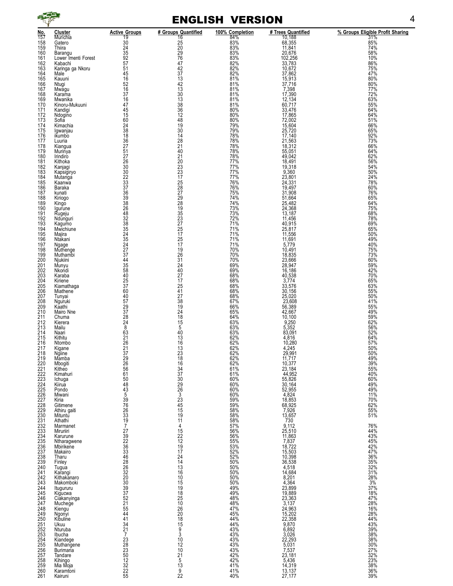

#### ENGLISH VERSION 4

| <u>No.</u><br>157                                     | Cluster<br><b>Murichia</b>          | <b>Active Groups</b>                                           | # Groups Quantified                     | 100% Completion            | # Trees Quantified                                                                                                                                                                                                                                 | % Groups Eligible Profit Sharing<br>31% |
|-------------------------------------------------------|-------------------------------------|----------------------------------------------------------------|-----------------------------------------|----------------------------|----------------------------------------------------------------------------------------------------------------------------------------------------------------------------------------------------------------------------------------------------|-----------------------------------------|
| 158                                                   | Gatero                              | 19<br>30<br>24<br>35<br>92<br>57                               | 16<br>25<br>20<br>29<br>76<br>47        | 84%<br>83%<br>83%          | $\frac{10,188}{68,355}$<br>68,355<br>11,841                                                                                                                                                                                                        | 85%<br>74%                              |
| 159<br>160                                            | Thiira<br>Barangu                   |                                                                |                                         |                            |                                                                                                                                                                                                                                                    |                                         |
| 161                                                   | Lower Imenti Forest                 |                                                                |                                         | 83%<br>83%<br>82%          | $20,676$<br>$102,256$<br>$33,783$                                                                                                                                                                                                                  | 58%<br>10%                              |
| 162<br>163                                            | Kabachi<br>Karinga ga Nkoru         | 51                                                             | 42                                      |                            |                                                                                                                                                                                                                                                    | 86%<br>75%                              |
| 164<br>165                                            | Male<br>Kauuni                      | $\frac{45}{16}$                                                | 37<br>$\overline{13}$                   | 82%<br>82%<br>81%          | 10,672<br>37,862<br>15,913                                                                                                                                                                                                                         | 47%<br>80%                              |
| 166                                                   | Ntugi                               | $\frac{52}{16}$                                                |                                         | 81%                        | 37,716                                                                                                                                                                                                                                             | 80%                                     |
| 167<br>168                                            | Mwagu<br>Karama                     | 37                                                             | $\frac{42}{13}$                         | 81%<br>81%                 | $7,398$<br>$17,390$<br>$12,134$                                                                                                                                                                                                                    | 77%<br>72%                              |
| 169                                                   | Mwanika                             | 16                                                             | $\overline{13}$                         | 81%<br>81%<br>80%          |                                                                                                                                                                                                                                                    | 63%                                     |
| 170<br>171                                            | Kinoru-Mukuuni<br>Kandigi           | 47<br>$\ddot{45}$                                              | 38<br>36                                |                            | 60,717<br>33,476                                                                                                                                                                                                                                   | 55%<br>64%                              |
| 172                                                   | Ndogino<br>Sofia                    | $\frac{15}{60}$                                                | $\overline{12}$                         | 80%<br>80%                 |                                                                                                                                                                                                                                                    | 64%<br>51%                              |
| 173<br>174                                            | Kimachia                            | $\frac{24}{38}$<br>$\frac{18}{18}$                             | 48<br>19<br>30                          | 79%                        | 33,476<br>17,865<br>72,002<br>15,604<br>25,720<br>17,140<br>21,563                                                                                                                                                                                 | 66%<br>65%                              |
| 175<br>176                                            | Igwanjau<br>ikumbo                  |                                                                | 14                                      | 79%<br>78%<br>78%          |                                                                                                                                                                                                                                                    | 92%<br>73%                              |
| 177<br>178                                            | Luuria<br>Kiangua                   | 36                                                             | 28<br>21                                | 78%                        |                                                                                                                                                                                                                                                    | 66%                                     |
| 179                                                   | Murinya                             | $\frac{27}{51}$                                                | 40                                      | 78%                        | $\begin{array}{c} 18,312 \\ 55,051 \\ 49,042 \\ 49,42 \end{array}$                                                                                                                                                                                 | 64%<br>62%                              |
| 180<br>181                                            | Irindiro<br>Kithoka                 | 26                                                             | 21<br>20                                | 78%<br>77%                 |                                                                                                                                                                                                                                                    | 56%                                     |
| 182<br>183                                            | Kanjagi<br>Kapsigiryo               | 30<br>30<br>22<br>33<br>37                                     | $\frac{23}{23}$                         | $77\%$<br>$77\%$           | $18,491$<br>$19,318$<br>$9,360$                                                                                                                                                                                                                    | 54%<br>50%                              |
| 184                                                   | Mutanga                             |                                                                | 17                                      | 77%                        | 23,801                                                                                                                                                                                                                                             |                                         |
| 185<br>186                                            | Kaanwa<br>Baraka                    |                                                                | $\begin{array}{c} 25 \\ 28 \end{array}$ | 76%<br>76%                 | 24,331<br>19,497                                                                                                                                                                                                                                   | 24%<br>78%<br>60%                       |
| 187<br>188                                            | kunati                              |                                                                | $\overline{27}$                         | 75%<br>74%<br>74%          | 31,908<br>51,664<br>25,482                                                                                                                                                                                                                         | 76%                                     |
| 189                                                   | Kiriogo<br>Kingo                    |                                                                | $\begin{array}{c} 29 \\ 28 \end{array}$ |                            |                                                                                                                                                                                                                                                    | 65%<br>64%                              |
| 190<br>191                                            | Igurune<br>Rugeju                   |                                                                | $\frac{19}{35}$<br>23                   | 73%                        | 24, 368<br>13, 187<br>11, 456                                                                                                                                                                                                                      | 75%<br>68%                              |
| 192                                                   | Ndunguri                            | 36<br>39<br>38<br>26<br>48<br>32<br>35<br>34<br>35<br>24<br>27 | 27                                      | 73%<br>72%<br>71%          |                                                                                                                                                                                                                                                    | 78%                                     |
| 193<br>194                                            | Kagumo<br>Mwichiune                 |                                                                | $^{25}_{17}$                            | $\frac{71\%}{71\%}$        | 40,915<br>25,817<br>11,556                                                                                                                                                                                                                         | 69%<br>65%<br>50%                       |
| 195<br>196                                            | Majira<br>Ntakani                   |                                                                | 25                                      | 71%                        | 11,691                                                                                                                                                                                                                                             | 49%                                     |
| 197                                                   | Ngage                               |                                                                | 17                                      | 71%                        | 5,779<br>10,491                                                                                                                                                                                                                                    | 40%                                     |
| 198<br>199                                            | Muthenge<br>Muthambi                | 37                                                             | 19<br>26                                | 70%<br>70%<br>70%          |                                                                                                                                                                                                                                                    | 75%<br>73%                              |
| 200<br>201                                            | Njukiini<br>Munyu                   | $\frac{44}{35}$                                                | 31<br>$\overline{24}$                   | 69%                        | 18,835<br>23,666<br>28,947                                                                                                                                                                                                                         | 60%<br>59%                              |
| 202                                                   | Nkondi                              | 58<br>40                                                       | 40                                      | 69%                        | 16,186                                                                                                                                                                                                                                             | 42%<br>70%                              |
| 203<br>204                                            | Karaba<br>Kiriene                   | $rac{25}{37}$                                                  | 27<br>17                                | 68%<br>68%                 | $\frac{40,538}{3,774}$                                                                                                                                                                                                                             | 65%                                     |
| 205<br>206                                            | Kiamathaga<br>Miathene              | 60                                                             | 25<br>41                                | 68%<br>68%                 | 33,576<br>30,156<br>25,020                                                                                                                                                                                                                         | 63%                                     |
| 207                                                   | Tunyai                              | 40                                                             | 27                                      | 68%                        |                                                                                                                                                                                                                                                    | 55%<br>50%                              |
| 208<br>209                                            | Nguruki<br>Kaathi                   | $\frac{57}{29}$                                                | 38                                      | 67%<br>66%                 | 23,608<br>56,389<br>42,667                                                                                                                                                                                                                         | 41%<br>55%                              |
| 210<br>211                                            | Mairo Nne<br>Chuma                  | 28                                                             | $\frac{19}{24}$<br>18                   | 65%                        |                                                                                                                                                                                                                                                    | 49%                                     |
| $^{212}_{213}$                                        | Kierera                             | 24                                                             | 15                                      | 64%<br>63%<br>63%          | $\begin{array}{c} 10,100 \\ 9,250 \\ 5,352 \end{array}$                                                                                                                                                                                            | 59%<br>62%                              |
| 214                                                   | Mailu<br>Naari                      | 8<br>63                                                        | 5<br>40                                 |                            | 83,091                                                                                                                                                                                                                                             | 56%                                     |
| 215<br>216                                            | Kithitu<br>Ntombo                   | $\frac{21}{26}$                                                | 13<br>16                                | 63%<br>62%<br>62%          | 4,816<br>10,280                                                                                                                                                                                                                                    | 52%<br>64%<br>57%                       |
| 217                                                   | Kigane                              | $\overline{21}$                                                | 13                                      | 62%                        | 4,245                                                                                                                                                                                                                                              | 50%                                     |
| 218<br>$\overline{2}$ 19                              | Ngiine<br>Mamba                     | 37<br>29                                                       | 23<br>18                                | 62%<br>62%                 | 29,991<br>11,717                                                                                                                                                                                                                                   | 50%<br>49%                              |
| 220                                                   | Mbogiti                             | 26<br>56                                                       | 16                                      | 62%<br>61%                 | $\begin{array}{c} 10,377 \\ 23,184 \\ 44,952 \end{array}$                                                                                                                                                                                          | 39%<br>55%<br>40%                       |
| 221<br>222                                            | Kitheo<br>Kimahuri                  | $\overline{61}$                                                | $\frac{34}{37}$                         | 61%                        |                                                                                                                                                                                                                                                    |                                         |
| 223                                                   | Ichuga<br>Kiirua                    | 50                                                             | 30<br>29<br>26                          | $60\%$<br>$60\%$<br>$60\%$ | $55,826$<br>30,164<br>52,955<br>4,824<br>18,853<br>68,925                                                                                                                                                                                          | 60%<br>49%<br>49%                       |
| 224<br>225<br>226                                     | Pondo<br>Miwani                     |                                                                | 3                                       |                            |                                                                                                                                                                                                                                                    |                                         |
| 227<br>228                                            | Kiria                               |                                                                | $^{23}_{45}$                            | 60%<br>59%<br>59%          |                                                                                                                                                                                                                                                    | 11%<br>70%<br>62%                       |
| 229                                                   | Gitimene<br>Athiru gaiti            |                                                                | 15                                      |                            |                                                                                                                                                                                                                                                    |                                         |
| 230<br>231                                            | Mituntu<br>Athathi                  |                                                                | 19<br>11                                | 58%<br>58%<br>58%          | 7,926<br>13,657<br>730                                                                                                                                                                                                                             | 55%<br>51%                              |
|                                                       | Marmanet                            |                                                                | 4                                       |                            |                                                                                                                                                                                                                                                    |                                         |
| 232<br>233<br>234                                     | Miruriiri<br>Karurune               |                                                                | $\frac{15}{22}$                         | 57%<br>56%<br>56%          |                                                                                                                                                                                                                                                    | 76%<br>44%<br>43%<br>45%<br>42%<br>47%  |
| 235<br>236<br>237                                     | Ntharagwene<br>Mbirikene            |                                                                | 12                                      |                            |                                                                                                                                                                                                                                                    |                                         |
|                                                       | Makairo                             |                                                                | $^{19}_{17}$                            |                            |                                                                                                                                                                                                                                                    |                                         |
| 238<br>239<br>240                                     | Tharu<br>Finley                     |                                                                | 24<br>14                                |                            |                                                                                                                                                                                                                                                    | 36%<br>35%<br>32%                       |
|                                                       | Tugua                               |                                                                | 13                                      |                            |                                                                                                                                                                                                                                                    |                                         |
| 241<br>$^{242}_{243}$                                 | Karangi<br>Kithakanaro<br>Makomboki |                                                                | 16<br>10                                |                            |                                                                                                                                                                                                                                                    | $\frac{31\%}{28\%}$                     |
| 244                                                   | Itugururu                           |                                                                | 15                                      |                            |                                                                                                                                                                                                                                                    |                                         |
| 245<br>246                                            | Kigucwa                             |                                                                | $\frac{19}{18}$<br>25                   | 49%<br>49%                 |                                                                                                                                                                                                                                                    |                                         |
| 247                                                   | Ciakanyinga<br>Muchege              |                                                                | 10                                      | 48%                        | $9,112$<br>$25,583$<br>$7,837$<br>$18,837$<br>$18,837$<br>$16,503$<br>$16,834$<br>$16,84$<br>$16,84$<br>$14,684$<br>$14,684$<br>$14,864$<br>$23,889$<br>$23,313$<br>$24,963$<br>$25,202$<br>$2,858$<br>$22,358$<br>$25,202$<br>$2,870$<br>$20,899$ |                                         |
| 248<br>249                                            | Kiengu<br>Ngonyi                    |                                                                | 26<br>$\overline{20}$                   | 48%<br>47%<br>45%          |                                                                                                                                                                                                                                                    |                                         |
| 250                                                   | Kibuline                            |                                                                | 18                                      |                            |                                                                                                                                                                                                                                                    |                                         |
| 251<br>252                                            | Ukuu<br>Nturuba                     |                                                                | 15<br>9                                 | $44\%$<br>$44\%$<br>$43\%$ |                                                                                                                                                                                                                                                    |                                         |
|                                                       | Ibucha                              |                                                                | 3<br>10                                 | $43\%$<br>$43\%$<br>$43\%$ | $3,026$<br>$22,293$<br>$5,031$                                                                                                                                                                                                                     |                                         |
|                                                       | Kiandege<br>Muthangene              |                                                                | 12                                      |                            |                                                                                                                                                                                                                                                    |                                         |
|                                                       | <b>Burimaria</b><br>Tandare         |                                                                | 10<br>21                                | $43\%$<br>$42\%$<br>$42\%$ |                                                                                                                                                                                                                                                    |                                         |
| 253<br>254<br>255<br>2567<br>258<br>259<br>260<br>261 | Kihingo<br>Mia Moja                 | 445986639779926384223009972154413273833022543325513225         | 5<br>13                                 |                            | 7,537<br>23,181<br>5,436<br>14,319<br>13,137<br>27,177                                                                                                                                                                                             |                                         |
|                                                       | Karamtoni                           |                                                                | $\frac{9}{22}$                          | $41\%$<br>$41\%$<br>$40\%$ |                                                                                                                                                                                                                                                    | 38%<br>36%<br>39%                       |
|                                                       | Kairuni                             |                                                                |                                         |                            |                                                                                                                                                                                                                                                    |                                         |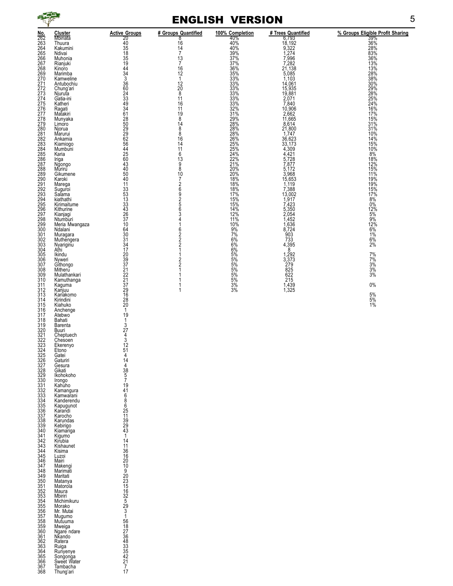

|                                                             |                          |                                        |                     | <b>ENGLISH VERSION</b>   |                                                                                             | 5                                |
|-------------------------------------------------------------|--------------------------|----------------------------------------|---------------------|--------------------------|---------------------------------------------------------------------------------------------|----------------------------------|
| No.                                                         | Cluster                  | <b>Active Groups</b>                   | # Groups Quantified | 100% Completion          | # Trees Quantified                                                                          | % Groups Eligible Profit Sharing |
| 262<br>263                                                  | Mbiriata<br>Thuura       |                                        | $\frac{8}{16}$      | 40%<br>40%               |                                                                                             |                                  |
| 264                                                         | Kakumini                 | 20<br>40<br>35                         | $\frac{14}{7}$      | 40%                      | 6,793<br>18,192<br>9,322                                                                    | 39%<br>36%<br>28%                |
|                                                             | Ndivai<br>Muhonia        | $\frac{18}{35}$                        | 13                  | 39%<br>37%               | 1,274                                                                                       |                                  |
| 265<br>266<br>267<br>268<br>269<br>269<br>270               | Rianjuki                 |                                        | $\overline{7}$      | 37%<br>36%               | $\frac{7,996}{7,282}$<br>21,138                                                             | 83%<br>36%<br>36%<br>13%<br>13%  |
|                                                             | Kinoro<br>Marimba        |                                        | 16<br>12            |                          |                                                                                             |                                  |
|                                                             | Kamweline                | $\frac{19}{34}$                        | $\mathbf{1}$        | 35%<br>33%               | $5,085$<br>$1,103$                                                                          |                                  |
|                                                             | Antubochiu               | $\frac{36}{60}$                        | $\frac{12}{20}$     | 33%<br>33%               |                                                                                             |                                  |
|                                                             | Chung'ari<br>Njuruta     |                                        | $\overline{8}$      | 33%                      | $14,061$<br>$15,935$<br>$19,881$<br>$2,071$                                                 |                                  |
| 271<br>272<br>273<br>274<br>275                             | Gatia-ini                | 243349446182629292626644256043         | 11                  | 33%<br>$33\%$            |                                                                                             |                                  |
|                                                             | Katheri<br>Ragati        |                                        | 16<br>11            | 32%                      | 7,840<br>10,906                                                                             |                                  |
|                                                             | Matakiri                 |                                        | $\frac{19}{8}$      | 31%<br>29%               |                                                                                             |                                  |
| 276<br>277<br>278<br>279                                    | Munyaka<br>Limoro        |                                        | 14                  | 28%                      | 10,906<br>2,662<br>11,665<br>8,614<br>21,800<br>1,747<br>36,623<br>33,173<br>4,309<br>4,421 |                                  |
| 280                                                         | Njorua                   |                                        | 8<br>8              | 28%<br>28%               |                                                                                             | 31%<br>10%                       |
| 281<br>282<br>283                                           | Marurui<br>Ankamia       |                                        | 16                  | 26%                      |                                                                                             | 14%<br>15%                       |
|                                                             | Kiamiogo<br>Mumbuni      |                                        | 14                  | 25%                      |                                                                                             |                                  |
|                                                             | Karia                    |                                        | $\frac{11}{6}$      |                          |                                                                                             | $\frac{10\%}{8\%}$               |
| 284<br>285<br>286<br>287                                    | Iriga<br>Ngongo          |                                        | $\frac{13}{9}$      | 25%<br>24%<br>22%<br>21% | $\frac{5,728}{7,877}$                                                                       | 18%<br>12%                       |
|                                                             | Muriru                   | 40                                     | 8                   | 20%<br>20%               | 5,172                                                                                       | 15%                              |
|                                                             | Gikumene<br>Karoki       | 50<br>40                               | 10                  | 18%                      | $3,968$<br>15,653                                                                           | 11%<br>19%                       |
|                                                             | Marega                   | 11                                     |                     | 18%                      | 1,119                                                                                       | 19%                              |
| 288<br>289<br>290<br>291<br>293<br>293<br>294               | Suguroi<br>Salama        | $\frac{33}{53}$                        | 72692               | 18%<br>17%               | $7,388$<br>13,002                                                                           | $\frac{15\%}{17\%}$              |
|                                                             | kiathathi                |                                        |                     | 15%                      |                                                                                             | 8%                               |
|                                                             | Kirimaitume<br>Kithurine |                                        | 5<br>$\overline{6}$ | 15%<br>14%               |                                                                                             | $0\%$<br>12%                     |
| 295<br>296<br>297<br>298<br>299<br>299<br>300               | Kianjagi<br>Ntumburi     | $3343$<br>$436$<br>$37$                | 3                   | $12\%$                   | $1,917$<br>$7,423$<br>$5,350$<br>$2,054$<br>$1,452$                                         | $\frac{5\%}{9\%}$                |
|                                                             | Meria Mwangaza           | 10                                     | 4                   | 11%<br>10%               |                                                                                             |                                  |
|                                                             | Ndalani                  | 64                                     |                     |                          | $\frac{1,636}{8,724}$                                                                       | $\frac{12\%}{6\%}$               |
| 301<br>302                                                  | Muragara<br>Muthengera   | 30<br>$\frac{5}{3}$                    | $\frac{6}{2}$       | $\frac{9\%}{7\%}$<br>6%  | $\frac{903}{733}$                                                                           | $\frac{1\%}{6\%}$                |
| 303                                                         | Nyariginu                | $\frac{34}{17}$                        | $\overline{2}$      | 6%                       | 4,395                                                                                       | 2%                               |
| 304<br>305                                                  | Athi<br>Ikindu           |                                        |                     | 6%<br>5%                 | 8<br>1,292                                                                                  | 7%                               |
| 306                                                         | Nyweri                   |                                        | $\frac{2}{2}$       | 5%                       | 3,373                                                                                       | 7%                               |
| 307<br>308                                                  | Githongo<br>Mitheru      | 20<br>39<br>37<br>21<br>22<br>22       |                     | 5%<br>5%                 | 279<br>825<br>622                                                                           | 3%<br>3%                         |
| 309                                                         | Mulathankari             |                                        |                     | 5%                       |                                                                                             | 3%                               |
| 310<br>311                                                  | Kamuthanga<br>Kaguma     | $\frac{21}{37}$                        |                     | $5\%$<br>3%              | $215$<br>$1,439$<br>$1,325$                                                                 | 0%                               |
| 312                                                         | Kanjuu                   | $\frac{29}{16}$                        | 1                   | 3%                       |                                                                                             |                                  |
| 313<br>314                                                  | Karíakomo<br>Kirindini   |                                        |                     |                          |                                                                                             | 5%                               |
| 315                                                         | Kiahuko                  | $\frac{28}{20}$                        |                     |                          |                                                                                             | $\frac{5\%}{1\%}$                |
| 316<br>317                                                  | Anchenge<br>Atebwo       | $\mathbf{1}$<br>19                     |                     |                          |                                                                                             |                                  |
| 318<br>319                                                  | Bahati                   | 1                                      |                     |                          |                                                                                             |                                  |
| 320                                                         | Barenta<br>Buuri         | 3<br>27                                |                     |                          |                                                                                             |                                  |
| 321<br>322                                                  | Cheptuech                | 4<br>3                                 |                     |                          |                                                                                             |                                  |
| $\frac{3\overline{23}}{324}$                                | Chesoen<br>Ekerenyo      | 12                                     |                     |                          |                                                                                             |                                  |
|                                                             | Etono                    | $\frac{51}{4}$                         |                     |                          |                                                                                             |                                  |
|                                                             | Gatei<br>Gaturiri        | 14                                     |                     |                          |                                                                                             |                                  |
|                                                             | Gesura<br>Gikati         | 4<br>38                                |                     |                          |                                                                                             |                                  |
|                                                             | Ikohokoho                | $\frac{5}{7}$                          |                     |                          |                                                                                             |                                  |
|                                                             | Irongo<br>Kahuho         | 19                                     |                     |                          |                                                                                             |                                  |
|                                                             | Kamangura                | 41                                     |                     |                          |                                                                                             |                                  |
|                                                             | Kamwarani<br>Kanderendu  | $6 \overline{6}$<br>8                  |                     |                          |                                                                                             |                                  |
|                                                             | Kapugunot<br>Karandi     | 6                                      |                     |                          |                                                                                             |                                  |
|                                                             | Karocho                  | 25<br>11<br>39<br>29<br>43             |                     |                          |                                                                                             |                                  |
|                                                             | Karundas                 |                                        |                     |                          |                                                                                             |                                  |
|                                                             | Kebirigo<br>Kiamariga    |                                        |                     |                          |                                                                                             |                                  |
| $340$<br>$341$<br>$342$<br>$343$                            | Kigumo                   | $\mathbf{1}$                           |                     |                          |                                                                                             |                                  |
|                                                             | Kirubia<br>Kishaunet     | 14<br>11                               |                     |                          |                                                                                             |                                  |
|                                                             | Kisima                   | $\frac{36}{16}$                        |                     |                          |                                                                                             |                                  |
| $344$<br>$345$<br>$346$<br>$347$                            | Luzoi<br>Mairi           | $\frac{20}{10}$                        |                     |                          |                                                                                             |                                  |
|                                                             | Makengi                  | 9                                      |                     |                          |                                                                                             |                                  |
|                                                             | Marimati<br>Maritati     |                                        |                     |                          |                                                                                             |                                  |
|                                                             | Matanya<br>Matorola      |                                        |                     |                          |                                                                                             |                                  |
|                                                             | Maura                    |                                        |                     |                          |                                                                                             |                                  |
| 349<br>34901<br>355353535<br>355355678<br>3553558<br>355355 | Mbiriri<br>Michimikuru   | 20<br>23<br>15<br>16<br>32<br>5        |                     |                          |                                                                                             |                                  |
|                                                             | Morako                   | $\frac{29}{3}$                         |                     |                          |                                                                                             |                                  |
|                                                             | Mr. Mutai<br>Mugumo      | 1                                      |                     |                          |                                                                                             |                                  |
|                                                             | Mutuuma                  | 56                                     |                     |                          |                                                                                             |                                  |
|                                                             | Mweiga<br>Ngare ndare    | 18<br>27<br>36<br>48<br>33<br>35<br>42 |                     |                          |                                                                                             |                                  |
| 361<br>362                                                  | Nkando                   |                                        |                     |                          |                                                                                             |                                  |
|                                                             | Ratera<br>Ruiga          |                                        |                     |                          |                                                                                             |                                  |
| $\frac{363}{364}$<br>$\frac{365}{365}$                      | Runyenye                 |                                        |                     |                          |                                                                                             |                                  |
| 366                                                         | Songonga<br>Sweet Water  |                                        |                     |                          |                                                                                             |                                  |
| 367                                                         | Tambacha                 | $\frac{27}{7}$<br>17                   |                     |                          |                                                                                             |                                  |
| 368                                                         | Thung'ari                |                                        |                     |                          |                                                                                             |                                  |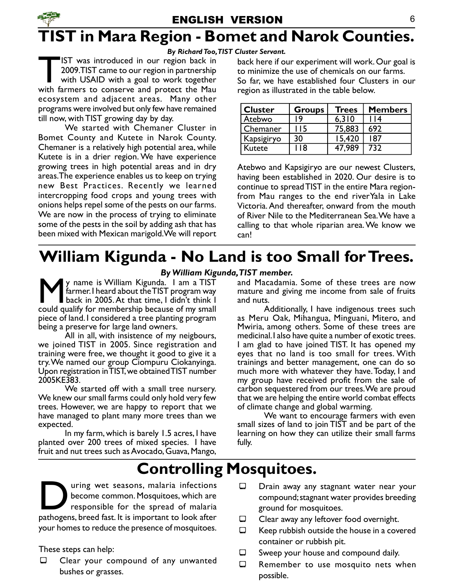# TIST in Mara Region - Bomet and Narok Counties.

#### By Richard Too, TIST Cluster Servant.

Explored in our region back in<br>2009.TIST came to our region in partnership<br>with USAID with a goal to work together<br>with farmers to conserve and protect the Mau IST was introduced in our region back in 2009. TIST came to our region in partnership with USAID with a goal to work together ecosystem and adjacent areas. Many other programs were involved but only few have remained till now, with TIST growing day by day.

We started with Chemaner Cluster in Bomet County and Kutete in Narok County. Chemaner is a relatively high potential area, while Kutete is in a drier region. We have experience growing trees in high potential areas and in dry areas. The experience enables us to keep on trying new Best Practices. Recently we learned intercropping food crops and young trees with onions helps repel some of the pests on our farms. We are now in the process of trying to eliminate some of the pests in the soil by adding ash that has been mixed with Mexican marigold. We will report

back here if our experiment will work. Our goal is to minimize the use of chemicals on our farms. So far, we have established four Clusters in our region as illustrated in the table below.

| <b>Cluster</b> | <b>Groups</b> | <b>Trees</b> | <b>Members</b> |
|----------------|---------------|--------------|----------------|
| Atebwo         | ۱9            | 6.310        | 14             |
| Chemaner       | 15            | 75,883       | 692            |
| Kapsigiryo     | 30            | 15.420       | 187            |
| Kutete         | 18            | 47.989       | 732            |

Atebwo and Kapsigiryo are our newest Clusters, having been established in 2020. Our desire is to continue to spread TIST in the entire Mara regionfrom Mau ranges to the end riverYala in Lake Victoria. And thereafter, onward from the mouth of River Nile to the Mediterranean Sea. We have a calling to that whole riparian area. We know we can!

# William Kigunda - No Land is too Small for Trees.

#### By William Kigunda, TIST member.

My name is William Kigunda. I am a TIST<br>farmer.I heard about the TIST program way<br>could qualify for membership because of my small y name is William Kigunda. I am a TIST farmer. I heard about the TIST program way back in 2005. At that time, I didn't think I piece of land. I considered a tree planting program being a preserve for large land owners.

All in all, with insistence of my neigbours, we joined TIST in 2005. Since registration and training were free, we thought it good to give it a try. We named our group Ciompuru Ciokanyinga. Upon registration in TIST, we obtained TIST number 2005KE383.

We started off with a small tree nursery. We knew our small farms could only hold very few trees. However, we are happy to report that we have managed to plant many more trees than we expected.

In my farm, which is barely 1.5 acres, I have planted over 200 trees of mixed species. I have fruit and nut trees such as Avocado, Guava, Mango,

and Macadamia. Some of these trees are now mature and giving me income from sale of fruits and nuts.

Additionally, I have indigenous trees such as Meru Oak, Mihangua, Minguani, Mitero, and Mwiria, among others. Some of these trees are medicinal. I also have quite a number of exotic trees. I am glad to have joined TIST. It has opened my eyes that no land is too small for trees. With trainings and better management, one can do so much more with whatever they have. Today, I and my group have received profit from the sale of carbon sequestered from our trees. We are proud that we are helping the entire world combat effects of climate change and global warming.

We want to encourage farmers with even small sizes of land to join TIST and be part of the learning on how they can utilize their small farms fully.

# Controlling Mosquitoes.

The uring wet seasons, malaria infections<br>become common. Mosquitoes, which are<br>responsible for the spread of malaria<br>pathogens, breed fast. It is important to look after uring wet seasons, malaria infections become common. Mosquitoes, which are responsible for the spread of malaria your homes to reduce the presence of mosquitoes.

These steps can help:

- $\Box$  Clear your compound of any unwanted bushes or grasses.
- D Drain away any stagnant water near your compound; stagnant water provides breeding ground for mosquitoes.
- Clear away any leftover food overnight.
- $\Box$  Keep rubbish outside the house in a covered container or rubbish pit.
- $\Box$  Sweep your house and compound daily.
- $\Box$  Remember to use mosquito nets when possible.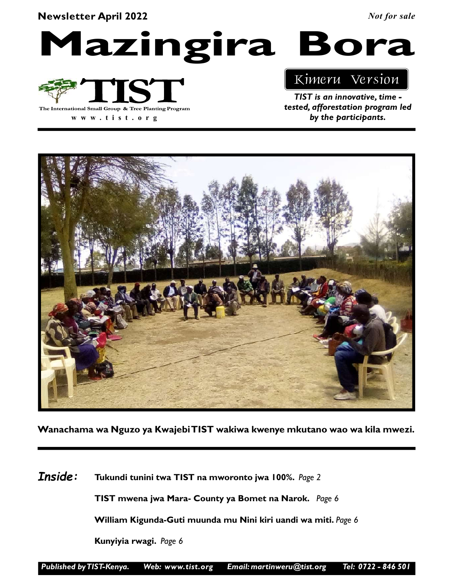#### Newsletter April 2022

Not for sale

Mazingira Bora



w w w . t i s t . o r g

### Kimeru Version

TIST is an innovative, time tested, afforestation program led by the participants.



Wanachama wa Nguzo ya Kwajebi TIST wakiwa kwenye mkutano wao wa kila mwezi.

Tukundi tunini twa TIST na mworonto jwa 100%. Page 2 Inside:

TIST mwena jwa Mara- County ya Bomet na Narok. Page 6

William Kigunda-Guti muunda mu Nini kiri uandi wa miti. Page 6

Kunyiyia rwagi. Page 6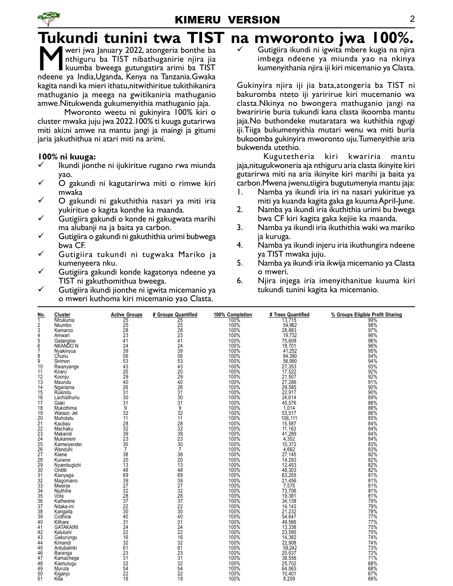# Tukundi tunini twa TIST na mworonto jwa 100%.

Weri jwa January 2022, atongeria bonthe ba<br>
Inthiguru ba TIST nibathuganirie njira jia<br>
kuumba bweega gutungatira arimi ba TIST<br>
ndeene va India Lisanda Kenya na Tanzania Gwaka nthiguru ba TIST nibathuganirie njira jia kuumba bweega gutungatira arimi ba TIST ndeene ya India,Uganda, Kenya na Tanzania.Gwaka kagita nandi ka mieri ithatu,nitwithiritue tukithikanira mathuganio ja meega na gwitikaniria mathuganio amwe.Nitukwenda gukumenyithia mathuganio jaja.

Mworonto weetu ni gukinyira 100% kiri o cluster mwaka juju jwa 2022.100% ti kuuga gutarirwa miti aki;ni amwe na mantu jangi ja maingi ja gitumi jaria jakuthithua ni atari miti na arimi.

#### 100% ni kuuga:

- $\checkmark$  Ikundi jionthe ni ijukiritue rugano rwa miunda yao.
- O gakundi ni kagutarirwa miti o rimwe kiri mwaka
- O gakundi ni gakuthithia nasari ya miti iria yukiritue o kagita konthe ka maanda.
- Gutigiira gakundi o konde ni gakugwata marihi ma alubanji na ja baita ya carbon.
- Gutigiira o gakundi ni gakuthithia urimi bubwega bwa CF.
- Gutigiira tukundi ni tugwaka Mariko ja kumenyeera nku.
- Gutigiira gakundi konde kagatonya ndeene ya TIST ni gakuthomithua bweega.
- Gutigiira ikundi jionthe ni igwita micemanio ya o mweri kuthoma kiri micemanio yao Clasta.

 Gutigiira ikundi ni igwita mbere kugia na njira imbega ndeene ya miunda yao na nkinya kumenyithania njira iji kiri micemanio ya Clasta.

Gukinyira njira iji jia bata,atongeria ba TIST ni bakuromba nteto iji yaririrue kiri mucemanio wa clasta.Nkinya no bwongera mathuganio jangi na bwariririe buria tukundi kana clasta ikoomba mantu jaja.No buthondeke mutaratara wa kuthithia ngugi iji.Tiiga bukumenyithia mutari wenu wa miti buria bukoomba gukinyira mworonto uju.Tumenyithie aria bukwenda utethio.

Kugutetheria kiri kwariria mantu jaja,nitugukwoneria aja nthiguru aria clasta ikinyite kiri gutarirwa miti na aria ikinyite kiri marihi ja baita ya carbon.Mwena jwenu,tiigira bugutumenyia mantu jaja:

- 1. Namba ya ikundi iria iri na nasari yukiritue ya miti ya kuanda kagita gaka ga kuuma April-June.
- 2. Namba ya ikundi iria ikuthithia urimi bu bwega bwa CF kiri kagita gaka kejiie ka maanda.
- 3. Namba ya ikundi iria ikuthithia waki wa mariko ja kuruga.
- 4. Namba ya ikundi injeru iria ikuthungira ndeene ya TIST mwaka juju.
- 5. Namba ya ikundi iria ikwija micemanio ya Clasta o mweri.
- 6. Njira injega iria imenyithanitue kuuma kiri tukundi tunini kagita ka micemanio.

| No.<br>1        | Cluster                | <b>Active Groups</b>       | # Groups Quantified        | 100% Completion<br>100% | # Trees Quantified<br>13.715 | % Groups Eligible Profit Sharing |
|-----------------|------------------------|----------------------------|----------------------------|-------------------------|------------------------------|----------------------------------|
| 2               | Ntrukuma<br>Nkumbo     | 25                         | 25                         | 100%                    |                              | 99%                              |
| 3               | Kamaroo                | $\frac{25}{28}$            | $\frac{25}{28}$            | 100%                    | 54,962<br>28,883             | 98%<br>97%                       |
| 4               | Amwari                 | 23                         | 23                         | 100%                    | 19,732                       | 96%                              |
| 5               | Gatangine              | 41                         | 41                         | 100%                    | 75,608                       | 96%                              |
| 6               | NKANDO N               | 24                         | 24                         | 100%                    | 18,701                       | 96%                              |
| 7               | Nyakinyua              | 39                         | 39                         | 100%                    | 41.252                       | 95%                              |
| 8               | Churiu                 | 56<br>56<br>53<br>43       | 56                         | 100%                    | 84,390                       | 94%<br>94%                       |
| 9               | Sirimon                |                            | 53                         | 100%                    | 56,990                       |                                  |
| 10              | Rwanyange              |                            | 43                         | 100%                    | 27,353                       | 93%                              |
| 11              | Kiraro                 | $\frac{20}{29}$            | 20                         | 100%                    | 17,522                       | 92%                              |
| 12              | Koonju                 |                            | $\overline{29}$            | 100%                    | 21,507                       | 92%                              |
| 13              | Maundu                 | 40                         | 40                         | 100%                    | 27,286                       | 91%                              |
| 14              | Ngariama               | 26                         | 26                         | 100%                    | 29,585                       | 90%                              |
| 15              | Rukindu                | 31                         | 31                         | 100%                    | 22,917                       | 90%                              |
| 16              | Lachiathuriu           | 30                         | 30                         | 100%                    | 24,614                       | 89%                              |
| 17              | Giaki                  | 31                         | 31                         | 100%                    | 45,576                       | 88%                              |
| 18              | Mukothima              | 9                          | 9                          | 100%                    | 1,014                        | 86%                              |
| 19              | Warazo Jet             | 32                         | 32                         | 100%                    | 53,517                       | 86%                              |
| 20              | Muhotetu               | 11<br>28                   | 11<br>28                   | 100%<br>100%            | 106.111                      | 85%<br>84%                       |
| 21<br>22        | Kaubau<br>Machaku      | 32                         | 32                         | 100%                    | 15,587<br>11,163             | 84%                              |
|                 | Makandi                |                            |                            |                         |                              |                                  |
| $^{23}_{24}$    | Mukameni               | $\frac{39}{23}$            | $\frac{39}{23}$            | 100%<br>100%            | $41,289$<br>4,352            | 84%<br>84%                       |
| 25              | Kamwivendei            | 30                         | 30                         | 100%                    | 10.372                       | 83%                              |
| 26              | Wanduhi                | $\overline{7}$             | 7                          | 100%                    | 4.662                        | 83%                              |
| 27              | Kiiene                 | 38                         | 38                         | 100%                    | 27,145                       | 82%                              |
| 28              | Kunene                 | 20                         | 20                         | 100%                    |                              | 82%                              |
| 29              | Nyambugichi            | 13                         | 13                         | 100%                    | 14,293<br>12,453             | 82%                              |
| $\overline{30}$ | Ontilili               | $\overline{48}$            | 48                         | 100%                    | 48,303                       | 82%                              |
| 31              | Kianyaga               | $\frac{69}{39}$<br>27      |                            | 100%                    | $63,255$<br>21,456           | 81%                              |
| 32              | Magomano               |                            |                            | 100%                    |                              | 81%                              |
| 33              | Mwenje                 |                            | 69<br>39<br>27             | 100%                    | 7,575                        | 81%                              |
| 34              | Njuthine               | $\overline{3}\overline{2}$ | 32                         | 100%                    | 73,706                       | 81%                              |
| 35              | Vota                   | $\frac{28}{37}$            | $\frac{28}{37}$            | 100%                    | 19,381                       | 81%                              |
| 36              | Kathwene               |                            |                            | 100%                    | 34,138                       | 79%                              |
| 37              | Ndaka-ini              | $\overline{22}$            | 22                         | 100%                    | 14,143                       | 79%                              |
| 38              | Kangaita<br>Ciothirai  | 30                         | 30                         | 100%                    | $\frac{21,232}{54,647}$      | 78%                              |
| 39              |                        | 40                         | 40                         | 100%                    |                              | 77%                              |
| 40              | Kithare                | 31                         | 31                         | 100%                    | 49,566                       | 77%                              |
| 41              | <b>GATAKAINI</b>       | $\frac{24}{22}$            | $\frac{24}{22}$            | 100%                    | 13,338                       | 75%                              |
| 42              | Kaluluini              | 16                         | 16                         | 100%                    | 23,590                       | 75%<br>74%                       |
| 43<br>44        | Gakurungu              |                            |                            | 100%                    | 14,382<br>22,908             |                                  |
| 45              | Kimandi<br>Antubalinki | $\frac{32}{61}$            | $\frac{32}{61}$            | 100%<br>100%            | 59,242                       | 74%<br>73%                       |
| 46              | Baranga                | 23                         | 23                         | 100%                    | 20,637                       | 72%                              |
| 47              | Kamachege              |                            | 31                         | 100%                    | 38,556                       | 71%                              |
| 48              | Kiamutugu              | $\frac{31}{32}$            | $\overline{3}\overline{2}$ | 100%                    | 25,702                       | 68%                              |
| 49              | Muruta                 |                            | 54                         | 100%                    | 64,065                       | 68%                              |
| 50              | Kiganjo                | $\frac{5}{4}$              | 22                         | 100%                    | 10,401                       | 67%                              |
| 51              | Kilía                  | $\overline{19}$            | $\overline{19}$            | 100%                    | 8,209                        | 66%                              |
|                 |                        |                            |                            |                         |                              |                                  |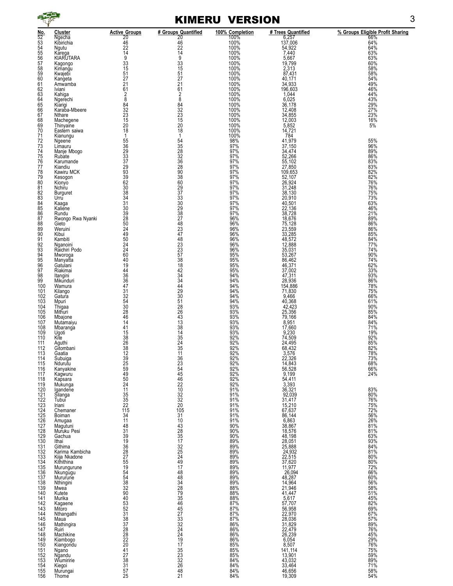

### KIMERU VERSION 3

| $\frac{\text{No}}{52}$                  |     | <u>Cluster</u>              | <b>Active Groups</b>                                                                                   | # Groups Quantified                           | 100% Completion     | # Trees Quantified                                                                                                                                                                                                                                                                    | % Groups Eligible Profit Sharing |
|-----------------------------------------|-----|-----------------------------|--------------------------------------------------------------------------------------------------------|-----------------------------------------------|---------------------|---------------------------------------------------------------------------------------------------------------------------------------------------------------------------------------------------------------------------------------------------------------------------------------|----------------------------------|
| 53<br>54                                |     | Ngecha<br>Kibirichia        | $\frac{20}{46}$<br>$\frac{42}{14}$                                                                     | 20<br>46<br>22                                | 100%<br>100%        | $\begin{array}{r} \n \overline{6,257} \\  \hline\n 6,257 \\  \hline\n 137,006 \\  \overline{54,922} \\  \overline{7,440}\n \end{array}$                                                                                                                                               | 66%<br>64%<br>64%                |
|                                         |     | Ngutu<br>Karega             |                                                                                                        | 14                                            | 100%                |                                                                                                                                                                                                                                                                                       |                                  |
| 55<br>56<br>57                          |     | KIARUTARA                   | 9                                                                                                      | $\overline{9}$                                | 100%<br>100%        | 5,667<br>19,799                                                                                                                                                                                                                                                                       | 63%<br>63%                       |
| 58                                      |     | Kagongo<br>Kimangu          | $\overline{33}$<br>15                                                                                  | $\tilde{33}$<br>15                            | 100%                |                                                                                                                                                                                                                                                                                       | 60%<br>58%                       |
| $\begin{array}{c} 59 \\ 60 \end{array}$ |     | Kwajebi                     |                                                                                                        | 51                                            | 100%<br>100%        | 2,313<br>87,431<br>40,171                                                                                                                                                                                                                                                             | 58%<br>54%                       |
| 61                                      |     | Kangeta<br>Amwamba          | 51<br>27<br>21<br>61                                                                                   | 27<br>$\begin{array}{c} 21 \\ 61 \end{array}$ | 100%                | 34,933                                                                                                                                                                                                                                                                                | 49%<br>46%                       |
| 62<br>63                                |     | Iviani<br>Kahiga            | 2                                                                                                      | $\overline{2}$                                | 100%                | 196,603<br>1,044                                                                                                                                                                                                                                                                      | 44%                              |
| 64                                      |     | Ngerechi                    | 8                                                                                                      | 8                                             | 100%<br>100%        |                                                                                                                                                                                                                                                                                       |                                  |
| 65<br>66                                |     | Kiarigi<br>Karaba-Mbeere    | 84<br>$\overline{3}2$                                                                                  | $\frac{84}{32}$                               | 100%                | 6,025<br>36,178<br>12,408                                                                                                                                                                                                                                                             | 43%<br>29%<br>27%                |
| 67                                      |     | Nthare                      | 23                                                                                                     | $\frac{23}{15}$                               | 100%                | 34,855<br>12,003                                                                                                                                                                                                                                                                      | 23%<br>16%                       |
| 68<br>69                                |     | Machegene<br>Thinyaine      | 15<br>20                                                                                               | 20                                            | 100%                | 5,852                                                                                                                                                                                                                                                                                 | 5%                               |
| 70<br>71                                |     | Eastern saiwa<br>Kianungu   | 18<br>$\mathbf{1}$                                                                                     | 18<br>$\mathbf{1}$                            | 100%<br>100%        | 14,721<br>784                                                                                                                                                                                                                                                                         |                                  |
| 72                                      |     | Ngeene                      | 55                                                                                                     | 54                                            | 98%                 | 41,979                                                                                                                                                                                                                                                                                | 55%                              |
| 73<br>74                                |     | Limauru<br>Manje Mbogo      |                                                                                                        | 35<br>28<br>32                                | 97%<br>97%          | $\frac{37,150}{34,474}$                                                                                                                                                                                                                                                               | 96%<br>89%                       |
| 75                                      |     | Rubate                      | 36<br>29<br>33<br>37                                                                                   |                                               | 97%                 | 52,266                                                                                                                                                                                                                                                                                | 86%                              |
| 76<br>77                                |     | Karumande<br>Kiandiu        |                                                                                                        | 36<br>$\frac{28}{90}$                         | 97%<br>97%          | 55,102<br>27,850<br>109,653                                                                                                                                                                                                                                                           | 83%<br>83%                       |
| 78<br>79                                |     | Kawiru MCK<br>Kesogon       |                                                                                                        |                                               | 97%<br>97%          |                                                                                                                                                                                                                                                                                       | 82%                              |
| 80                                      |     | Kionyo<br>Nchiru            | 29<br>93<br>39<br>62<br>30                                                                             | 38<br>60                                      | 97%                 | 52,107<br>26,924<br>31,248                                                                                                                                                                                                                                                            | 82%<br>76%                       |
| 81<br>82                                |     | Burguret                    | 38                                                                                                     | $\frac{29}{37}$                               | 97%<br>97%          |                                                                                                                                                                                                                                                                                       | 76%                              |
| 83<br>$\overline{84}$                   |     | Urru                        | 34<br>31                                                                                               | $\overline{33}$<br>$\overline{30}$            | 97%<br>97%          | $\begin{array}{c} 38,130 \\ 20,910 \\ 40,501 \end{array}$                                                                                                                                                                                                                             | 75%<br>73%<br>63%                |
| 85                                      |     | Kaaga<br>Kaliene            | 30                                                                                                     | $\frac{29}{38}$                               | 97%<br>97%          |                                                                                                                                                                                                                                                                                       | 46%                              |
| 86<br>$\tilde{87}$                      |     | Rundu<br>Rwongo Rwa Nyanki  | 39<br>$\tilde{2}$ 8                                                                                    | $\frac{5}{27}$                                | 96%                 | 22,136<br>38,728<br>18,676                                                                                                                                                                                                                                                            | 21%<br>89%                       |
| 88                                      |     | Gieto                       | 50                                                                                                     |                                               | 96%                 |                                                                                                                                                                                                                                                                                       | 86%                              |
| 89<br>90                                |     | Weruini<br>Kibui            | $\frac{24}{49}$                                                                                        | $\frac{48}{23}$                               | 96%<br>96%          | 75,128<br>23,559<br>33,285                                                                                                                                                                                                                                                            | 86%<br>85%                       |
| 91                                      |     | Kambiti                     | 50                                                                                                     |                                               | 96%<br>96%          |                                                                                                                                                                                                                                                                                       | 84%<br>77%                       |
| $\frac{92}{93}$                         |     | Nganoini<br>Raichiri Podo   | $\frac{24}{24}$                                                                                        | $\frac{48}{23}$                               | 96%                 | 48,572<br>12,888<br>35,031                                                                                                                                                                                                                                                            | 74%                              |
| 94<br>95<br>96<br>97                    |     | Mworoga                     | 60<br>40                                                                                               | 57<br>38                                      | 95%<br>95%          | $\frac{53,267}{86,462}$<br>$\frac{46,371}{95,222}$                                                                                                                                                                                                                                    | 90%<br>74%                       |
|                                         |     | Manyatta<br>Gatulani        | 19                                                                                                     | $\overline{18}$                               | 95%                 |                                                                                                                                                                                                                                                                                       | 62%                              |
|                                         |     | Riakimai                    | 44                                                                                                     | $\frac{42}{34}$                               | 95%                 | 37,002<br>47,311                                                                                                                                                                                                                                                                      | 33%<br>93%                       |
| 98<br>99<br>100                         |     | Itangini<br>Mikunduri       | $\begin{array}{c} 36 \\ 36 \end{array}$<br>47                                                          | 44                                            | 94%<br>94%<br>94%   | 28,936<br>154,886<br>71,830                                                                                                                                                                                                                                                           | 86%                              |
| 101                                     |     | Wamura<br>Kilango           | 31                                                                                                     | $\frac{29}{30}$                               | 94%                 |                                                                                                                                                                                                                                                                                       | 78%<br>75%                       |
| 102<br>103                              |     | Gatura<br>Mpuri             | $\overline{3}\overline{2}$<br>54                                                                       | 51                                            | 94%<br>94%          | 9,466                                                                                                                                                                                                                                                                                 | 66%<br>61%                       |
| 104                                     |     | Thigaa<br>Mithuri           | $\overline{30}$                                                                                        | $\frac{28}{26}$                               | 93%                 | $40,368$<br>$42,423$<br>$25,356$<br>$79,166$<br>$8,951$<br>$17,660$                                                                                                                                                                                                                   | 90%                              |
| 105                                     | 106 | Mbajone                     | $\tilde{2}$ 8<br>46                                                                                    |                                               | 93%<br>93%          |                                                                                                                                                                                                                                                                                       | 85%<br>84%                       |
| 107<br>108                              |     | Mutamaiyu<br>Mbaranga       | 14<br>$\overline{41}$                                                                                  | $\frac{43}{13}$<br>$\frac{38}{13}$            | 93%<br>93%          |                                                                                                                                                                                                                                                                                       | 84%<br>71%                       |
| 109                                     |     | Ugoti                       | 15                                                                                                     |                                               | 93%                 |                                                                                                                                                                                                                                                                                       | 19%<br>92%                       |
| 110<br>111                              |     | Kite                        | 38<br>26<br>38                                                                                         | $\frac{14}{35}$<br>$\frac{24}{35}$            | 92%<br>92%          | $9,230$<br>$74,509$<br>$24,495$                                                                                                                                                                                                                                                       | 85%                              |
| 112                                     |     | Aguthi<br>Gitombani         |                                                                                                        |                                               | 92%                 | 68,432                                                                                                                                                                                                                                                                                | 82%                              |
| 113                                     | 114 | Gaatia<br>Subuiga           | 12<br>39                                                                                               | 11<br>36                                      | 92%<br>92%          | 3,576<br>22,326                                                                                                                                                                                                                                                                       | 78%<br>73%                       |
| 115<br>116                              |     | Ndurutu<br>Kanyakine        |                                                                                                        |                                               | 92%<br>92%<br>92%   |                                                                                                                                                                                                                                                                                       | 68%<br>66%<br>24%                |
| 117                                     |     | Kagwuru                     | 25<br>59<br>49<br>50<br>24<br>11                                                                       | 23<br>54<br>45<br>46                          |                     |                                                                                                                                                                                                                                                                                       |                                  |
| 118<br>119                              |     | Kapsara<br>Mukunga          |                                                                                                        | $\frac{22}{10}$                               | 92%<br>92%          |                                                                                                                                                                                                                                                                                       |                                  |
| 120<br>121                              |     | Igandene<br>Silanga         |                                                                                                        |                                               | 91%                 |                                                                                                                                                                                                                                                                                       | 83%<br>80%                       |
| $\frac{122}{123}$                       |     | Tubui                       | $35$<br>$35$<br>$22$                                                                                   | $\frac{32}{32}$                               | 91%<br>91%          |                                                                                                                                                                                                                                                                                       | 76%                              |
| 124                                     |     | Iriani<br>Chemaner          | 115                                                                                                    | 105                                           | 91%                 |                                                                                                                                                                                                                                                                                       | 75%                              |
| 125<br>126                              |     | Boiman                      | 34<br>$\overline{11}$                                                                                  | 31<br>10                                      | 91%<br>91%<br>91%   |                                                                                                                                                                                                                                                                                       | 72%<br>56%<br>26%<br>81%         |
| 127                                     |     | Amugaa<br>Magutuni          | 48                                                                                                     |                                               | 90%<br>90%          |                                                                                                                                                                                                                                                                                       |                                  |
| 128<br>129                              |     | Muruku Pesi<br>Gachua       | $\frac{31}{39}$                                                                                        | $\frac{43}{28}$<br>35                         | 90%                 |                                                                                                                                                                                                                                                                                       | 81%<br>63%                       |
| 130                                     |     | Ithai                       |                                                                                                        | 17                                            | 89%<br>89%          |                                                                                                                                                                                                                                                                                       | 93%<br>84%                       |
| 131<br>132                              |     | Githima<br>Karima Kambicha  |                                                                                                        | $\frac{32}{25}$                               | 89%                 |                                                                                                                                                                                                                                                                                       | 81%                              |
| 133<br>134                              |     | Kiija Nkadone<br>Kithithina | 19<br>36<br>28<br>27<br>55<br>55<br>19                                                                 | $\frac{24}{49}$                               | 89%<br>89%<br>89%   |                                                                                                                                                                                                                                                                                       | 80%<br>80%<br>72%<br>66%<br>60%  |
| 135                                     |     | Murungurune                 |                                                                                                        | 17                                            |                     |                                                                                                                                                                                                                                                                                       |                                  |
| 136<br>137                              |     | Nkungugu<br>Mururune        |                                                                                                        | $\frac{48}{48}$                               | 89%<br>89%<br>89%   |                                                                                                                                                                                                                                                                                       |                                  |
| 138                                     |     | Nthingini                   |                                                                                                        | 34                                            |                     |                                                                                                                                                                                                                                                                                       | 56%                              |
| 139<br>140                              |     | Mwea<br>Kutete              |                                                                                                        | 28<br>79<br>35                                | $\frac{88\%}{88\%}$ |                                                                                                                                                                                                                                                                                       | 58%<br>51%                       |
| 141<br>142                              |     | Murika<br>Kagaene           | 54<br>54<br>38<br>32<br>90<br>40<br>53<br>52<br>37<br>38<br>28<br>22<br>22<br>22<br>52<br>22<br>22<br> |                                               | 88%                 | $14\begin{bmatrix} 64.929 \\ 56.529 \\ 91.433 \\ 33.320 \\ 142.633 \\ 153.320 \\ 144.67 \\ 152.68 \\ 163.867 \\ 164.88 \\ 165.768 \\ 224.515 \\ 224.516 \\ 225.627 \\ 244.4447 \\ 244.467 \\ 257.705 \\ 223.932 \\ 234.429 \\ 244.45.57 \\ 223.932 \\ 234.429 \\ 244.45.56 \\ 223.47$ | 45%                              |
| 143                                     |     | Mitoro                      |                                                                                                        | $\frac{46}{45}$                               | $\frac{87\%}{87\%}$ |                                                                                                                                                                                                                                                                                       | 82%<br>69%<br>67%                |
| 144<br>145                              |     | Nthangathi<br>Maua          |                                                                                                        | 27                                            | 87%                 |                                                                                                                                                                                                                                                                                       |                                  |
| 146<br>147                              |     | Mathingira                  |                                                                                                        | $\frac{1}{33}$<br>$\frac{32}{24}$             | 87%<br>86%<br>86%   |                                                                                                                                                                                                                                                                                       | 57%<br>76%                       |
| 148                                     |     | Ruiri<br>Machikine          |                                                                                                        | 24                                            | 86%<br>86%          |                                                                                                                                                                                                                                                                                       | 45%<br>29%                       |
| 149<br>150                              |     | Kiambogo<br>Kiangondu       |                                                                                                        | $\frac{19}{17}$                               | 85%                 | 26,239<br>6,054<br>6,054<br>8,507<br>141,114                                                                                                                                                                                                                                          | 76%                              |
| 151                                     |     | Ngano                       | $\frac{41}{27}$<br>38                                                                                  | $\frac{35}{23}$                               | 85%<br>85%<br>84%   |                                                                                                                                                                                                                                                                                       | 75%<br>59%<br>89%                |
| 152<br>153                              |     | Nğandu<br>Wiumiririe        |                                                                                                        |                                               |                     | 13,901<br>43,032                                                                                                                                                                                                                                                                      |                                  |
| 154                                     |     | Kiegoi                      | 31                                                                                                     | 26                                            | 84%<br>84%          | 33,464                                                                                                                                                                                                                                                                                | 71%                              |

156 Thome 25 25 21 21 84% 19,309 20 21 25 34% 19,300 20 21 34%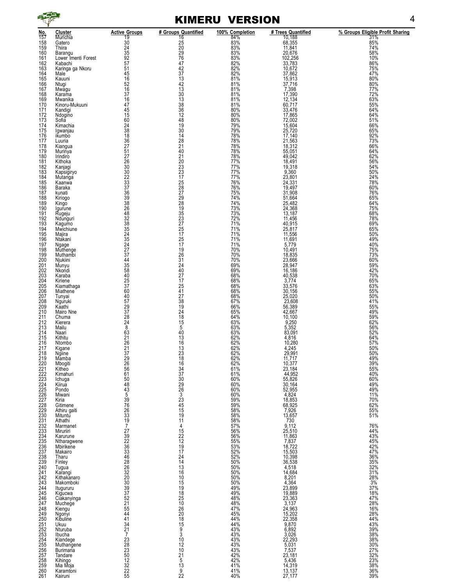

### KIMERU VERSION 4

|                   |                                |                                                                         |                                             |                          |                                                            | % Groups Eligible Profit Sharing |
|-------------------|--------------------------------|-------------------------------------------------------------------------|---------------------------------------------|--------------------------|------------------------------------------------------------|----------------------------------|
| No.<br>157        | <b>Cluster</b><br>Murichia     | <b>Active Groups</b>                                                    | # Groups Quantified<br>16                   | 100% Completion          | # Trees Quantified<br>10,188                               | 31%                              |
| 158               | Gatero                         | $\frac{19}{30}$<br>$\frac{24}{30}$                                      |                                             | 84%<br>83%               | 68,355<br>11,841                                           | 85%                              |
| 159               | Thiira                         |                                                                         |                                             | 83%                      |                                                            | 74%                              |
| 160<br>161        | Barangu<br>Lower Imenti Forest | $\frac{35}{92}$                                                         | 25<br>20<br>29<br>76                        | 83%<br>83%               | 20,676                                                     | 58%<br>10%                       |
| 162               | Kabachi                        |                                                                         | 47                                          | 82%                      | 102,256<br>33,783                                          | 86%                              |
| 163               | Karinga ga Nkoru               |                                                                         | 42                                          | 82%<br>82%               | 10,672                                                     | 75%                              |
| 164<br>165        | Male<br>Kauuni                 | $\frac{51}{45}$                                                         | 37<br>$\overline{1}3$                       | 81%                      | 37,862<br>15,913                                           | 47%<br>80%                       |
| 166               | Ntugi                          | 52                                                                      | 42                                          | 81%                      | 37,716                                                     | 80%                              |
| 167               | Mwagu                          | 16                                                                      | 13                                          | 81%                      | 7,398                                                      | 77%                              |
| 168<br>169        | Karama<br>Mwanika              | 37<br>16                                                                | 30<br>13                                    | 81%<br>81%               | 17,390<br>12,134                                           | 72%<br>63%                       |
| 170               | Kinoru-Mukuuni                 | 47                                                                      |                                             | 81%                      | 60,717                                                     | 55%                              |
| 171               | Kandigi                        | $rac{45}{15}$                                                           | 38<br>36                                    | 80%                      | 33,476                                                     | 64%                              |
| 172               | Ndogino                        |                                                                         | 12                                          | 80%                      | 17,865<br>72,002                                           | 64%                              |
| 173<br>174        | Sofia<br>Kimachia              | 60<br>$\frac{5}{4}$                                                     | $^{48}_{19}$                                | 80%<br>79%               | 15,604                                                     | 51%<br>66%                       |
| 175               | Igwanjau                       |                                                                         | 30                                          | 79%                      | 25,720                                                     | 65%                              |
| 176               | ikumbo                         | 38<br>18<br>136<br>27<br>51<br>27                                       | 14                                          | 78%                      | 17,140                                                     | 92%                              |
| 177<br>178        | Luuria<br>Kiangua              |                                                                         | 28<br>21                                    | 78%<br>78%               | 21,563<br>18,312                                           | 73%<br>66%                       |
| 179               | Murinya                        |                                                                         | 40                                          | 78%                      | 55,051                                                     | 64%                              |
| 180               | Irindiro                       |                                                                         | 21<br>20<br>23<br>23                        | 78%                      | 49,042                                                     | 62%                              |
| 181<br>182        | Kithoka                        |                                                                         |                                             | 77%<br>77%               | 18,491<br>19,318                                           | 56%                              |
| 183               | Kanjagi<br>Kapsigiryo          |                                                                         |                                             | 77%                      | 9,360                                                      | 54%<br>50%                       |
| 184               | Mutanga                        | 26<br>30<br>30<br>22<br>32<br>33<br>37                                  | 17                                          | 77%<br>76%               | 23,801                                                     | 24%                              |
| 185               | Kaanwa                         |                                                                         |                                             |                          | 24,331                                                     | 78%                              |
| 186<br>187        | Baraka<br>kunati               |                                                                         |                                             | 76%<br>75%               | 19,497<br>31,908                                           | 60%<br>76%                       |
| 188               | Kiriogo                        |                                                                         | 25<br>28<br>27<br>29<br>28                  | 74%                      | 51,664                                                     | 65%                              |
| 189               | Kingo                          |                                                                         |                                             | 74%                      | 25,482                                                     | 64%                              |
| 190<br>191        | Igurune<br>Rugeju              |                                                                         |                                             | 73%                      | 24,368<br>13,187                                           | 75%<br>68%                       |
| 192               | Ndunguri                       | 36<br>39<br>38<br>26<br>48<br>32                                        | 19<br>35<br>23<br>27                        | 73%<br>72%               | 11,456                                                     | 78%                              |
| 193               | Kagumo                         |                                                                         |                                             | 71%                      | 40,915                                                     | 69%                              |
| 194<br>195        | Mwichiune                      |                                                                         | $\frac{25}{17}$                             | 71%<br>71%               | 25,817<br>11,556                                           | 65%<br>50%                       |
| 196               | Majira<br>Ntakani              |                                                                         | 25                                          | 71%                      | 11,691                                                     |                                  |
| 197               | Ngage                          | 38545245227774435                                                       | 17                                          | 71%                      | 5,779                                                      | 49%<br>40%                       |
| 198               | Muthenge<br>Muthambi           |                                                                         | 19                                          | 70%                      | 10,491                                                     | 75%                              |
| 199<br>200        | Njukiini                       |                                                                         | $\frac{26}{31}$                             | 70%<br>70%               | 18,835<br>23,666                                           | 73%<br>60%                       |
| 201               | Munyu                          |                                                                         | $\overline{24}$                             | 69%                      | 28,947                                                     | 59%                              |
| 202               | Nkondi                         | 58<br>40                                                                | 40                                          | 69%                      | 16,186                                                     | 42%                              |
| 203<br>204        | Karaba<br>Kiriene              |                                                                         | $^{27}_{17}$                                | 68%<br>68%               | 40,538<br>3,774                                            | 70%<br>65%                       |
| 205               | Kiamathaga                     | $rac{25}{37}$                                                           | 25                                          | 68%                      | 33,576                                                     | 63%                              |
| 206               | Miathene                       | 60                                                                      | 41                                          | 68%                      | 30,156                                                     | 55%                              |
| 207<br>208        | Tunyai<br>Nguruki              | $\overline{40}$                                                         | 27<br>38                                    | 68%<br>67%               | 25,020<br>23,608                                           | 50%<br>41%                       |
| 209               | Kaathi                         | $\frac{57}{29}$                                                         | 19                                          | 66%                      | 56,389                                                     | 55%                              |
| 210               | Mairo Nne                      |                                                                         | 24                                          | 65%                      | 42,667                                                     | 49%                              |
| 211<br>212        | Chuma<br>Kierera               |                                                                         | 18                                          | 64%<br>63%               | 10,100<br>9,250                                            | 59%<br>62%                       |
| 213               | Mailu                          | $\frac{28}{24}$                                                         | $\begin{array}{c} 15 \\ 5 \end{array}$      | 63%                      | 5,352                                                      | 56%                              |
| 214               | Naari                          | 63                                                                      | 40                                          | 63%                      | 83,091                                                     | 52%                              |
| 215<br>216        | Kithitu<br>Ntombo              | $\frac{21}{26}$                                                         | 13<br>16                                    | 62%<br>62%               | 4,816<br>10,280                                            | 64%<br>57%                       |
| 217               | Kigane                         | $\overline{21}$                                                         | 13                                          | 62%                      | 4,245                                                      | 50%                              |
| 218               | Ngiine                         | 37                                                                      | 23                                          | 62%                      | 29,991                                                     | 50%                              |
| 219               | Mamba                          | 29<br>26<br>56<br>61                                                    | 18                                          | 62%<br>62%<br>61%<br>61% | 11,717                                                     | 49%                              |
| 220<br>221<br>222 | Mbogiti<br>Kitheo              |                                                                         | 16                                          |                          | $10,377$<br>23,184<br>44,952<br>55,826<br>30,164<br>52,955 | 39%<br>55%<br>40%                |
|                   | Kimahuri                       |                                                                         | $\frac{34}{37}$                             |                          |                                                            |                                  |
| 223<br>224<br>225 | Ichuga                         |                                                                         | 30<br>29<br>26<br>3                         | $\frac{60\%}{60\%}$      |                                                            | 60%<br>49%                       |
|                   | Kiirua<br>Pondo                |                                                                         |                                             |                          |                                                            | 49%                              |
|                   | Miwani                         |                                                                         |                                             | 60%<br>59%               |                                                            | 11%                              |
| 226<br>227<br>228 | Kiria                          |                                                                         | $\frac{23}{45}$                             | 59%                      | 4,824<br>18,853<br>68,925                                  | 70%<br>62%                       |
|                   | Gitimene<br>Athiru gaiti       |                                                                         | 15                                          |                          |                                                            | 55%                              |
| 229<br>230<br>231 | Mituntu                        |                                                                         | 19                                          | 58%<br>58%<br>58%        | 7,926<br>13,657<br>730                                     | 51%                              |
|                   | Athathi                        |                                                                         | $\overline{11}$                             |                          |                                                            |                                  |
| 232<br>233<br>234 | Marmanet<br>Miruriiri          |                                                                         | 4<br>15                                     | 57%<br>56%               | $9,112$<br>$25,510$<br>$11,863$                            | 76%<br>44%                       |
|                   | Karurune                       |                                                                         | 22                                          | 56%                      |                                                            | 43%                              |
| 235<br>236<br>237 | Ntharagwene                    |                                                                         | 12                                          | 55%<br>53%               |                                                            | 45%<br>42%<br>47%                |
|                   | Mbirikene<br>Makairo           |                                                                         | $^{19}_{17}$                                | 52%                      |                                                            |                                  |
|                   | Tharu                          |                                                                         | 24                                          | 52%<br>50%               | 7,837<br>18,722<br>15,503<br>10,398                        | 36%                              |
| 238<br>239<br>240 | Finley                         |                                                                         | 14                                          |                          | 36,538<br>4,518<br>4,684<br>8,201                          | 35%                              |
|                   | Tugua<br>Karangi               |                                                                         | 13<br>16                                    | 50%                      |                                                            | 32%<br>31%                       |
| $\frac{241}{242}$ |                                |                                                                         | 10                                          | 50%<br>50%<br>50%        |                                                            | 28%                              |
|                   | Kithakanaro<br>Makomboki       |                                                                         | 15                                          |                          |                                                            | 3%                               |
| 244               | Itugururu<br>Kigucwa           |                                                                         | 19                                          | 49%<br>49%               | 4,364<br>23,899<br>19,889<br>23,363                        | 37%<br>18%                       |
| 245<br>246        | Ciakanyinga                    |                                                                         | $^{18}_{25}$                                | 48%                      |                                                            | 47%                              |
| 247               | Muchege                        |                                                                         | 10                                          | 48%<br>47%               | $3,137$<br>24,963<br>15,202                                | 28%<br>16%                       |
| 248<br>249        | Kiengu                         |                                                                         | $\frac{26}{20}$                             |                          |                                                            |                                  |
| 250               | Ngonyi<br>Kibuline             |                                                                         | 18                                          | 45%                      |                                                            | 28%<br>44%<br>43%                |
| 251<br>252        | Ukuu                           |                                                                         |                                             | 44%<br>44%               | 22,358<br>9,870<br>6,892                                   |                                  |
|                   | Nturuba                        |                                                                         | $\begin{array}{c} 15 \\ 9 \\ 3 \end{array}$ | 43%                      |                                                            |                                  |
| 253               | Ibucha                         |                                                                         | 10                                          | 43%<br>43%               | $\frac{3,026}{22,293}$<br>5,031                            | 39%<br>38%<br>38%                |
| 254<br>255        | Kiandege<br>Muthangene         |                                                                         | 12                                          | 43%                      |                                                            | 30%                              |
| 256               | Burimaria                      |                                                                         | 10                                          | 43%<br>42%               |                                                            |                                  |
| 257<br>258        | Tandare<br>Kihingo             | 54459766397739263342233933521544141738330255132550839721544327222351325 | $\frac{21}{5}$                              | 42%                      | 7,537<br>23,181<br>5,436<br>14,319                         | 27%<br>32%<br>23%                |
| 259               | Mia Moja                       |                                                                         | $\frac{13}{9}$                              | 41%                      |                                                            | 38%                              |
| 260<br>261        | Karamtoni                      |                                                                         |                                             | $\frac{41%}{40%}$        | 13,137<br>27,177                                           | 36%                              |
|                   | Kairuni                        |                                                                         | 22                                          |                          |                                                            | 39%                              |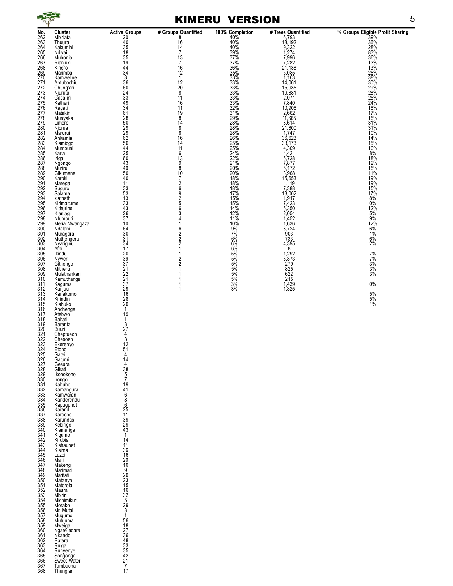

### KIMERU VERSION 5

| No.                                                                      | <b>Cluster</b><br><b>Mbiriata</b> | <b>Active Groups</b>                         | # Groups Quantified  | 100% Completion                            | # Trees Quantified                                    | % Groups Eligible Profit Sharing<br>39%<br>28%<br>28%<br>83% |
|--------------------------------------------------------------------------|-----------------------------------|----------------------------------------------|----------------------|--------------------------------------------|-------------------------------------------------------|--------------------------------------------------------------|
| 262<br>263<br>264<br>264                                                 | Thuura                            | 20<br>40<br>35<br>18                         | 8<br>16              | $40\%$<br>$40\%$<br>$40\%$<br>$39\%$       | $\frac{6,793}{6,793}$<br>18,192<br>9,322<br>1,274     |                                                              |
| 265                                                                      | Kakumini<br>Ndivai                |                                              | $\frac{14}{7}$       |                                            |                                                       |                                                              |
| 266<br>267                                                               | Muhonia                           |                                              | 13                   | $\frac{37\%}{37\%}$                        |                                                       | 36%<br>13%                                                   |
| 268                                                                      | Rianjuki<br>Kinoro                |                                              | 7<br>16              | 36%                                        | $7,996$<br>$7,282$<br>$21,138$                        | 13%                                                          |
|                                                                          | Marimba                           | 35<br>19<br>44<br>34<br>3                    | 12                   | 35%                                        |                                                       |                                                              |
| 269<br>270<br>271<br>272<br>273<br>275<br>275<br>276                     | Kamweline<br>Antubochiu           |                                              | $\mathbf{1}$<br>12   | 33%<br>33%                                 | $5,085$<br>$1,103$<br>$14,061$                        | 28%<br>38%<br>30%                                            |
|                                                                          | Chung'ari<br>Njuruta              | 36<br>60<br>24<br>33<br>34<br>34             | $\frac{20}{8}$       | 33%                                        | 15,935<br>19,881<br>2,071                             | 29%<br>28%<br>25%<br>24%<br>16%                              |
|                                                                          | Gatia-ini                         |                                              | $\overline{11}$      | 33%<br>33%                                 |                                                       |                                                              |
|                                                                          | Katheri                           |                                              | 16                   | 33%<br>32%                                 |                                                       |                                                              |
|                                                                          | Ragati<br>Matakiri                |                                              | 11<br>19             |                                            | 7,840<br>10,906<br>2,662<br>11,665<br>8,614<br>21,800 |                                                              |
| 277<br>277<br>279<br>279                                                 | Munyaka                           | 628099266442560                              | 8                    | 31%<br>29%<br>28%<br>28%                   |                                                       | 17%<br>15%                                                   |
| 280                                                                      | Limoro<br>Njorua                  |                                              | 14<br>$\overline{8}$ |                                            |                                                       | $\frac{31\%}{31\%}$                                          |
| 281<br>281<br>282<br>283                                                 | Marurui                           |                                              | 8                    | 28%<br>26%                                 | $1,747$<br>36,623<br>33,173                           | $\frac{10\%}{14\%}$                                          |
|                                                                          | Ankamia<br>Kiamiogo               |                                              | 16<br>14             | 25%                                        |                                                       |                                                              |
| 284<br>285                                                               | Mumbuni                           |                                              | 11<br>6              | 25%                                        | $4,309$<br>$4,421$                                    | 15%<br>10%                                                   |
| 286                                                                      | Karia<br>Iriga                    |                                              | 13                   |                                            | 5,728                                                 | $\frac{8\%}{18\%}$                                           |
|                                                                          | Ngongo<br>Muriru                  | $^{43}_{40}$                                 | $\frac{9}{8}$        |                                            | $7,877$<br>5,172                                      | $\frac{12\%}{15\%}$                                          |
| 287<br>288<br>289                                                        | Gikumene                          | 50                                           | 10                   | 24%<br>22%<br>20%<br>20%<br>20%<br>18%     |                                                       | 11%                                                          |
| 290                                                                      | Karoki                            | $\frac{40}{11}$                              |                      | 18%                                        | $3,968$<br>15,653<br>1,119                            |                                                              |
|                                                                          | Marega<br>Suguroi                 |                                              |                      |                                            |                                                       |                                                              |
| 291<br>292<br>293<br>294                                                 | Salama<br>kiathathi               |                                              | 726925               | $\frac{18\%}{17\%}$<br>$\frac{15\%}{15\%}$ | $7,388$<br>$13,002$<br>$1,917$<br>$7,423$             | $19\%$<br>$19\%$<br>$15\%$<br>$17\%$<br>$0\%$<br>$0\%$       |
| 295                                                                      | Kirimaitume                       | 33<br>53<br>53<br>33<br>33<br>43<br>26<br>37 |                      |                                            |                                                       |                                                              |
|                                                                          | Kithurine                         |                                              | 6<br>3               | $14\%$<br>$12\%$<br>$11\%$                 | $5,350$<br>2,054<br>1,452                             | $\frac{12\%}{5\%}$<br>$\frac{9\%}{2\%}$                      |
|                                                                          | Kianjagi<br>Ntumburi              |                                              | 4                    |                                            |                                                       |                                                              |
| 296<br>297<br>298<br>299<br>299                                          | Meria Mwangaza<br>Ndalani         | 10                                           | 1<br>6               | 10%                                        | $\frac{1,636}{8,724}$                                 | 12%<br>6%                                                    |
| 301<br>302                                                               | Muragara<br>Muthengera            | $\frac{64}{30}$                              | 2                    | $\frac{9\%}{7\%}$                          | 733                                                   | 1%                                                           |
| 303                                                                      | Nyariginu                         |                                              | $\frac{2}{2}$        | $6\%$<br>$6\%$                             | 4,395                                                 | $6\frac{6}{2}\%$                                             |
| 304<br>305                                                               | Athi                              |                                              | 1                    | 6%<br>5%                                   | 8                                                     |                                                              |
| 306                                                                      | Ikindu<br>Nyweri                  |                                              | 2<br>2               | 5%                                         | $\frac{1,292}{3,373}$                                 | $7\%$<br>7%                                                  |
| 307<br>308                                                               | Githongo<br>Mitheru               |                                              |                      | $\frac{5\%}{5\%}$                          | $\frac{279}{825}$                                     | $\frac{3\%}{3\%}$                                            |
| 309                                                                      | Mulathankari                      | 3347093712221                                |                      | 5%                                         | 622                                                   | 3%                                                           |
| 310<br>311                                                               | Kamuthanga<br>Kaguma              |                                              | 1                    | 5%<br>3%                                   | 215                                                   | 0%                                                           |
|                                                                          | Kaňjuu<br>Kariakomo               | $\frac{1}{37}$<br>$\frac{29}{16}$            | 1                    | 3%                                         | 1,439<br>1,325                                        |                                                              |
| 312<br>313<br>314                                                        | Kirindini                         |                                              |                      |                                            |                                                       | 5%<br>5%<br>1%                                               |
| 315                                                                      | Kiahuko                           | $^{28}_{20}$                                 |                      |                                            |                                                       |                                                              |
| 316                                                                      | Anchenge<br>Atebwo                | $\mathbf{1}$<br>19                           |                      |                                            |                                                       |                                                              |
| 317<br>318                                                               | Bahati                            | $\mathbf{1}$                                 |                      |                                            |                                                       |                                                              |
| 319<br>320                                                               | Barenta<br>Buuri                  | $327$<br>$4$<br>$3$<br>$12$                  |                      |                                            |                                                       |                                                              |
| 321                                                                      | Cheptuech<br>Chesoen              |                                              |                      |                                            |                                                       |                                                              |
| 322<br>323                                                               | Ekerenyo                          |                                              |                      |                                            |                                                       |                                                              |
| 324<br>325                                                               | Etono<br>Gatei                    | 51<br>4                                      |                      |                                            |                                                       |                                                              |
|                                                                          | Gaturiri                          | 14                                           |                      |                                            |                                                       |                                                              |
|                                                                          | Gesura<br>Gikati                  | 4                                            |                      |                                            |                                                       |                                                              |
|                                                                          | Ikohokoho                         | $\frac{38}{5}$                               |                      |                                            |                                                       |                                                              |
|                                                                          | Irongo<br>Kahuho                  |                                              |                      |                                            |                                                       |                                                              |
| 326<br>327<br>328<br>329<br>3331<br>3333<br>3333<br>3335<br>3336<br>3337 | Kamangura<br>Kamwarani            | 1941686251139243                             |                      |                                            |                                                       |                                                              |
|                                                                          | Kanderendu                        |                                              |                      |                                            |                                                       |                                                              |
|                                                                          | Kapugunot<br>Karandi              |                                              |                      |                                            |                                                       |                                                              |
|                                                                          | Karocho                           |                                              |                      |                                            |                                                       |                                                              |
|                                                                          | Karundas                          |                                              |                      |                                            |                                                       |                                                              |
| 339<br>340                                                               | Kebirigo<br>Kiamariga             |                                              |                      |                                            |                                                       |                                                              |
| 341<br>342<br>343<br>344<br>345<br>346                                   | Kigumo<br>Kirubia                 | $\mathbf{1}$                                 |                      |                                            |                                                       |                                                              |
|                                                                          | Kishaunet                         | $\frac{14}{11}$<br>$\frac{36}{16}$           |                      |                                            |                                                       |                                                              |
|                                                                          | Kisima<br>Luzoi                   |                                              |                      |                                            |                                                       |                                                              |
|                                                                          | Mairi                             | 20                                           |                      |                                            |                                                       |                                                              |
| 347<br>348<br>349                                                        | Makengi<br>Marimati               | $\frac{10}{9}$                               |                      |                                            |                                                       |                                                              |
| $\frac{350}{2}$                                                          | Maritati<br>Matanya               |                                              |                      |                                            |                                                       |                                                              |
| 351                                                                      | Matorola                          |                                              |                      |                                            |                                                       |                                                              |
| 352<br>353                                                               | Maura<br>Mbiriri                  | 202315163252931                              |                      |                                            |                                                       |                                                              |
| 354<br>355                                                               | Michimikuru                       |                                              |                      |                                            |                                                       |                                                              |
|                                                                          | Morako<br>Mr. Mutai               |                                              |                      |                                            |                                                       |                                                              |
| 356<br>357<br>358<br>359<br>360                                          | Mugumo                            |                                              |                      |                                            |                                                       |                                                              |
|                                                                          | Mutuuma<br>Mweiga                 |                                              |                      |                                            |                                                       |                                                              |
| 361                                                                      | Ngare ndare<br>Nkando             | 56<br>18<br>27<br>36                         |                      |                                            |                                                       |                                                              |
|                                                                          | Ratera                            |                                              |                      |                                            |                                                       |                                                              |
| 362<br>363<br>364                                                        | Ruiga<br>Runyenye                 |                                              |                      |                                            |                                                       |                                                              |
| 365                                                                      | Songonga<br>Sweet Water           | 48335421717                                  |                      |                                            |                                                       |                                                              |
| 366<br>367                                                               | Tambacha                          |                                              |                      |                                            |                                                       |                                                              |
| 368                                                                      | Thung'ari                         |                                              |                      |                                            |                                                       |                                                              |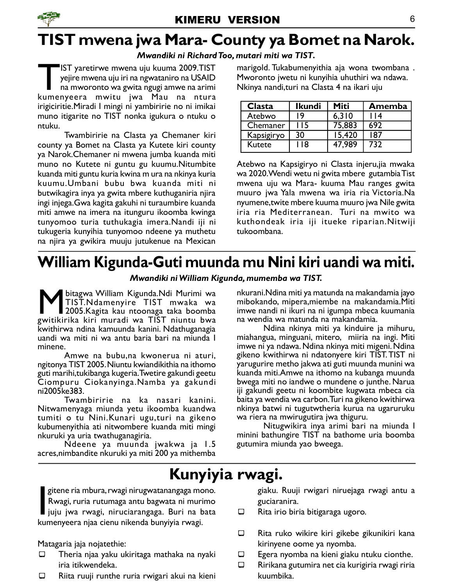

### TIST mwena jwa Mara- County ya Bomet na Narok.

#### Mwandiki ni Richard Too, mutari miti wa TIST.

**TERNICE SET SERVICE SERVICE SERVICE SERVICE SERVICE SERVICE SERVICE SERVICE SERVICE SERVICE SERVICE SERVICE SERVICE SERVICE SERVICE SERVICE SERVICE SERVICE SERVICE SERVICE SERVICE SERVICE SERVICE SERVICE SERVICE SERVICE S** IST yaretirwe mwena uju kuuma 2009.TIST yejire mwena uju iri na ngwataniro na USAID na mworonto wa gwita ngugi amwe na arimi irigiciritie.Miradi I mingi ni yambiririe no ni imikai muno itigarite no TIST nonka igukura o ntuku o ntuku.

Twambiririe na Clasta ya Chemaner kiri county ya Bomet na Clasta ya Kutete kiri county ya Narok.Chemaner ni mwena jumba kuanda miti muno no Kutete ni guntu gu kuumu.Nitumbite kuanda miti guntu kuria kwina m ura na nkinya kuria kuumu.Umbani bubu bwa kuanda miti ni butwikagira inya ya gwita mbere kuthuganiria njira ingi injega.Gwa kagita gakuhi ni turaumbire kuanda miti amwe na imera na itunguru ikoomba kwinga tunyomoo turia tuthukagia imera.Nandi iji ni tukugeria kunyihia tunyomoo ndeene ya muthetu na njira ya gwikira muuju jutukenue na Mexican marigold. Tukabumenyithia aja wona twombana . Mworonto jwetu ni kunyihia uhuthiri wa ndawa. Nkinya nandi,turi na Clasta 4 na ikari uju

| <b>Clasta</b> | <b>Ikundi</b> | Miti   | Amemba |
|---------------|---------------|--------|--------|
| Atebwo        | 19            | 6.310  | l 14   |
| Chemaner      | I I 5         | 75,883 | 692    |
| Kapsigiryo    | 30            | 15,420 | 187    |
| Kutete        | l 18          | 47,989 | 732    |

Atebwo na Kapsigiryo ni Clasta injeru,jia mwaka wa 2020.Wendi wetu ni gwita mbere gutambia Tist mwena uju wa Mara- kuuma Mau ranges gwita muuro jwa Yala mwena wa iria ria Victoria.Na nyumene,twite mbere kuuma muuro jwa Nile gwita iria ria Mediterranean. Turi na mwito wa kuthondeak iria iji itueke riparian.Nitwiji tukoombana.

## William Kigunda-Guti muunda mu Nini kiri uandi wa miti.

#### Mwandiki ni William Kigunda, mumemba wa TIST.

M bitagwa William Kigunda.Ndi Murimi wa<br>TIST.Ndamenyire TIST mwaka wa<br>gwitikirika kiri muradi wa TIST niuntu bwa bitagwa William Kigunda.Ndi Murimi wa TIST.Ndamenyire TIST mwaka wa 2005.Kagita kau ntoonaga taka boomba kwithirwa ndina kamuunda kanini. Ndathuganagia uandi wa miti ni wa antu baria bari na miunda I minene.

Amwe na bubu,na kwonerua ni aturi, ngitonya TIST 2005. Niuntu kwiandikithia na ithomo guti marihi,tukibanga kugeria.Twetire gakundi geetu Ciompuru Ciokanyinga.Namba ya gakundi ni2005ke383.

Twambiririe na ka nasari kanini. Nitwamenyaga miunda yetu ikoomba kuandwa tumiti o tu Nini.Kunari ugu,turi na gikeno kubumenyithia ati nitwombere kuanda miti mingi nkuruki ya uria twathuganagiria.

Ndeene ya muunda jwakwa ja 1.5 acres,nimbandite nkuruki ya miti 200 ya mithemba

nkurani.Ndina miti ya matunda na makandamia jayo mibokando, mipera,miembe na makandamia.Miti imwe nandi ni ikuri na ni igumpa mbeca kuumania na wendia wa matunda na makandamia.

Ndina nkinya miti ya kinduire ja mihuru, miahangua, minguani, mitero, miiria na ingi. Miti imwe ni ya ndawa. Ndina nkinya miti migeni. Ndina gikeno kwithirwa ni ndatonyere kiri TIST. TIST ni yarugurire metho jakwa ati guti muunda munini wa kuanda miti.Amwe na ithomo na kubanga muunda bwega miti no iandwe o mundene o junthe. Narua iji gakundi geetu ni koombite kugwata mbeca cia baita ya wendia wa carbon.Turi na gikeno kwithirwa nkinya batwi ni tugutwtheria kurua na ugaruruku wa riera na mwirugutira jwa thiguru.

Nitugwikira inya arimi bari na miunda I minini bathungire TIST na bathome uria boomba gutumira miunda yao bweega.

## Kunyiyia rwagi.

 $\begin{bmatrix} 8 \\ 1 \\ 1 \end{bmatrix}$ gitene ria mbura, rwagi nirugwatanangaga mono. Rwagi, ruria rutumaga antu bagwata ni murimo juju jwa rwagi, niruciarangaga. Buri na bata kumenyeera njaa cienu nikenda bunyiyia rwagi.

Matagaria jaja nojatethie:

- $\Box$  Theria njaa yaku ukiritaga mathaka na nyaki iria itikwendeka.
- Riita ruuji runthe ruria rwigari akui na kieni

giaku. Ruuji rwigari niruejaga rwagi antu a guciaranira.

- $\Box$  Rita irio biria bitigaraga ugoro.
- $\Box$  Rita ruko wikire kiri gikebe gikunikiri kana kirinyene oome ya nyomba.
- $\Box$  Egera nyomba na kieni giaku ntuku cionthe.
- $\Box$  Ririkana gutumira net cia kurigiria rwagi riria kuumbika.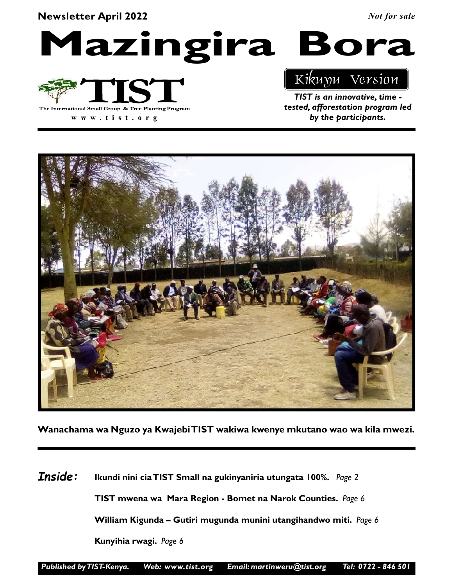#### Newsletter April 2022

Not for sale

Mazingira Bora



w w w . t i s t . o r g

### Kikuyu Version

TIST is an innovative, time tested, afforestation program led by the participants.



Wanachama wa Nguzo ya Kwajebi TIST wakiwa kwenye mkutano wao wa kila mwezi.

Ikundi nini cia TIST Small na gukinyaniria utungata 100%. Page 2 TIST mwena wa Mara Region - Bomet na Narok Counties. Page 6 William Kigunda – Gutiri mugunda munini utangihandwo miti. Page 6 Kunyihia rwagi. Page 6 Inside: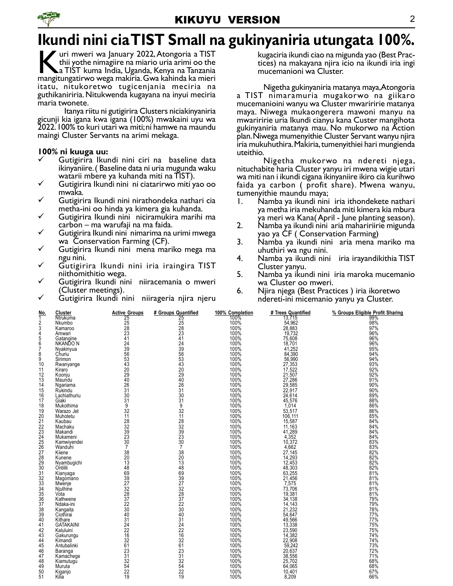

# Ikundi nini cia TIST Small na gukinyaniria utungata 100%.

Turi mweri wa January 2022, Atongoria a TIST<br>thii yothe nimagiire na miario uria arimi oo the<br>a TIST kuma India, Uganda, Kenya na Tanzania<br>mangitungatirwo wega makiria Gwa kabinda ka mieri thii yothe nimagiire na miario uria arimi oo the a TIST kuma India, Uganda, Kenya na Tanzania mangitungatirwo wega makiria. Gwa kahinda ka mieri itatu, nitukoretwo tugicenjania meciria na guthikaniriria. Nitukwenda kugayana na inyui meciria maria twonete.

Itanya riitu ni gutigirira Clusters niciakinyaniria gicunji kia igana kwa igana (100%) mwakaini uyu wa 2022. 100% to kuri utari wa miti; ni hamwe na maundu maingi Cluster Servants na arimi mekaga.

#### 100% ni kuuga uu:

- $\checkmark$  Gutigirira Ikundi nini ciri na baseline data ikinyaniire. ( Baseline data ni uria mugunda waku watarii mbere ya kuhanda miti na TIST).
- Gutigirira Ikundi nini ni ciatarirwo miti yao oo mwaka.
- Gutigirira Ikundi nini nirathondeka nathari cia metha-ini oo hinda ya kimera gia kuhanda.
- Gutigirira Ikundi nini niciramukira marihi ma carbon – ma warufaji na ma faida.
- Gutigirira Ikundi nini nimarima na urimi mwega wa Conservation Farming (CF).
- Gutigirira Ikundi nini mena mariko mega ma ngu nini.
- Gutigirira Ikundi nini iria iraingira TIST niithomithitio wega.
- Gutigirira Ikundi nini niiracemania o mweri (Cluster meetings).
- Gutigirira Ikundi nini niirageria njira njeru

kugaciria ikundi ciao na migunda yao (Best Practices) na makayana njira icio na ikundi iria ingi mucemanioni wa Cluster.

Nigetha gukinyaniria matanya maya, Atongoria a TIST nimaramuria mugakorwo na giikaro mucemanioini wanyu wa Cluster mwariririe matanya maya. Niwega mukaongerera mawoni manyu na mwariririe uria Ikundi cianyu kana Custer mangihota gukinyaniria matanya mau. No mukorwo na Action plan. Niwega mumenyithie Cluster Servant wanyu njira iria mukuhuthira. Makiria, tumenyithiei hari mungienda uteithio.

Nigetha mukorwo na ndereti njega, nituchabite haria Cluster yanyu iri mwena wigie utari wa miti nan i ikundi cigana ikinyaniire ikiro cia kurihwo faida ya carbon ( profit share). Mwena wanyu, tumenyithie maundu maya;

- 1. Namba ya ikundi nini iria ithondekete nathari ya metha iria mekuhanda miti kimera kia mbura ya meri wa Kana( April - June planting season).
- 2. Namba ya ikundi nini aria mahaririirie migunda yao ya CF ( Conservation Farming)
- 3. Namba ya ikundi nini aria mena mariko ma uhuthiri wa ngu nini.
- 4. Namba ya ikundi nini iria irayandikithia TIST Cluster yanyu.
- 5. Namba ya ikundi nini iria maroka mucemanio wa Cluster oo mweri.
- 6. Njira njega (Best Practices ) iria ikoretwo ndereti-ini micemanio yanyu ya Cluster.

| No.             | Cluster               | <b>Active Groups</b>             | # Groups Quantified | 100% Completion | # Trees Quantified      | % Groups Eligible Profit Sharing |
|-----------------|-----------------------|----------------------------------|---------------------|-----------------|-------------------------|----------------------------------|
| 1               | Ntrukuma              | 25<br>25<br>28<br>23<br>23<br>41 | $\frac{25}{25}$     | 100%            | 13,715                  | $\frac{99\%}{98\%}$              |
| 2               | Nkumbo                |                                  |                     | 100%            | 54,962                  |                                  |
| 3               | Kamaroo               |                                  | 28                  | 100%            | 28,883                  | 97%                              |
| 4               | Amwari                |                                  | 23                  | 100%<br>100%    | 19,732<br>75,608        | 96%<br>96%                       |
| 5               | Gatangine<br>NKANDO N |                                  | $\overline{41}$     |                 |                         |                                  |
| 6               |                       | 24                               | 24                  | 100%            | 18,701                  | 96%                              |
| $\overline{7}$  | Nyakinyua             | $\frac{1}{39}$                   | 39<br>56            | 100%<br>100%    | 41,252                  | 95%<br>94%                       |
| 8               | Churiu                |                                  |                     |                 |                         |                                  |
| 9               | Sirimon               | 53                               | 53                  | 100%            | $\frac{56,990}{27,353}$ | 94%                              |
| 10              | Rwanyange             | $^{43}_{20}$                     | 43                  | 100%<br>100%    |                         | 93%<br>92%                       |
| 11              | Kiraro                |                                  | 20                  |                 | 17,522                  |                                  |
| 12              | Koonju                | 29                               | 29                  | 100%            | 21,507                  | 92%                              |
| 13              | Maundu                | 40                               | 40                  | 100%            | 27,286                  | 91%                              |
| 14              | Ngariama              | 26                               | 26                  | 100%            | 29,585                  | 90%                              |
| 15              | Rukindu               | 31                               | 31                  | 100%            | 22.917                  | 90%                              |
| 16              | Lachiathuriu          | 30                               | 30                  | 100%<br>100%    | 24,614                  | 89%                              |
| 17              | Giaki                 | 31                               | $\overline{31}$     |                 | 45,576                  | 88%                              |
| 18              | Mukothima             | 9                                | 9                   | 100%            | 1.014                   | 86%                              |
| 19              | Warazo Jet            | 32                               | 32                  | 100%<br>100%    | 53,517<br>106,111       | 86%                              |
| 20              | Muhotetu              | $\overline{11}$                  | 11                  |                 |                         | 85%                              |
| 21              | Kaubau                | 28                               | 28                  | 100%            | 15,587                  | 84%                              |
| $^{22}_{23}$    | Machaku               | $\frac{32}{39}$<br>23            | $\frac{32}{39}$     | 100%<br>100%    | 11.163                  | 84%                              |
|                 | Makandi               |                                  |                     |                 | 41,289                  | 84%                              |
| 24              | Mukameni              |                                  | 23                  | 100%            | 4,352                   | 84%                              |
| 25              | Kamwiyendei           | 30                               | $\frac{30}{7}$      | 100%            | 10,372                  | 83%                              |
| $\overline{26}$ | Wanduhi               | $\overline{7}$                   |                     | 100%            | 4,662                   | 83%                              |
| 27              | Kiiene                | 38                               | 38                  | 100%            | 27,145                  | 82%                              |
| 28              | Kunene                | 20                               | 20                  | 100%<br>100%    | 14,293<br>12,453        | 82%                              |
| 29              | Nyambugichi           | $\overline{13}$                  | $\overline{13}$     |                 |                         | 82%                              |
| 30              | Ontilili              | 48                               | 48                  | 100%            | 48,303                  | 82%                              |
| 31              | Kianyaga              | $\frac{69}{39}$<br>27            | 69                  | 100%            | 63,255                  | 81%                              |
| 32              | Magómano              |                                  | 39                  | 100%            | 21,456                  | 81%                              |
| 33              | Mwenje                |                                  | 27                  | 100%<br>100%    | 7,575                   | 81%                              |
| 34              | Njuthine              | $\frac{52}{28}$                  | $\frac{32}{28}$     |                 | 73,706                  | 81%                              |
| 35              | Vóta                  |                                  |                     | 100%            | 19,381                  | 81%                              |
| 36              | Kathwene              | 37                               | 37                  | 100%            | 34,138                  | 79%                              |
| 37              | Ndaka-ini             | 22                               | 22                  | 100%            | 14,143                  | 79%                              |
| 38              | Kangaita              | $\overline{30}$                  | $\overline{30}$     | 100%            | 21,232                  | 78%                              |
| 39              | Ciothirai             | 40                               | 40                  | 100%            | 54,647                  | 77%                              |
| 40              | Kithare               | 31                               | 31                  | 100%            | 49,566                  | 77%                              |
| 41              | <b>GATAKAINI</b>      | $\frac{5}{4}$                    | $\overline{24}$     | 100%            | 13,338                  | 75%                              |
| 42              | Kaluluini             | 22                               | 22                  | 100%            | 23,590                  | 75%                              |
| 43              | Gakurungu             | $\overline{16}$                  | 16                  | 100%            | 14,382                  | 74%                              |
| 44              | Kimandi               | 32                               | 32                  | 100%            | 22,908                  | 74%                              |
| 45              | Antubalinki           | 61                               | 61                  | 100%<br>100%    | 59,242                  | 73%                              |
| 46              | Baranga               | 23                               | 23                  |                 | 20,637                  | 72%                              |
| 47              | Kamačhege             | $\bar{3}\bar{1}$                 | $\overline{31}$     | 100%            | 38,556                  | 71%                              |
| 48              | Kiamutugu             | 32                               | 32                  | 100%            |                         | 68%                              |
| 49              | Muruta                |                                  |                     | 100%            | 25,702<br>64,065        | 68%                              |
| 50              | Kiganjo               | $\frac{5}{4}$                    | $\frac{5}{4}$       | 100%            | 10,401                  | 67%                              |
| 51              | Kilia                 | 19                               | 19                  | 100%            | 8,209                   | 66%                              |
|                 |                       |                                  |                     |                 |                         |                                  |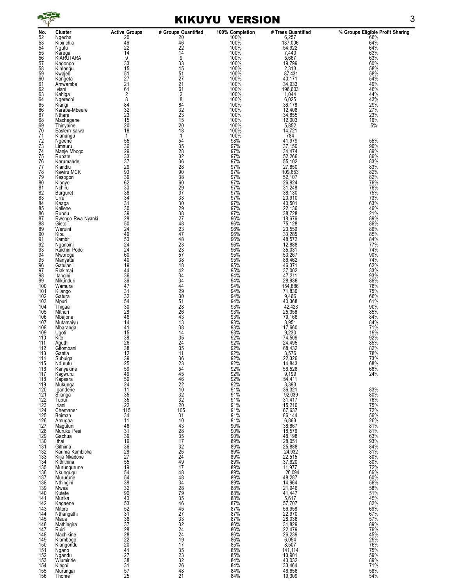

### KIKUYU VERSION 3

| ٥ |
|---|
| × |
|   |
|   |

| $\overline{52}$<br>100%<br>Ngecha                                                                                                                                                                                                                 | 66%               |
|---------------------------------------------------------------------------------------------------------------------------------------------------------------------------------------------------------------------------------------------------|-------------------|
| $\frac{20}{46}$<br>$\begin{array}{r}\n 6,257 \\  \hline\n 6,257 \\  137,006 \\  54,922\n \end{array}$<br>20<br>46<br>22<br>53<br>54<br>100%<br>Kibirichia                                                                                         | $64\%$<br>$64\%$  |
| 100%<br>Ngutu<br>$\overline{55}$<br>14<br>14<br>100%<br>7,440<br>Karega                                                                                                                                                                           | 63%               |
| 56<br>57<br>KIARUTARA<br>9<br>9<br>100%<br>5,667<br>19,799<br>$\overline{33}$<br>33<br>100%<br>Kagongo                                                                                                                                            | 63%<br>60%        |
| Kimangu<br>15<br>15<br>100%<br>2,313<br>58                                                                                                                                                                                                        | 58%               |
| 59<br>51<br>27<br>21<br>61<br>2<br>8<br>51<br>100%<br>100%<br>87,431<br>40,171<br>Kwajebi<br>27<br>60<br>Kangeta                                                                                                                                  | 58%<br>54%        |
| 21<br>100%<br>34,933<br>61<br>Amwamba<br>61<br>100%<br>196,603<br>62<br>Iviani                                                                                                                                                                    | 49%<br>46%        |
| $\overline{2}$<br>100%<br>63<br>1,044<br>Kahiga                                                                                                                                                                                                   | 44%               |
| 8<br>6,025<br>Ngerechi<br>100%<br>64<br>100%<br>65<br>36,178<br>12,408<br>Kiarigi                                                                                                                                                                 | 43%<br>29%<br>27% |
| $\frac{84}{32}$<br>84<br>32<br>23<br>15<br>15<br>20<br>100%<br>66<br>Karaba-Mbeere<br>67<br>100%<br>34,855<br>Nthare                                                                                                                              | 23%               |
| $\frac{15}{20}$<br>100%<br>12,003<br>68<br>Machegene<br>100%<br>69                                                                                                                                                                                | 16%               |
| Thinyaine<br>5,852<br>18<br>18<br>14,721<br>70<br>100%<br>Eastern saiwa                                                                                                                                                                           | 5%                |
| 100%<br>71<br>$\mathbf{1}$<br>$\mathbf{1}$<br>784<br>Kianungu<br>41,979<br>$5\overline{5}$<br>72<br>98%<br>Ngeene                                                                                                                                 | 55%               |
| 54<br>35<br>28<br>32<br>36<br>36<br>73<br>97%<br>37,150<br>Limauru<br>74<br>Manje Mbogo                                                                                                                                                           | 96%<br>89%        |
| 36<br>29<br>33<br>37<br>97%<br>97%<br>34,474<br>52,266<br>75<br>Rubate                                                                                                                                                                            | 86%               |
| 97%<br>55,102<br>76<br>Karumande<br>97%<br>27,850<br>77<br>Kiandiu                                                                                                                                                                                | 83%               |
| 29<br>93<br>39<br>62<br>62<br>30<br>28<br>90<br>38<br>60<br>60<br>29<br>37<br>97%<br>Kawiru MCK<br>109,653<br>78<br>52,107<br>79<br>97%<br>Kesogon                                                                                                | 83%<br>82%<br>82% |
| Kionyo<br>97%<br>97%<br>26,924<br>31,248<br>80                                                                                                                                                                                                    | 76%               |
| 81<br>Nchiru<br>$\overline{38}$<br>82<br>97%<br>38,130<br>Burguret                                                                                                                                                                                | 76%<br>75%        |
| $\frac{34}{31}$<br>$\frac{31}{30}$<br>33<br>30<br>29<br>38<br>27<br>97%<br>20,910<br>40,501<br>83<br>Urru<br>97%<br>84<br>Kaaga                                                                                                                   | 73%<br>63%        |
| 22,136<br>85<br>97%<br>Kaliene                                                                                                                                                                                                                    | 46%               |
| 39<br>28<br>50<br>24<br>50<br>24<br>24<br>97%<br>38,728<br>18,676<br>86<br>Rundu<br>Rwongo Rwa Nyanki<br>96%<br>87                                                                                                                                | 21%<br>89%        |
| $\overline{48}$<br>96%<br>75,128<br>88<br>Gieto<br>96%<br>89<br>Weruini                                                                                                                                                                           | 86%<br>86%        |
| $\frac{23}{47}$<br>23,559<br>33,285<br>90<br>96%<br>Kibui<br>48<br>48,572<br>91                                                                                                                                                                   | 85%               |
| 96%<br>Kambiti<br>92<br>96%<br>12,888<br>Nganoini<br>Raichiri Podo                                                                                                                                                                                | 84%<br>77%        |
| $\frac{23}{23}$<br>57<br>93<br>35,031<br>96%<br>60<br>94<br>53,267<br>95%<br>Mworoga                                                                                                                                                              | 74%<br>90%        |
| 95<br>$\frac{40}{19}$<br>$\frac{38}{18}$<br>95%<br>86,462<br>46,371<br>Manyatta<br>96<br>95%<br>Gatulani                                                                                                                                          | 74%<br>62%        |
| 44<br>42<br>97<br>37,002<br>95%<br>Riakimai                                                                                                                                                                                                       | 33%               |
| 98<br>36<br>36<br>$34$<br>$34$<br>47,311<br>94%<br>Itangini<br>94%<br>28,936<br>99<br>Mikunduri                                                                                                                                                   | 93%<br>86%        |
| 44<br>47<br>94%<br>154,886<br>100<br>Wamura<br>94%<br>71,830<br>101<br>Kilango                                                                                                                                                                    | 78%<br>75%        |
| $\frac{31}{32}$<br>$\frac{29}{30}$<br>94%<br>102<br>9,466<br>Gatura                                                                                                                                                                               | 66%               |
| $\frac{54}{30}$<br>30<br>28<br>51<br>103<br>94%<br>40,368<br>Mpuri<br>$\frac{28}{26}$<br>93%<br>42,423<br>25,356<br>104<br>Thigaa                                                                                                                 | 61%<br>90%        |
| 93%<br>105<br>Mithuri<br>46<br>$\overline{43}$<br>79,166<br>106<br>93%<br>Mbajone                                                                                                                                                                 | 85%<br>84%        |
| $\frac{13}{38}$<br>14<br>$\frac{14}{41}$<br>93%<br>107<br>8,951<br>17,660<br>Mutamaiyu<br>93%<br>108                                                                                                                                              | 84%<br>71%        |
| Mbaranga<br>15<br>9,230<br>109<br>93%<br>Ugoti                                                                                                                                                                                                    | 19%               |
| 38<br>26<br>38<br>$\frac{35}{24}$<br>$35$<br>74,509<br>110<br>Kite<br>92%<br>24,495<br>111<br>Aguthi<br>92%                                                                                                                                       | 92%<br>85%        |
| 68,432<br>112<br>Gitombani<br>92%<br>11<br>92%<br>113<br>Gaatia<br>3,576                                                                                                                                                                          | 82%<br>78%        |
| $\frac{12}{39}$<br>92%<br>36<br>22,326<br>114<br>Subuiga                                                                                                                                                                                          | 73%               |
| 25<br>59<br>59<br>50<br>24<br>11<br>23<br>54<br>54<br>46<br>22<br>20<br>10<br>92%<br>92%<br>92%<br>22,320<br>14,843<br>56,528<br>9,199<br>54,411<br>3,393<br>36,321<br>92,039<br>31,417<br>15,210<br>67.627<br>Ndurutu<br>115<br>116<br>Kanyakine | 68%<br>66%<br>24% |
| 117<br>Kagwuru<br>Kapsara<br>118                                                                                                                                                                                                                  |                   |
| 92%<br>92%<br>91%<br>Mukunga<br>119<br>120                                                                                                                                                                                                        | 83%               |
| Igandene<br>121<br>32<br>91%<br>Silanga                                                                                                                                                                                                           | 80%               |
| $\frac{35}{35}$<br>$122$<br>$123$<br>$\frac{32}{20}$<br>91%<br>91%<br>Tubui<br>Iriani                                                                                                                                                             | 76%<br>75%        |
| 124<br>115<br>91%<br>$67,637$<br>$86,144$<br>$6,863$<br>105<br>Chemaner<br>Boiman                                                                                                                                                                 | 72%<br>56%<br>26% |
| 125<br>126<br>$\frac{34}{11}$<br>91%<br>91%<br>$\begin{array}{c} 31 \\ 10 \end{array}$<br>Amugaa                                                                                                                                                  |                   |
| 127<br>48<br>43<br>90%<br>38,867<br>18,576<br>48,198<br>Magutuni<br>90%<br>90%<br>128<br>129<br>Muruku Pesi                                                                                                                                       | 81%<br>81%<br>63% |
| $\frac{28}{35}$<br>17<br>Gachua<br>130<br>89%<br>Ithai                                                                                                                                                                                            |                   |
| 48, 198<br>28, 051<br>25, 888<br>24, 932<br>22, 515<br>37, 620<br>11, 977<br>48, 287<br>48, 287<br>44, 964<br>14, 964<br>89%<br>$\frac{131}{132}$<br>$\frac{32}{25}$<br>24<br>Githima<br>Karima Kambicha                                          | 93%<br>84%<br>81% |
| 133<br>89%<br>Kiija Nkadone                                                                                                                                                                                                                       | 80%               |
| 89%<br>89%<br>134<br>135<br>Kithithina<br>49<br>17                                                                                                                                                                                                | 80%<br>72%<br>66% |
| Murungurune<br>Nkungugu<br>89%<br>136<br>48<br>Mururune                                                                                                                                                                                           |                   |
| 89%<br>137<br>138<br>Nthingini                                                                                                                                                                                                                    | 60%<br>56%        |
| 88%<br>88%<br>88%<br>$21,946$<br>$41,447$<br>$5,617$<br>139<br>Mwea<br>$\frac{140}{141}$<br>Kutete                                                                                                                                                | 58%               |
| 31998275594832904053228222041278<br>48482795464527<br>Murika<br>87%<br>142<br>Kagaene                                                                                                                                                             | 51%<br>45%        |
| 5,617<br>57,707<br>56,958<br>22,970<br>28,036<br>31,829<br>26,239<br>6,557<br>8,557<br>8,11,114<br>11,114<br>$\frac{143}{144}$<br>87%<br>87%<br>Mitoro                                                                                            | 82%<br>69%<br>67% |
| Nthangathi<br>87%<br>145<br>Maua                                                                                                                                                                                                                  | 57%               |
| 33<br>32<br>24<br>24<br>146<br>147<br>86%<br>86%<br>Mathingira<br>Ruiri                                                                                                                                                                           | 89%<br>76%        |
| 86%<br>148<br>Machikine<br>149<br>Kiambogo                                                                                                                                                                                                        | 45%               |
| 86%<br>85%<br>$\frac{1}{17}$<br>150<br>Kiangondu                                                                                                                                                                                                  | 29%<br>76%        |
| 85%<br>151<br>Ngano<br>152                                                                                                                                                                                                                        | 75%<br>59%<br>89% |
| 35<br>23<br>32<br>26<br>48<br>85%<br>84%<br>84%<br>13,901<br>43,032<br>Nğandu<br>Wiumiririe<br>153<br>33,464<br>154<br>31<br>Kiegoi                                                                                                               | 71%               |
| $\frac{84\%}{84\%}$<br>57<br>46,656<br>19,309<br>155<br>Murungai<br>21<br>25<br>156<br>Thome                                                                                                                                                      | 58%<br>54%        |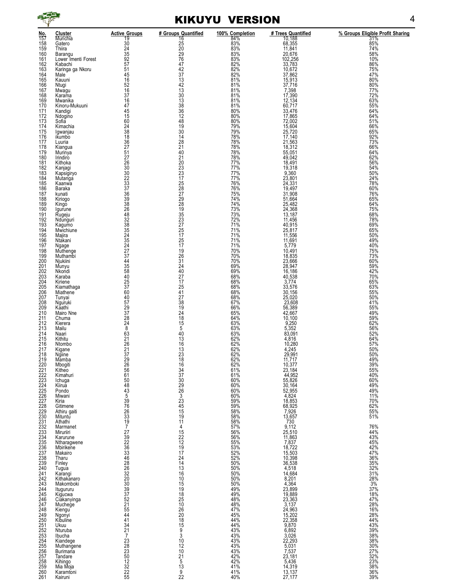

### KIKUYU VERSION 4

| No.               | Cluster                             | <b>Active Groups</b>                                  | # Groups Quantified                    | 100% Completion     | # Trees Quantified                                                                                              | % Groups Eligible Profit Sharing |
|-------------------|-------------------------------------|-------------------------------------------------------|----------------------------------------|---------------------|-----------------------------------------------------------------------------------------------------------------|----------------------------------|
| 157<br>158        | Murichia<br>Gatero                  | $\begin{array}{c} 19 \\ 30 \end{array}$               | $\frac{16}{25}$                        | 84%<br>83%          | 10,188<br>68,355                                                                                                | $\frac{31\%}{85\%}$              |
| 159<br>160        | Thiira                              | 24                                                    |                                        | 83%                 | 11,841                                                                                                          | 74%<br>58%                       |
| 161               | Barangu<br>Lower Imenti Forest      | $\begin{array}{c} 35 \\ 92 \end{array}$               | $\frac{29}{76}$                        | 83%<br>83%          | 20,676<br>102,256                                                                                               | 10%                              |
| 162<br>163        | Kabachi<br>Karinga ga Nkoru         |                                                       | 47<br>$\frac{42}{37}$                  | 82%<br>82%<br>82%   | 33,783<br>10,672<br>37,862                                                                                      | 86%<br>75%<br>47%                |
| 164<br>165        | Male<br>Kauuni                      |                                                       |                                        | 81%                 | 15,913                                                                                                          | 80%                              |
| 166<br>167        | Ntugi<br>Mwagu                      |                                                       | $\frac{13}{42}$<br>$\frac{42}{13}$     | 81%<br>81%          | 37,716<br>7,398                                                                                                 | 80%<br>77%                       |
| 168               | Karama                              | $\frac{57}{45}$<br>$\frac{45}{16}$<br>$\frac{57}{16}$ | 30                                     | 81%                 | 17,390                                                                                                          | 72%                              |
| 169<br>170        | Mwanika<br>Kinoru-Mukuuni           |                                                       | $\frac{13}{38}$                        | 81%<br>81%          | 12,134<br>60,717                                                                                                | 63%<br>55%                       |
| 171<br>172        | Kandigi<br>Ndogino                  |                                                       | $\frac{36}{12}$<br>$\frac{12}{48}$     | 80%<br>80%          | 33,476                                                                                                          | 64%<br>64%                       |
| 173<br>174        | Sofia<br>Kimachia                   | $\frac{15}{60}$<br>24                                 | 19                                     | 80%<br>79%          | 17,865<br>72,002<br>15,604                                                                                      | 51%<br>66%                       |
| 175               | Iqwanjau                            | 38<br>18                                              | $\frac{30}{14}$                        | 79%                 | 25,720<br>17,140                                                                                                | 65%                              |
| 176<br>177        | ikumbo<br>Luuria                    | 36                                                    | 28                                     | 78%<br>78%          | 21,563                                                                                                          | 92%<br>73%                       |
| 178<br>179        | Kiangua<br>Murinya                  | $\frac{27}{51}$                                       | $^{21}_{40}$                           | 78%<br>78%          | 18,312<br>55,051                                                                                                | 66%<br>64%                       |
| 180<br>181        | Irindiro<br>Kithoka                 | $\overline{27}$                                       | 21                                     | 78%<br>77%          | 49,042                                                                                                          | 62%<br>56%                       |
| 182               | Kanjagi                             | $\frac{26}{30}$                                       | $\frac{20}{23}$<br>23                  | 77%                 | 18,491<br>19,318                                                                                                | 54%                              |
| 183<br>184        | Kapsigiryo<br>Mutanga               | 30                                                    | 17                                     | 77%<br>77%          | 9,360<br>23,801                                                                                                 | 50%<br>24%<br>78%                |
| 185<br>186        | Kaanwa<br>Baraka                    | $\frac{22}{33}$<br>$\frac{37}{37}$                    | $^{25}_{28}$                           | 76%<br>76%          | 24,331<br>19,497                                                                                                | 60%                              |
| 187               | kunati                              | $\frac{36}{39}$                                       | 27<br>29<br>28                         | 75%<br>74%          | 31,908<br>51,664                                                                                                | 76%<br>65%                       |
| 188<br>189        | Kiriogo<br>Kingo                    | $\overline{38}$                                       |                                        | 74%                 | 25,482                                                                                                          | 64%                              |
| 190<br>191        | lqurune<br>Rugeju                   | 26<br>48<br>32                                        | $\frac{19}{35}$<br>$\frac{35}{23}$     | 73%<br>73%          | 24,368<br>13,187                                                                                                | 75%<br>68%                       |
| 192<br>193        | Ndunguri<br>Kagumo                  |                                                       | 27                                     | 72%<br>71%          | 11,456                                                                                                          | 78%<br>69%                       |
| 194               | Mwichiune                           | $\frac{38}{35}$                                       | $\overline{25}$                        | 71%                 | 40,915<br>25,817                                                                                                | 65%                              |
| 195<br>196        | Majira<br>Ntakani                   | $\overline{24}$                                       | 17<br>$^{25}_{17}$                     | 71%<br>71%          | 11,556<br>11,691<br>5,779                                                                                       | 50%<br>49%                       |
| 197<br>198        | Ngage<br>Muthenge                   | 35<br>24<br>27<br>37<br>44                            | 19                                     | 71%<br>70%          | 10,491                                                                                                          | 40%<br>75%                       |
| 199<br>200        | Muthambi<br>Njukiini                |                                                       | $\frac{26}{31}$                        | 70%<br>70%          | 18,835<br>23,666                                                                                                | 73%<br>60%                       |
| 201               | Munyu                               | 35                                                    | 24                                     | 69%                 | 28,947                                                                                                          | 59%                              |
| 202<br>203        | Nkondi<br>Karaba                    | $\frac{58}{40}$                                       | $^{40}_{27}$                           | 69%<br>68%          | 16,186<br>40,538                                                                                                | 42%<br>70%                       |
| 204<br>205        | Kiriene<br>Kiamathaga               | 25<br>$\overline{37}$                                 | 17                                     | 68%<br>68%          | 3,774                                                                                                           | 65%<br>63%                       |
| 206<br>207        | Miathene<br>Tunyai                  | 60<br>40                                              | $^{25}_{41}$<br>27                     | 68%<br>68%          | 33,576<br>30,156<br>25,020                                                                                      | 55%<br>50%                       |
| 208               | Nguruki                             | $\frac{57}{29}$                                       | 38<br>19                               | 67%<br>66%          | 23,608<br>56,389                                                                                                | 41%                              |
| 209<br>210        | Kāathi<br>Mairo Nne                 | 37                                                    | 24                                     | 65%                 | 42,667                                                                                                          | 55%<br>49%                       |
| 211<br>212        | Chuma<br>Kierera                    | $\frac{28}{24}$                                       | 18<br>15                               | 64%<br>63%          | 10,100<br>9,250                                                                                                 | 59%<br>62%                       |
| 213<br>214        | Mailu<br>Naari                      | 8<br>63                                               | 5<br>40                                | 63%                 | 5,352<br>83,091                                                                                                 | 56%<br>52%                       |
| 215               | Kithitu                             | 21                                                    | 13                                     | 63%<br>62%          | 4,816                                                                                                           | 64%                              |
| 216<br>217        | Ntombo<br>Kigane                    | $\overline{26}$<br>21                                 | 16<br>13                               | 62%<br>62%          | 10,280<br>4,245                                                                                                 | 57%<br>50%                       |
| 218<br>219        | Ngiine<br>Mamba                     | 37                                                    | 23<br>18                               | 62%<br>62%          | 29,991<br>11,717                                                                                                | 50%<br>49%                       |
| 220<br>221        | Mbogiti<br>Kitheo                   | 29<br>26<br>56                                        | $\frac{16}{34}$                        | 62%<br>61%          |                                                                                                                 | 39%<br>55%                       |
| 222               | Kimahuri                            | 61                                                    | 37                                     | 61%                 | $11,717$<br>$10,377$<br>$23,184$<br>$44,952$<br>$55,826$<br>$30,164$<br>$52,955$<br>$4,824$<br>$18,853$         | 40%                              |
| $\frac{223}{224}$ | Ichuga<br>Kiirua                    | 50<br>48<br>43<br>5<br>5<br>5<br>9                    | $\frac{30}{29}$<br>29                  | $\frac{60\%}{60\%}$ |                                                                                                                 | 60%<br>49%                       |
| 225               | Pondo<br>Miwani                     |                                                       | 3                                      | 60%                 |                                                                                                                 | 49%                              |
| 226<br>227<br>228 | Kiria<br>Gitimene                   |                                                       | 23                                     | 60%<br>59%<br>59%   |                                                                                                                 | 11%<br>70%<br>62%                |
| $\frac{229}{230}$ | Athiru gaiti                        | 76<br>26<br>33<br>19<br>7                             | $\frac{45}{15}$                        | 58%<br>58%          | $68,925$<br>7,926<br>13,657                                                                                     | 55%<br>51%                       |
| 231               | Mituntu<br>Athathi                  |                                                       | 11                                     | 58%                 |                                                                                                                 |                                  |
| 232<br>233<br>234 | Marmanet<br>Miruriiri               | 27                                                    | 4<br>15                                | 57%<br>56%          | $730$<br>9,112<br>25,510                                                                                        | 76%<br>44%                       |
|                   | Karurune<br>Ntharagwene             |                                                       | 22                                     | 56%                 | 11,863<br>7,837<br>18,722<br>15,503<br>10,398<br>36,538<br>4,518<br>4,684<br>8,201<br>4,364<br>23,899<br>19,889 | 43%                              |
| 235<br>236<br>237 | Mbirikene                           |                                                       | $\frac{12}{19}$<br>17                  | 55%<br>53%          |                                                                                                                 | 45%<br>42%<br>47%                |
| 238<br>239        | Makairo<br>Tharu                    |                                                       | $^{24}_{14}$                           | 52%<br>52%<br>50%   |                                                                                                                 | 36%<br>35%                       |
| 240               | Finley<br>Tugua                     |                                                       | 13                                     | 50%                 |                                                                                                                 | 32%                              |
| 241<br>242        | Karangi<br>Kithakanaro              |                                                       | 16<br>10                               | 50%<br>50%          |                                                                                                                 | 31%<br>28%                       |
| $\overline{243}$  | Makomboki                           |                                                       | 15                                     | 50%                 |                                                                                                                 | 3%                               |
| 244<br>245        | Itugururu<br>Kigucwa                |                                                       | $\frac{19}{18}$                        | 49%<br>49%          |                                                                                                                 | 37%<br>18%                       |
| 246               | Ciakanyinga<br>Muchege              |                                                       | 25<br>10                               | 48%                 | 23,363                                                                                                          | 47%                              |
| 247<br>248<br>249 | Kiengu<br>Ngonyi                    |                                                       | $\frac{26}{20}$                        | 48%<br>47%<br>45%   | $\frac{3,137}{24,963}$                                                                                          | 28%<br>16%                       |
| 250<br>251        | Kibuline                            |                                                       | 18<br>15                               | $\frac{44\%}{44\%}$ | 15,202<br>22,358<br>9,870                                                                                       | 28%<br>44%<br>43%                |
| 252               | Ukuu<br>Nturuba                     |                                                       | 9                                      | 43%                 | 6,892                                                                                                           | 39%                              |
| 253<br>254        | Ibucha                              | 21<br>7<br>23<br>28<br>23<br>50<br>50                 | 3<br>10                                | $\frac{43\%}{43\%}$ | 3,026<br>22,293                                                                                                 | 38%<br>38%                       |
| 255               | Kiandege<br>Muthangene<br>Burimaria |                                                       | 12<br>10                               | 43%                 | $\frac{5,031}{7,537}$<br>23,181                                                                                 | 30%                              |
| 256<br>257<br>258 | Tandare                             |                                                       | 21<br>5                                | 43%<br>42%<br>42%   |                                                                                                                 | 27%<br>32%<br>23%                |
| 259<br>260        | Kihingo<br>Mia Moja                 | $\frac{12}{32}$                                       | $\begin{array}{c} 13 \\ 9 \end{array}$ | $41\%$<br>$41\%$    | 5,436<br>$14,319$<br>$13,137$                                                                                   | 38%<br>36%                       |
| 261               | Karamtoni<br>Kairuni                | 55                                                    | 22                                     | 40%                 | 27,177                                                                                                          | 39%                              |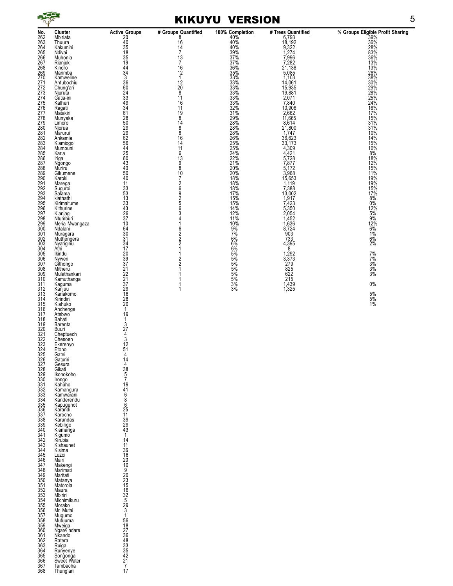

## KIKUYU VERSION 5

| No.                             | <b>Cluster</b>             | <b>Active Groups</b>                         | # Groups Quantified                         | 100% Completion                               | # Trees Quantified                                    | % Groups Eligible Profit Sharing           |
|---------------------------------|----------------------------|----------------------------------------------|---------------------------------------------|-----------------------------------------------|-------------------------------------------------------|--------------------------------------------|
| 262<br>263                      | <b>Mbiriata</b><br>Thuura  | 20<br>40                                     | $\frac{8}{16}$                              | $40\%$<br>$40\%$<br>$40\%$<br>$39\%$          | $\frac{6,793}{6,793}$<br>18,192<br>9,322<br>1,274     | 39%<br>36%<br>28%<br>83%                   |
| 264                             | Kakumini                   | $\frac{35}{18}$                              | $^{14}_{7}$                                 |                                               |                                                       |                                            |
| 265<br>266                      | Ndivai<br>Muhonia          |                                              | 1 <sup>3</sup>                              |                                               |                                                       | 36%                                        |
| 267<br>268                      | Rianjuki                   | 35<br>19<br>44<br>34<br>3                    | 7                                           | $\frac{37\%}{37\%}$                           | $7,996$<br>$7,282$<br>$21,138$                        | 13%                                        |
|                                 | Kinoro<br>Marimba          |                                              | 16<br>12                                    | 36%<br>35%                                    |                                                       | 13%<br>28%                                 |
| 269<br>270                      | Kamweline                  |                                              | 1                                           | 33%                                           | $5,085$<br>$1,103$                                    | 38%                                        |
| 271<br>272<br>273<br>274        | Antubochiu<br>Chung'ari    | 36<br>60<br>24<br>33<br>34<br>34             | 12<br>20                                    | 33%<br>33%                                    | 14,061<br>15,935<br>19,881<br>2,071                   |                                            |
|                                 | Njuruta                    |                                              | 8                                           | 33%                                           |                                                       |                                            |
|                                 | Gatia-ini<br>Katheri       |                                              | 11<br>16                                    | 33%                                           |                                                       |                                            |
| 275<br>276<br>277<br>278<br>279 | Ragati                     |                                              | 11                                          | 33%<br>32%<br>31%<br>29%                      | 7,840<br>10,906<br>2,662<br>11,665<br>8,614<br>21,800 | 30%<br>29%<br>28%<br>25%<br>24%<br>16%     |
|                                 | Maťakiri<br>Munyaka        | 61                                           | 19<br>8                                     |                                               |                                                       | 17%<br>15%                                 |
|                                 | Limoro                     | 28099265430643050                            | $\begin{array}{c} 14 \\ 8 \end{array}$      | 28%<br>28%                                    |                                                       | $\frac{31\%}{31\%}$                        |
| 280                             | Njorua                     |                                              |                                             |                                               |                                                       |                                            |
| 281<br>282                      | Marurui<br>Ankamia         |                                              | 8<br>16                                     | 28%<br>26%                                    | $1,747$<br>36,623<br>33,173                           | $\frac{10\%}{14\%}$<br>$\frac{15\%}{15\%}$ |
| 283                             | Kiamiogo                   |                                              | 14                                          | 25%<br>25%                                    |                                                       |                                            |
| 284<br>285                      | Mumbuni<br>Karia           |                                              | 11<br>6                                     |                                               | $4,309$<br>$4,421$                                    | 10%<br>8%                                  |
| 286                             | Iriga                      |                                              |                                             |                                               | $\frac{5,728}{7,877}$<br>5,172                        |                                            |
| 287<br>287<br>288               | Ngongo<br>Muriru           |                                              | $\begin{array}{c} 13 \\ 9 \\ 8 \end{array}$ |                                               |                                                       | 18%<br>12%<br>15%                          |
| 289                             | Gikumene                   |                                              | 10                                          | 24%<br>22%<br>21%<br>20%<br>20%<br>18%<br>18% | 3,968                                                 | 11%                                        |
| 290<br>291<br>292<br>293        | Karoki<br>Marega           | $\frac{40}{11}$                              | 7                                           |                                               | 15,653<br>1,119                                       | 19%<br>19%                                 |
|                                 | Suguroi                    |                                              |                                             | $\frac{18\%}{17\%}$                           | 7,388<br>13,002                                       | 15%<br>17%                                 |
|                                 | Salama<br>kiathathi        |                                              |                                             |                                               |                                                       |                                            |
| 294<br>295                      | Kirimaitume                | $33$<br>$53$<br>$13$<br>$33$                 | 26925                                       | 15%<br>15%                                    | $\frac{1,917}{7,423}$                                 | $\frac{8\%}{0\%}$                          |
| 296                             | Kithurine                  | 43<br>26<br>37<br>10                         | 6<br>3                                      | $\frac{14\%}{12\%}$                           | $5,350$<br>2,054                                      | $\frac{12\%}{5\%}$<br>$\frac{9\%}{2\%}$    |
| 297<br>298<br>299               | Kianjagi<br>Ntumburi       |                                              | 4                                           | 11%                                           | $\frac{1,452}{1,636}$                                 |                                            |
| 300                             | Meria Mwangaza             |                                              | 1                                           | 10%                                           | 8,724                                                 | $\frac{12\%}{6\%}$                         |
| 301                             | Ndalani                    | 64<br>30                                     | 6                                           | 9%                                            | 903                                                   | 1%                                         |
| 302<br>303                      | Muragara<br>Muthengera     | $\frac{31}{34}$<br>$\frac{17}{17}$           | $\frac{2}{2}$                               | $\frac{7\%}{6\%}$                             | 733                                                   | $\frac{6\%}{2\%}$                          |
| 304                             | Nyariginu<br>Athi          |                                              | 1                                           | 6%                                            | 4,395<br>8                                            |                                            |
| 305                             | Ikindu                     |                                              | 1                                           | $\frac{5\%}{5\%}$                             | $\frac{1,292}{3,373}$                                 | $7\%$<br>7%                                |
| 306<br>307                      | Nyweri<br>Githongo         |                                              | $\frac{2}{2}$                               | 5%                                            | 279                                                   |                                            |
| 308                             | Mitheru                    | 20<br>39<br>37<br>22<br>21<br>37<br>32<br>46 |                                             | 5%                                            | 825                                                   | $\frac{3\%}{3\%}$                          |
| 309<br>310                      | Mulathankari<br>Kamuthanga |                                              | 1                                           | $\frac{5\%}{5\%}$                             | 622<br>215                                            | 3%                                         |
| 311                             | Kaguma                     |                                              | 1                                           | 3%                                            | 1,439<br>1,325                                        | $0\%$                                      |
| 312<br>313<br>314<br>315        | Kanjuu<br>Kariakomo        |                                              | 1                                           | 3%                                            |                                                       |                                            |
|                                 | Kirindini                  | 28                                           |                                             |                                               |                                                       | $5\%$<br>$5\%$                             |
| 316                             | Kiahuko<br>Anchenge        | $\overline{20}$<br>$\mathbf{1}$              |                                             |                                               |                                                       | 1%                                         |
|                                 | Atebwo                     | $\begin{array}{c} 19 \\ 1 \end{array}$       |                                             |                                               |                                                       |                                            |
| 317<br>318                      | Bahati                     |                                              |                                             |                                               |                                                       |                                            |
| 319<br>320<br>321               | Barenta<br>Buuri           | $\frac{3}{27}$                               |                                             |                                               |                                                       |                                            |
|                                 | Cheptuech<br>Chesoen       | $\frac{4}{3}$<br>12                          |                                             |                                               |                                                       |                                            |
| 322<br>323                      | Ekerenyo                   |                                              |                                             |                                               |                                                       |                                            |
| 324<br>325                      | Etono                      | 51<br>4                                      |                                             |                                               |                                                       |                                            |
|                                 | Gatei<br>Gaturiri          |                                              |                                             |                                               |                                                       |                                            |
|                                 | Gesura                     | $\begin{array}{c} 14 \\ 4 \end{array}$       |                                             |                                               |                                                       |                                            |
|                                 | Gikati<br>Ikohokoho        | $\frac{38}{5}$                               |                                             |                                               |                                                       |                                            |
|                                 | Irongo                     |                                              |                                             |                                               |                                                       |                                            |
|                                 | Kahuho                     |                                              |                                             |                                               |                                                       |                                            |
|                                 | Kamangura<br>Kamwarani     |                                              |                                             |                                               |                                                       |                                            |
|                                 | Kanderendu                 | 19416862511399343                            |                                             |                                               |                                                       |                                            |
|                                 | Kapugunot<br>Karandi       |                                              |                                             |                                               |                                                       |                                            |
|                                 | Karocho<br>Karundas        |                                              |                                             |                                               |                                                       |                                            |
|                                 | Kebirigo                   |                                              |                                             |                                               |                                                       |                                            |
|                                 | Kiamariga<br>Kigumo        | $\mathbf{1}$                                 |                                             |                                               |                                                       |                                            |
| 341<br>342<br>343<br>344        | Kirubia                    | $\frac{14}{11}$                              |                                             |                                               |                                                       |                                            |
|                                 | Kishaunet<br>Kisima        | 36                                           |                                             |                                               |                                                       |                                            |
| 345<br>346<br>347<br>348        | Luzoi                      | 16                                           |                                             |                                               |                                                       |                                            |
|                                 | Mairi                      |                                              |                                             |                                               |                                                       |                                            |
|                                 | Makengi<br>Marimati        |                                              |                                             |                                               |                                                       |                                            |
| 319<br>349<br>350<br>351        | Maritati<br>Matanya        |                                              |                                             |                                               |                                                       |                                            |
|                                 | Matorola                   |                                              |                                             |                                               |                                                       |                                            |
| 352<br>353<br>353               | Maura<br>Mbiriri           | 2010920315163252931                          |                                             |                                               |                                                       |                                            |
| 354<br>355                      | Michimikuru                |                                              |                                             |                                               |                                                       |                                            |
| 356                             | Morako<br>Mr. Mutai        |                                              |                                             |                                               |                                                       |                                            |
|                                 | Mugumo                     |                                              |                                             |                                               |                                                       |                                            |
| 357<br>358<br>359               | Mutuuma<br>Mweiga          |                                              |                                             |                                               |                                                       |                                            |
| 360                             | Ngare ndare                |                                              |                                             |                                               |                                                       |                                            |
| 361<br>362<br>363               | Nkando<br>Ratera           |                                              |                                             |                                               |                                                       |                                            |
|                                 | Ruiga                      |                                              |                                             |                                               |                                                       |                                            |
| 364                             | Runyenye                   | 5618768335421                                |                                             |                                               |                                                       |                                            |
| 365<br>366                      | Songonga<br>Sweet Water    |                                              |                                             |                                               |                                                       |                                            |
| 367<br>368                      | Tambacha<br>Thung'ari      | $\frac{7}{17}$                               |                                             |                                               |                                                       |                                            |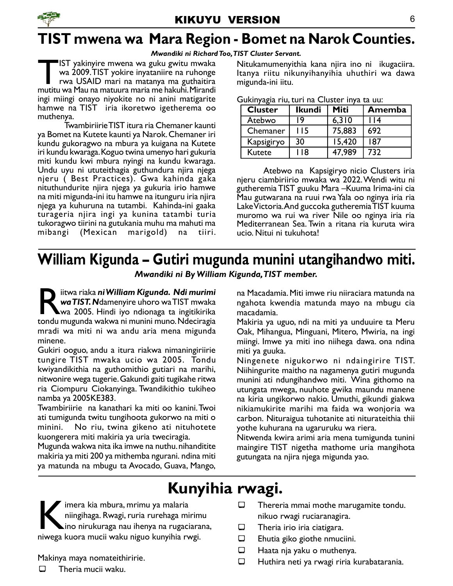

# TIST mwena wa Mara Region - Bomet na Narok Counties.

#### Mwandiki ni Richard Too, TIST Cluster Servant.

THE ST yakinyire mwena wa guku gwitu mwaka wa 2009.TIST yokire inyataniire na ruhonge rwa USAID mari na matanya ma guthaitira mutitu wa Mau na matuura maria me hakuhi. Mirandi IST yakinyire mwena wa guku gwitu mwaka wa 2009. TIST yokire inyataniire na ruhonge rwa USAID mari na matanya ma guthaitira ingi miingi onayo niyokite no ni anini matigarite hamwe na TIST iria ikoretwo igetherema oo muthenya.

Twambiriirie TIST itura ria Chemaner kaunti ya Bomet na Kutete kaunti ya Narok. Chemaner iri kundu gukoragwo na mbura ya kuigana na Kutete iri kundu kwaraga. Koguo twina umenyo hari gukuria miti kundu kwi mbura nyingi na kundu kwaraga. Undu uyu ni ututeithagia guthundura njira njega njeru ( Best Practices). Gwa kahinda gaka nituthundurite njira njega ya gukuria irio hamwe na miti migunda-ini itu hamwe na itunguru iria njira njega ya kuhuruna na tutambi. Kahinda-ini gaaka turageria njira ingi ya kunina tatambi turia tukoragwo tiirini na gutukania muhu ma mahuti ma mibangi (Mexican marigold) na tiiri.

Nitukamumenyithia kana njira ino ni ikugaciira. Itanya riitu nikunyihanyihia uhuthiri wa dawa migunda-ini iitu.

| <b>Cluster</b> | <b>Ikundi</b> | <b>Miti</b> | Amemba |
|----------------|---------------|-------------|--------|
| Atebwo         | ۱9            | 6,310       | l I 4  |
| Chemaner       | l I 5         | 75,883      | 692    |
| Kapsigiryo     | 30            | 15,420      | 187    |
| Kutete         | l 18          | 47.989      | 732    |

Gukinyagia riu, turi na Cluster inya ta uu:

Atebwo na Kapsigiryo nicio Clusters iria njeru ciambiriirio mwaka wa 2022. Wendi witu ni gutheremia TIST guuku Mara –Kuuma Irima-ini cia Mau gutwarana na ruui rwa Yala oo nginya iria ria Lake Victoria. And guccoka gutheremia TIST kuuma muromo wa rui wa river Nile oo nginya iria ria Mediterranean Sea. Twin a ritana ria kuruta wira ucio. Nitui ni tukuhota!

### William Kigunda – Gutiri mugunda munini utangihandwo miti.

Mwandiki ni By William Kigunda, TIST member.

Ritwa riaka ni William Kigunda. Ndi murimi<br>
wa TIST. Ndamenyire uhoro wa TIST mwaka<br>
tondu mugunda wakwa ni munini muno. Ndeciragia iitwa riaka ni William Kigunda. Ndi murimi wa TIST. Ndamenyire uhoro wa TIST mwaka wa 2005. Hindi iyo ndionaga ta ingitikirika mradi wa miti ni wa andu aria mena migunda minene.

Gukiri ooguo, andu a itura riakwa nimaningiriirie tungire TIST mwaka ucio wa 2005. Tondu kwiyandikithia na guthomithio gutiari na marihi, nitwonire wega tugerie. Gakundi gaiti tugikahe ritwa ria Ciompuru Ciokanyinga. Twandikithio tukiheo namba ya 2005KE383.

Twambiriirie na kanathari ka miti oo kanini. Twoi ati tumigunda twitu tungihoota gukorwo na miti o minini. No riu, twina gikeno ati nituhotete kuongerera miti makiria ya uria tweciragia.

Mugunda wakwa nita ika imwe na nuthu. nihanditite makiria ya miti 200 ya mithemba ngurani. ndina miti ya matunda na mbugu ta Avocado, Guava, Mango,

na Macadamia. Miti imwe riu niiraciara matunda na ngahota kwendia matunda mayo na mbugu cia macadamia.

Makiria ya uguo, ndi na miti ya unduuire ta Meru Oak, Mihangua, Minguani, Mitero, Mwiria, na ingi miingi. Imwe ya miti ino niihega dawa. ona ndina miti ya guuka.

Ningenete nigukorwo ni ndaingirire TIST. Niihingurite maitho na nagamenya gutiri mugunda munini ati ndungihandwo miti. Wina githomo na utungata mwega, nuuhote gwika maundu manene na kiria ungikorwo nakio. Umuthi, gikundi giakwa nikiamukirite marihi ma faida wa wonjoria wa carbon. Nituraigua tuhotanite ati niturateithia thii yothe kuhurana na ugaruruku wa riera.

Nitwenda kwira arimi aria mena tumigunda tunini maingire TIST nigetha mathome uria mangihota gutungata na njira njega migunda yao.

# Kunyihia rwagi.

ka mbura, mrimu ya malaria<br>
niingihaga. Rwagi, ruria rurehaga mirim<br>
ino nirukuraga nau ihenya na rugaciara<br>
niwega kuora mucii waku niguo kunyihia rwgi. imera kia mbura, mrimu ya malaria niingihaga. Rwagi, ruria rurehaga mirimu ino nirukuraga nau ihenya na rugaciarana,

Makinya maya nomateithiririe.

 $\Box$  Theria mucii waku.

- $\Box$  Thereria mmai mothe marugamite tondu. nikuo rwagi ruciaranagira.
- $\Box$  Theria irio iria ciatigara.
- $\Box$  Ehutia giko giothe nmuciini.
- Haata nja yaku o muthenya.
- Huthira neti ya rwagi riria kurabatarania.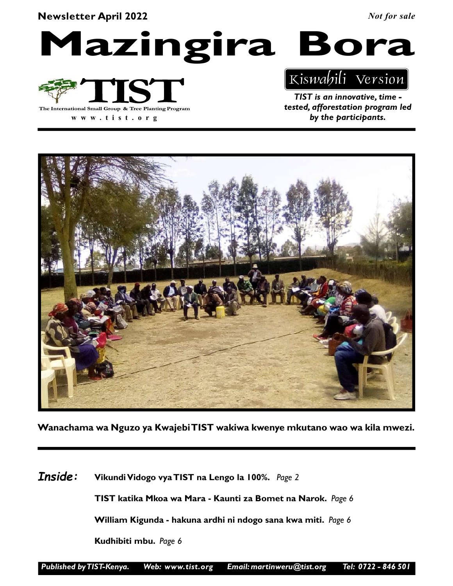#### Newsletter April 2022

Not for sale

Mazingira Bora



w w w . t i s t . o r g

## Kiswahili Version

TIST is an innovative, time tested, afforestation program led by the participants.



Wanachama wa Nguzo ya Kwajebi TIST wakiwa kwenye mkutano wao wa kila mwezi.

Vikundi Vidogo vya TIST na Lengo la 100%. Page 2 Inside:

TIST katika Mkoa wa Mara - Kaunti za Bomet na Narok. Page 6

William Kigunda - hakuna ardhi ni ndogo sana kwa miti. Page 6

Kudhibiti mbu. Page 6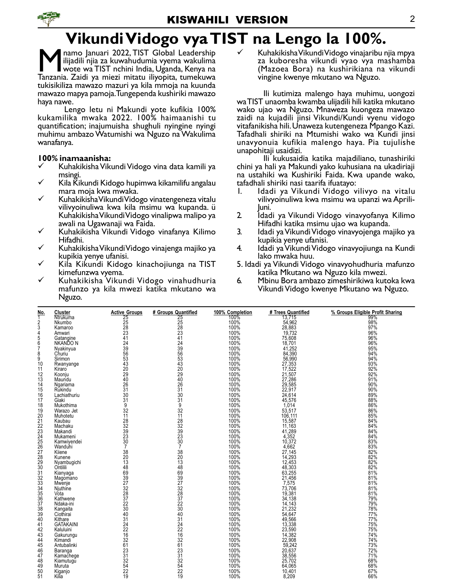# Vikundi Vidogo vya TIST na Lengo la 100%.

M namo Januari 2022, TIST Global Leadership<br>
ilijadili njia za kuwahudumia vyema wakulima<br>
Tanzania. Zaidi ya miezi mitatu iliyopita, tumekuwa namo Januari 2022, TIST Global Leadership ilijadili njia za kuwahudumia vyema wakulima wote wa TIST nchini India, Uganda, Kenya na tukisikiliza mawazo mazuri ya kila mmoja na kuunda mawazo mapya pamoja. Tungependa kushiriki mawazo haya nawe.

Lengo letu ni Makundi yote kufikia 100% kukamilika mwaka 2022. 100% haimaanishi tu quantification; inajumuisha shughuli nyingine nyingi muhimu ambazo Watumishi wa Nguzo na Wakulima wanafanya.

#### 100% inamaanisha:

- Kuhakikisha Vikundi Vidogo vina data kamili ya msingi.
- Kila Kikundi Kidogo hupimwa kikamilifu angalau mara moja kwa mwaka.
- Kuhakikisha Vikundi Vidogo vinatengeneza vitalu vilivyoinuliwa kwa kila msimu wa kupanda. ü Kuhakikisha Vikundi Vidogo vinalipwa malipo ya awali na Ugawanaji wa Faida.
- Kuhakikisha Vikundi Vidogo vinafanya Kilimo Hifadhi.
- Kuhakikisha Vikundi Vidogo vinajenga majiko ya kupikia yenye ufanisi.
- Kila Kikundi Kidogo kinachojiunga na TIST kimefunzwa vyema.
- Kuhakikisha Vikundi Vidogo vinahudhuria mafunzo ya kila mwezi katika mkutano wa Nguzo.

 Kuhakikisha Vikundi Vidogo vinajaribu njia mpya za kuboresha vikundi vyao vya mashamba (Mazoea Bora) na kushirikiana na vikundi vingine kwenye mkutano wa Nguzo.

Ili kutimiza malengo haya muhimu, uongozi wa TIST unaomba kwamba ulijadili hili katika mkutano wako ujao wa Nguzo. Mnaweza kuongeza mawazo zaidi na kujadili jinsi Vikundi/Kundi vyenu vidogo vitafanikisha hili. Unaweza kutengeneza Mpango Kazi. Tafadhali shiriki na Mtumishi wako wa Kundi jinsi unavyonuia kufikia malengo haya. Pia tujulishe unapohitaji usaidizi.

Ili kukusaidia katika majadiliano, tunashiriki chini ya hali ya Makundi yako kuhusiana na ukadiriaji na ustahiki wa Kushiriki Faida. Kwa upande wako, tafadhali shiriki nasi taarifa ifuatayo:

- 1. Idadi ya Vikundi Vidogo vilivyo na vitalu vilivyoinuliwa kwa msimu wa upanzi wa Aprili-Juni.
- 2. Idadi ya Vikundi Vidogo vinavyofanya Kilimo Hifadhi katika msimu ujao wa kupanda.
- 3. Idadi ya Vikundi Vidogo vinavyojenga majiko ya kupikia yenye ufanisi.
- 4. Idadi ya Vikundi Vidogo vinavyojiunga na Kundi lako mwaka huu.
- 5. Idadi ya Vikundi Vidogo vinavyohudhuria mafunzo katika Mkutano wa Nguzo kila mwezi.
- 6. Mbinu Bora ambazo zimeshirikiwa kutoka kwa Vikundi Vidogo kwenye Mkutano wa Nguzo.

| No.<br>1                                            | Cluster<br>Ntrukuma   | <b>Active Groups</b>       | # Groups Quantified   | 100% Completion<br>100% | # Trees Quantified<br>13.715                              | % Groups Eligible Profit Sharing |
|-----------------------------------------------------|-----------------------|----------------------------|-----------------------|-------------------------|-----------------------------------------------------------|----------------------------------|
| 2                                                   | Nkumbo                | 25                         | 25                    | 100%                    | 54,962                                                    | 99%                              |
| 3                                                   | Kamaroo               | 25<br>28<br>23             | 25<br>28<br>23        | 100%                    | 28,883                                                    | 98%<br>97%<br>96%                |
| 4                                                   | Amwari                |                            |                       | 100%                    | 19,732                                                    |                                  |
| 5                                                   |                       | $\overline{41}$            | 41                    |                         |                                                           |                                  |
| 6                                                   | Gatangine<br>NKANDO N |                            | 24                    | 100%<br>100%            | 75,608<br>18,701                                          | 96%<br>96%                       |
| 7                                                   | Nyakinyua             | $\frac{24}{39}$            |                       | 100%                    | 41,252                                                    | 95%                              |
| 8                                                   | Churiu                | 56                         | $\frac{1}{39}$        | 100%                    |                                                           |                                  |
| 9                                                   | Sirimon               | 53                         | 53                    | 100%                    | 84,390                                                    | 94%<br>94%                       |
| 10                                                  | Rwanyange             | 43                         | 43                    | 100%                    | 27,353                                                    | 93%                              |
| 11                                                  | Kiraro                | 20                         |                       | 100%                    |                                                           |                                  |
| 12                                                  | Koonju                | 29                         | $\frac{20}{29}$       | 100%                    | $\frac{17,522}{21,507}$                                   | $\frac{92\%}{92\%}$              |
| 13                                                  | Maundu                | 40                         | 40                    | 100%                    | 27,286                                                    | 91%                              |
| 14                                                  | Ngariama              | 26                         | 26                    | 100%                    |                                                           |                                  |
| 15                                                  | Rŭkindu               | $\overline{31}$            | $\overline{31}$       | 100%                    | 29,585<br>22,917                                          | 90%<br>90%                       |
| 16                                                  | Lachiathuriu          | 30                         | 30                    | 100%                    | 24.614                                                    | 89%                              |
| 17                                                  | Giaki                 | 31                         | 31                    |                         |                                                           |                                  |
| 18                                                  | Mukothima             | $\overline{9}$             | $\overline{9}$        | 100%<br>100%            | 45,576<br>1,014                                           | $\frac{88\%}{86\%}$              |
| 19                                                  | Warazo Jet            | 32                         | 32                    | 100%                    | 53.517                                                    | 86%                              |
| 20                                                  | Muhotetu              | 11                         | 11                    |                         | 106,111                                                   | 85%                              |
| 21                                                  | Kaubau                | 28                         | 28                    | 100%<br>100%            | 15,587                                                    | 84%                              |
| 22                                                  | Machaku               |                            |                       | 100%                    | 11,163                                                    |                                  |
| 23                                                  | Makandi               | 32<br>39<br>23             | $\frac{32}{39}$       | 100%                    | $41,289$<br>$4,352$                                       | 84%<br>84%                       |
| $\overline{2}$ <sup><math>\overline{4}</math></sup> | Mukameni              |                            |                       | 100%                    |                                                           | 84%                              |
| $\begin{array}{c} 25 \\ 26 \end{array}$             | Kamwiyendei           | 30                         | 30                    | 100%                    | 10,372                                                    | $\frac{83\%}{83\%}$              |
|                                                     | Wanduhi               | $\overline{7}$             | $\overline{7}$        | 100%                    | 4,662                                                     |                                  |
| 27                                                  | Kiiene                | 38                         | 38                    | 100%                    |                                                           |                                  |
| 28                                                  | Kunene                | 20                         | 20                    | 100%                    | 27,145<br>14,293                                          | 82%<br>82%                       |
|                                                     | Nyambugichi           | 13                         | 13                    | 100%                    |                                                           |                                  |
| $\frac{29}{30}$                                     | Ontilili              | 48                         | 48                    | 100%                    | $\begin{array}{c} 12,453 \\ 48,303 \\ 63,255 \end{array}$ | 82%<br>82%<br>81%                |
| 31                                                  | Kianyaga              | 69                         | 69                    | 100%                    |                                                           |                                  |
| 32                                                  | Magomano              | 39                         | $\frac{39}{27}$       | 100%<br>100%            | 21,456<br>7,575                                           | 81%                              |
| 33                                                  | Mwenje                | 27                         |                       |                         |                                                           | 81%                              |
| 34                                                  | Njuthine              | 32                         | 32                    | 100%                    | 73,706                                                    | 81%                              |
| 35                                                  | Vota                  | 28                         | $\frac{28}{37}$       | 100%                    | 19,381<br>34,138                                          | 81%                              |
| 36                                                  | Kathwene              | 37                         |                       | 100%                    |                                                           | 79%                              |
| 37                                                  | Ndaka-ini             | 22                         | 22                    | 100%                    | 14,143                                                    | 79%                              |
| 38                                                  | Kangaita<br>Ciothirai | 30                         | 30                    | 100%                    | 21,232                                                    | 78%<br>77%                       |
| 39                                                  |                       | 40                         | 40                    | 100%                    | 54,647                                                    |                                  |
| 40                                                  | Kithare               | 31                         | 31                    | 100%                    | 49,566                                                    | 77%                              |
| 41                                                  | <b>GATAKAINI</b>      | 24<br>22                   | $\frac{24}{22}$       | 100%                    | 13,338                                                    | 75%                              |
| 42                                                  | Kaluluini             |                            |                       | 100%                    | 23,590                                                    | 75%                              |
| 43                                                  | Gakurungu             | 16                         | 16                    | 100%                    | 14,382                                                    | 74%                              |
| 44                                                  | Kimandi               | $\frac{32}{61}$            | $\frac{32}{61}$       | 100%<br>100%            | 22,908<br>59,242                                          | 74%<br>73%                       |
| 45                                                  | Antubalinki           |                            |                       |                         |                                                           |                                  |
| 46                                                  | Baranga               | 23                         | $\frac{23}{31}$       | 100%                    | 20,637                                                    | 72%                              |
| 47                                                  | Kamachege             | 31                         |                       | 100%<br>100%            | 38,556<br>25,702                                          | 71%                              |
| 48                                                  | Kiamutugu             | $\overline{3}\overline{2}$ | 32                    |                         |                                                           | 68%                              |
| 49                                                  | Muruta                | $\frac{54}{22}$            |                       | 100%                    | 64,065                                                    | 68%                              |
| 50<br>51                                            | Kiganjo<br>Kilĭa      | $\overline{19}$            | $\frac{54}{22}$<br>19 | 100%<br>100%            | 10.401<br>8,209                                           | 67%<br>66%                       |
|                                                     |                       |                            |                       |                         |                                                           |                                  |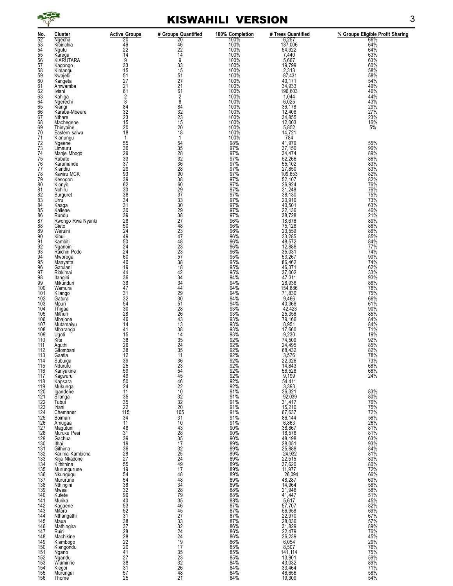

#### KISWAHILI VERSION 3

| No.               | Cluster                     | Active Groups                               | # Groups Quantified                     | 100% Completion      | # Trees Quantified                                                                                                                                           | % Groups Eligible Profit Sharing              |
|-------------------|-----------------------------|---------------------------------------------|-----------------------------------------|----------------------|--------------------------------------------------------------------------------------------------------------------------------------------------------------|-----------------------------------------------|
| 52                | Ngecha<br>Kibirichia        | 20                                          | $\frac{20}{46}$<br>$\frac{22}{14}$      | 100%<br>100%         | 6,257                                                                                                                                                        | 66%<br>64%<br>64%                             |
| 53<br>54          | Ngutu                       |                                             |                                         |                      |                                                                                                                                                              |                                               |
| 55                | Kărega<br>KIARUTARA         | $\frac{46}{22}$<br>$\frac{22}{14}$          |                                         | 100%<br>100%<br>100% | 137,006<br>54,922<br>7,440                                                                                                                                   | 63%                                           |
| 56                |                             | 9                                           | 9                                       |                      | 5,667<br>19,799<br>2,313                                                                                                                                     | 63%                                           |
| 57<br>58          | Kagongo<br>Kimangu          | 331515172161                                | $\frac{33}{15}$                         | 100%<br>100%         |                                                                                                                                                              | 60%                                           |
| 59                | Kwajebi                     |                                             | 51                                      | 100%                 |                                                                                                                                                              | 58%<br>58%                                    |
| 60                | Kangeta<br>Amwamba          |                                             | $\frac{27}{21}$                         | 100%<br>100%<br>100% | 87,431<br>40,171<br>34,933<br>196,603                                                                                                                        | 54%                                           |
| 61                |                             |                                             |                                         |                      |                                                                                                                                                              | 49%                                           |
| 62<br>63          | Iviani                      |                                             | 61                                      | 100%                 |                                                                                                                                                              | 46%<br>44%                                    |
| 64                | Kahiga<br>Ngerechi          | $\frac{2}{8}$                               | $\frac{2}{8}$                           | 100%                 | $\frac{100,000}{6,025}$                                                                                                                                      |                                               |
| 65                | Kiarigi                     |                                             |                                         | 100%                 | 36,178                                                                                                                                                       | 43%<br>29%<br>27%                             |
| 66                | Karaba-Mbeere               | 84<br>32<br>23<br>15<br>20<br>20<br>18      | $84$<br>$32$<br>$23$<br>$15$            | 100%<br>100%<br>100% | 12,408                                                                                                                                                       |                                               |
| 67                | Nthare                      |                                             |                                         |                      | 34,855<br>12,003                                                                                                                                             | 23%                                           |
| 68<br>69          | Machegene<br>Thinyaine      |                                             |                                         | 100%                 |                                                                                                                                                              | 16%<br>5%                                     |
| 70                | Eastern saiwa               |                                             | $\frac{20}{18}$                         | 100%                 | 5,852<br>14,721                                                                                                                                              |                                               |
| 71                | Kianungu                    | $\mathbf{1}$                                | 1                                       | 100%                 | 784                                                                                                                                                          |                                               |
| $\frac{72}{73}$   | Ngeene                      |                                             |                                         | 98%<br>97%           | $41,979$<br>$37,150$<br>$34,474$                                                                                                                             | 55%<br>96%                                    |
|                   | Limauru                     |                                             |                                         |                      |                                                                                                                                                              |                                               |
| $\frac{74}{75}$   | Manje Mbogo                 |                                             |                                         | 97%                  |                                                                                                                                                              | 89%<br>86%                                    |
| 76                | Rubate<br>Karumande         | 5369337933920338431309820524950             | 5458236829038                           | 97%<br>97%<br>97%    | $\frac{52,266}{55,102}$                                                                                                                                      |                                               |
| 77                | Kiandiu                     |                                             |                                         |                      |                                                                                                                                                              | 83%<br>83%<br>82%<br>82%                      |
| 78                | Kawiru MCK                  |                                             |                                         | 97%                  | 27,850<br>109,653                                                                                                                                            |                                               |
| 79                | Kesogon                     |                                             |                                         | $\frac{97\%}{97\%}$  | $\frac{52,007}{26,924}$<br>31,248<br>38,130                                                                                                                  |                                               |
| 80<br>81          | Kionyo                      |                                             | 60                                      | 97%                  |                                                                                                                                                              | 76%<br>76%                                    |
| 82                | Nchiru<br>Burguret          |                                             |                                         |                      |                                                                                                                                                              | 75%                                           |
| 83                | Urru                        |                                             |                                         | $\frac{97\%}{97\%}$  |                                                                                                                                                              |                                               |
| 84                | Kaaga                       |                                             | 2973309877824237                        | 97%                  | 20,910<br>40,501<br>22,136                                                                                                                                   | 73%<br>63%<br>46%                             |
| 85                | Kaliene                     |                                             |                                         | $\frac{97\%}{97\%}$  |                                                                                                                                                              |                                               |
| 86<br>87          | Rundu                       |                                             |                                         | 96%                  |                                                                                                                                                              | 21%<br>89%                                    |
| 88                | Rwongo Rwa Nyanki<br>Gieto  |                                             |                                         | 96%                  | 38,728<br>18,676<br>75,128                                                                                                                                   | 86%                                           |
| 89                | Weruini                     |                                             |                                         | 96%                  | 23,559<br>33,285<br>48,572<br>12,888                                                                                                                         | 86%                                           |
| 90                | Kibui                       |                                             |                                         | 96%                  |                                                                                                                                                              | 85%                                           |
| 91                | Kambiti                     |                                             | 48                                      | 96%                  |                                                                                                                                                              | 84%                                           |
| 92                | Nganoini<br>Raichiri Podo   |                                             |                                         | 96%                  |                                                                                                                                                              | 77%                                           |
| 93<br>94          | Mworoga                     | $\frac{24}{24}$<br>60                       | 23<br>23<br>57<br>38                    | 96%<br>95%           | 35,031                                                                                                                                                       | $74\%$<br>90%                                 |
| 95                | Manyatta                    | 40                                          |                                         | 95%                  | 86,462                                                                                                                                                       | 74%                                           |
| 96                | Gatulani                    |                                             | $rac{18}{42}$                           | 95%                  | 46,371<br>37,002                                                                                                                                             | $\frac{62\%}{33\%}$                           |
| 97                | Riakimai                    |                                             |                                         | 95%                  |                                                                                                                                                              |                                               |
| 98<br>99          | Itangini<br>Mikunduri       |                                             | 34                                      | 94%                  | $\frac{47,311}{28,936}$<br>154,886                                                                                                                           | 93%                                           |
| 100               | Wamura                      |                                             | 34<br>44<br>29<br>30                    | 94%<br>94%           |                                                                                                                                                              | 86%<br>78%                                    |
| 101               | Kilango                     |                                             |                                         | 94%                  | 71,830                                                                                                                                                       |                                               |
| 102               | Gatura                      |                                             |                                         | 94%                  | 9,466                                                                                                                                                        | 75%<br>66%                                    |
| 103               | Mpuri                       |                                             | 51                                      | 94%                  | 40,368<br>42,423                                                                                                                                             | 61%                                           |
| 104               | Thigaa                      |                                             |                                         | 93%<br>93%           |                                                                                                                                                              | 90%<br>85%                                    |
| 105<br>106        | Mithuri<br>Mbajone          |                                             |                                         | 93%                  | 25,356                                                                                                                                                       |                                               |
| 107               | Mutamaiyu                   | 19483443246444                              | 28<br>26<br>43<br>13<br>38<br>14        | 93%                  | 8,951<br>17,660<br>9,230<br>74,509                                                                                                                           | 84%<br>84%                                    |
| 108               | Mbaranga                    | 41                                          |                                         | 93%                  |                                                                                                                                                              | 71%                                           |
| 109               | Ugoti                       | 15                                          |                                         | 93%                  |                                                                                                                                                              | 19%                                           |
| 110               | Kite                        |                                             |                                         | 92%<br>92%           |                                                                                                                                                              | 92%<br>85%                                    |
| 111<br>112        | Aguthi<br>Gitombani         | 38<br>26<br>38<br>12                        | $\frac{35}{24}$                         | 92%                  | 24,495                                                                                                                                                       | 82%                                           |
| 113               | Gaatia                      |                                             | 11                                      | 92%                  | 3,576                                                                                                                                                        | 78%                                           |
| 114               | Subuiga                     | 39                                          | 36                                      | 92%                  | 22,326                                                                                                                                                       | 73%                                           |
| <b>115</b>        | Ndurutu                     | $^{25}$                                     | $\begin{array}{c} 23 \\ 54 \end{array}$ | 92%                  |                                                                                                                                                              | 68%<br>66%<br>24%                             |
| 116<br>117        | Kanyakine<br>Kagwuru        | 59<br>49<br>50                              |                                         | 92%<br>92%           |                                                                                                                                                              |                                               |
| 118               | Kapsara                     |                                             |                                         | 92%                  |                                                                                                                                                              |                                               |
| 119               | Mukunga                     | $^{24}_{11}$                                | 45<br>46<br>22<br>10                    | 92%<br>91%           |                                                                                                                                                              |                                               |
| 120               | Igandene                    |                                             |                                         |                      |                                                                                                                                                              | 83%<br>80%                                    |
| 121               | Silanga                     |                                             | 32                                      | $\frac{91\%}{91\%}$  |                                                                                                                                                              |                                               |
| 122<br>123        | Tubui<br>Iriani             |                                             | 32<br>$\overline{20}$                   | 91%                  |                                                                                                                                                              |                                               |
| 124               | Chemaner                    | $\frac{35}{35}$<br>$\frac{22}{15}$          | 105                                     | 91%                  | 14,843<br>56,528<br>9,199<br>54,411<br>3,393<br>36,321<br>92,039<br>31,417<br>15,210<br>67,637<br>86,144                                                     | 76%<br>75%<br>72%<br>76%<br>56%<br>81%<br>81% |
| 125               | Boiman                      | 34                                          | 31                                      | 91%                  |                                                                                                                                                              |                                               |
| $\frac{126}{127}$ | Amugaa                      | 11                                          | 10                                      | 91%                  |                                                                                                                                                              |                                               |
| 128               | Magutuni<br>Muruku Pesi     | 48                                          | 43                                      | 90%<br>90%           |                                                                                                                                                              |                                               |
| 129               | Gachua                      |                                             | 28<br>35<br>17                          | 90%                  |                                                                                                                                                              | 63%                                           |
| 130               | Ithai                       |                                             |                                         | 89%                  |                                                                                                                                                              |                                               |
| 131               | Githima                     | 31<br>39<br>19<br>36<br>22<br>55<br>51<br>9 | 32<br>25<br>24<br>49                    | 89%<br>89%           | 88, 144<br>6, 863<br>38, 867<br>18, 576<br>48, 198<br>28, 051<br>25, 888<br>24, 932<br>22, 515<br>37. 620                                                    | 93%<br>84%<br>81%                             |
| 132<br>133        | Karima Kambicha             |                                             |                                         | 89%                  |                                                                                                                                                              |                                               |
| 134               | Kiija Nkadone<br>Kithithina |                                             |                                         |                      |                                                                                                                                                              | 80%<br>80%<br>72%<br>66%                      |
| 135               |                             |                                             | 17                                      | 89%<br>89%           |                                                                                                                                                              |                                               |
| 136               | Murungurune<br>Nkungugu     |                                             | $\frac{48}{48}$                         | 89%                  |                                                                                                                                                              |                                               |
| 137               | Mururune                    | 54<br>54<br>38<br>32                        |                                         | 89%                  |                                                                                                                                                              |                                               |
| 138<br>139        | Nthingini<br>Mwea           |                                             | 34<br>$\overline{28}$                   | 89%                  |                                                                                                                                                              |                                               |
| 140               | Kutete                      |                                             |                                         | $\frac{88\%}{88\%}$  |                                                                                                                                                              | 60%<br>56%<br>58%<br>51%                      |
| 141               | Murika                      | $\frac{90}{40}$                             |                                         | 88%                  |                                                                                                                                                              | 45%                                           |
| 142               | Kagaene                     |                                             |                                         | $\frac{87\%}{87\%}$  |                                                                                                                                                              |                                               |
| 143               | Mitoro                      | $\frac{153}{52}$                            | 79<br>35<br>46<br>45<br>27              |                      | 37,620<br>11,977<br>26,094<br>48,287<br>44,287<br>27,707<br>57,707<br>56,958<br>22,970<br>31,829<br>31,829<br>22,479<br>22,970<br>31,829<br>22,479<br>22,970 | 82%<br>69%<br>67%                             |
| 144<br>145        | Nthangathi                  | $\overline{38}$                             | $\overline{3}3$                         | 87%                  |                                                                                                                                                              |                                               |
| 146               | Maua<br>Mathingira          |                                             |                                         | $\frac{87\%}{86\%}$  |                                                                                                                                                              | 57%<br>89%<br>76%                             |
| 147               | Ruiri                       |                                             |                                         | 86%                  |                                                                                                                                                              |                                               |
| 148               | Machikine                   |                                             |                                         | 86%                  |                                                                                                                                                              |                                               |
| 149               | Kiambogo                    | 37<br>28<br>22<br>22<br>20<br>41            | 32<br>24<br>24<br>19<br>17              | 86%                  | 6,054                                                                                                                                                        | 45%<br>29%<br>76%                             |
| 150<br>151        | Kiangondu<br>Ngano          |                                             | 35                                      | 85%<br>85%           | $8,507$<br>141,114                                                                                                                                           |                                               |
| 152               | Ngandu                      |                                             |                                         | 85%                  |                                                                                                                                                              |                                               |
| 153               | Wiumiririe                  | $\frac{27}{38}$                             | $\frac{23}{32}$<br>$\frac{26}{3}$       | 84%                  | $\begin{array}{c} 13,901 \\ 43,032 \\ 33,464 \end{array}$                                                                                                    |                                               |
| 154               | Kiegoi                      | 31                                          |                                         | 84%                  |                                                                                                                                                              |                                               |
| 155<br>156        | Murungai<br>Thome           | 57<br>25                                    | 48<br>21                                | 84%<br>84%           | 46,656<br>19,309                                                                                                                                             | 75%<br>59%<br>89%<br>71%<br>76%<br>58%        |
|                   |                             |                                             |                                         |                      |                                                                                                                                                              |                                               |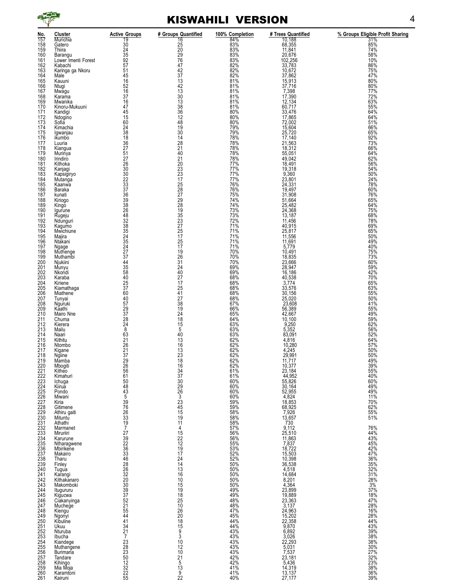

### KISWAHILI VERSION 4

| Profit Sharing |
|----------------|

| No.                                                  | <b>Cluster</b>                 | <b>Active Groups</b>                                           | # Groups Quantified        | 100% Completion                      | # Trees Quantified                                                                                       | % Groups Eligible Profit Sharing                                                                                  |
|------------------------------------------------------|--------------------------------|----------------------------------------------------------------|----------------------------|--------------------------------------|----------------------------------------------------------------------------------------------------------|-------------------------------------------------------------------------------------------------------------------|
| 157<br>158                                           | Murichia<br>Gatero             | 19<br>30                                                       | 16                         | 84%<br>83%                           | $\frac{10,188}{10,188}$<br>68,355<br>11,841<br>20,676                                                    | 31%<br>85%                                                                                                        |
| 159<br>160                                           | Thiira<br>Barangu              | $\frac{24}{35}$<br>92<br>57                                    | 25<br>20<br>29<br>76       | 83%<br>83%                           |                                                                                                          | 74%<br>58%                                                                                                        |
| 161                                                  | Lower Imenti Forest            |                                                                |                            | 83%                                  |                                                                                                          | 10%                                                                                                               |
| 162<br>163                                           | Kabachi<br>Karinga ga Nkoru    | 51                                                             | 47<br>42                   | 82%<br>82%                           | $\frac{102,256}{33,783}$<br>$\frac{10,672}{33,000}$                                                      | 86%<br>75%                                                                                                        |
| 164                                                  | Male                           |                                                                | 37                         | 82%                                  | 37,862                                                                                                   | 47%                                                                                                               |
| 165<br>166                                           | Kauuni<br>Ntugi                | 51<br>45<br>16<br>52                                           | $1342$<br>$1330$<br>$13$   | 81%<br>81%                           | $\frac{15,913}{37,716}$                                                                                  | 80%<br>80%                                                                                                        |
| 167                                                  | Mwagu                          | $\frac{52}{16}$                                                |                            | 81%                                  |                                                                                                          |                                                                                                                   |
| 168<br>169                                           | Karama<br>Mwanika              | 37<br>16                                                       |                            | 81%                                  | 7,398<br>17,390<br>12,134                                                                                | 77%<br>72%<br>63%                                                                                                 |
| 170                                                  | Kinoru-Mukuuni                 | 47                                                             | 38                         | $\frac{81\%}{81\%}$                  | 60,717                                                                                                   | 55%                                                                                                               |
| 171<br>172                                           | Kandigi<br>Ndogino             | 45<br>15                                                       | $\frac{36}{12}$            | 80%<br>80%                           | $\frac{33,476}{17,865}$                                                                                  | 64%<br>64%                                                                                                        |
| 173                                                  | Sofia                          | 60                                                             | 48                         | 80%                                  | 72,002                                                                                                   | 51%                                                                                                               |
| 174<br>175                                           | Kimachia<br>Igwanjau           | $\frac{24}{38}$<br>18                                          | 19<br>30                   | 79%                                  | $15,604$<br>$25,720$                                                                                     | 66%<br>65%                                                                                                        |
| 176                                                  | ikumbo                         |                                                                | 14                         | 79%<br>78%                           | 17,140                                                                                                   | 92%                                                                                                               |
| 177<br>178                                           | Luuria<br>Kiangua              |                                                                | $\frac{28}{21}$            | 78%<br>78%                           | $21,563$<br>18,312                                                                                       | 73%<br>66%                                                                                                        |
| 179<br>180                                           | Murinya<br>Irindiro            | 36<br>27<br>51<br>27<br>26<br>30                               | 40                         | 78%<br>78%                           | 55,051<br>49,042<br>18,491                                                                               | 64%<br>62%                                                                                                        |
| 181                                                  | Kithoka                        |                                                                | 21<br>20<br>23<br>23<br>17 | 77%                                  |                                                                                                          | 56%                                                                                                               |
| 182<br>183                                           | Kanjagi<br>Kapsigiryo          |                                                                |                            | 77%<br>77%                           | 19,318<br>9,360                                                                                          | 54%<br>50%                                                                                                        |
| 184                                                  | Mutanga                        |                                                                |                            | 77%                                  | 23,801                                                                                                   | 24%                                                                                                               |
| 185<br>186                                           | Kaanwa<br>Baraka               | 30<br>22<br>33<br>37                                           | $\frac{25}{28}$            | 76%<br>76%                           | 24,331<br>19,497                                                                                         | 78%<br>60%                                                                                                        |
| 187                                                  | kunati                         |                                                                |                            | 75%                                  | 31,908                                                                                                   | 76%                                                                                                               |
| 188<br>189                                           | Kiriogo<br>Kingo               |                                                                | 29<br>28<br>19<br>19<br>35 | 74%<br>74%                           | 51,664                                                                                                   | 65%<br>64%                                                                                                        |
| 190                                                  | Igurune                        |                                                                |                            | 73%                                  | 25,482                                                                                                   | 75%                                                                                                               |
| 191<br>192                                           | Rugeju<br>Ndunguri             |                                                                |                            | 73%<br>72%                           | 13,187<br>11,456                                                                                         | 68%<br>78%                                                                                                        |
| 193                                                  | Kagumo                         |                                                                | $\frac{23}{27}$<br>25      | 71%<br>71%                           | 40,915                                                                                                   | 69%<br>65%                                                                                                        |
| 194<br>195                                           | Mwichiune<br>Majira            |                                                                | $\overline{17}$            | 71%                                  | 25,817<br>11,556                                                                                         | 50%                                                                                                               |
| 196<br>197                                           | Ntakani                        | 36<br>39<br>38<br>48<br>32<br>35<br>34<br>35<br>24<br>37<br>44 | $\frac{25}{17}$            | 71%<br>71%                           | 11,691                                                                                                   | 49%<br>40%                                                                                                        |
| 198                                                  | Ngage<br>Muthenge<br>Muthambi  |                                                                | 19                         | 70%                                  | 5,779<br>10,491                                                                                          | 75%                                                                                                               |
| 199<br>200                                           | Njukiini                       |                                                                | 26<br>31                   | 70%<br>70%                           | 18,835<br>23,666                                                                                         | 73%<br>60%                                                                                                        |
| 201                                                  | Munyu                          | $\frac{35}{58}$                                                | 24                         | 69%                                  | 28,947                                                                                                   | 59%                                                                                                               |
| 202<br>203                                           | Nkondi<br>Karaba               | 40                                                             | 40<br>27                   | 69%<br>68%                           | 16,186                                                                                                   | 42%<br>70%                                                                                                        |
| 204                                                  | Kiriene                        | $\frac{25}{37}$                                                | 17                         | 68%                                  | $\frac{40,538}{3,774}$                                                                                   | 65%                                                                                                               |
| 205<br>206                                           | Kiamathaga<br>Miathene         | 60                                                             | 25<br>41                   | 68%<br>68%                           | 33,576                                                                                                   | 63%<br>55%                                                                                                        |
| 207<br>208                                           | Tunyai                         | 40<br>57                                                       | 27                         | 68%<br>67%                           | 30,156<br>25,020<br>23,608                                                                               | 50%<br>41%                                                                                                        |
| 209                                                  | Nguruki<br>Kaathi              | $\frac{29}{37}$                                                | $\frac{38}{19}$            | 66%                                  |                                                                                                          | 55%                                                                                                               |
| 210<br>211                                           | Mairo Nne<br>Chuma             |                                                                | $\frac{24}{18}$            | 65%<br>64%                           | 56,389<br>42,667<br>10,100                                                                               | 49%<br>59%                                                                                                        |
|                                                      | Kierera                        | $\frac{28}{24}$                                                | 15                         | 63%                                  | $9,250$<br>5,352                                                                                         | 62%                                                                                                               |
| 212<br>213<br>214                                    | Mailu<br>Naari                 | 8<br>63                                                        | 5<br>40                    | 63%<br>63%                           | 83,091                                                                                                   | 56%<br>52%                                                                                                        |
| 215                                                  | Kithitu                        |                                                                | 13                         | 62%                                  | 4,816                                                                                                    | 64%                                                                                                               |
| 216<br>217                                           | Ntombo<br>Kigane               | $\frac{21}{26}$                                                | 16<br>13                   | 62%<br>62%                           | 10,280<br>4,245                                                                                          | 57%<br>50%                                                                                                        |
| 218                                                  | Ngiine                         | 37                                                             | 23                         | 62%                                  | 29,991                                                                                                   | 50%                                                                                                               |
| 219<br>220                                           | Mamba<br>Mbogiti               | 29<br>26                                                       | 18<br>16                   | 62%<br>62%                           | 11,717                                                                                                   | 49%<br>39%                                                                                                        |
| 221                                                  | Kitheo                         | 56<br>61                                                       | 34<br>$\overline{37}$      | 61%                                  |                                                                                                          | 55%<br>40%                                                                                                        |
| 222<br>223<br>224<br>225<br>226<br>227<br>228<br>229 | Kimahuri<br>Ichuga             | 50                                                             |                            | $61\%$<br>$60\%$<br>$60\%$           | 10,377<br>23,184<br>44,952<br>55,826<br>55,826<br>30,164<br>52,955<br>4,824<br>30,853<br>7,926<br>13,657 |                                                                                                                   |
|                                                      | Kiirua<br>Pondo                | 48                                                             | 30<br>29<br>26<br>3        | 60%                                  |                                                                                                          | 60%<br>49%<br>49%                                                                                                 |
|                                                      | Miwani                         |                                                                |                            | 60%<br>59%                           |                                                                                                          |                                                                                                                   |
|                                                      | Kiria<br>Gitimene              |                                                                | 23<br>45<br>15             | 59%                                  |                                                                                                          | 11%<br>70%<br>62%<br>55%<br>51%                                                                                   |
|                                                      | Athiru gaiti                   |                                                                |                            | 58%<br>58%                           |                                                                                                          |                                                                                                                   |
| 230<br>231<br>232<br>232                             | Mituntu<br>Athathi             |                                                                | 19<br>11                   | 58%                                  | 730                                                                                                      |                                                                                                                   |
|                                                      | Marmanet                       | 43597663319727                                                 | 4<br>15                    | 57%<br>56%                           | $9,112$<br>25,510                                                                                        | 76%<br>44%<br>43%                                                                                                 |
| 233<br>234<br>235                                    | Miruriiri<br>Karurune          |                                                                | $\frac{22}{12}$            | 56%                                  | 25,510<br>11,863<br>7,837<br>18,722<br>15,503<br>10,398<br>36,538<br>4,518                               |                                                                                                                   |
|                                                      | Ntharagwene<br>Mbirikene       |                                                                | 19                         | 55%<br>53%<br>52%<br>52%<br>50%      |                                                                                                          |                                                                                                                   |
| 236<br>237<br>238                                    | Makairo                        |                                                                | 17                         |                                      |                                                                                                          |                                                                                                                   |
|                                                      | Tharu<br>Finley                |                                                                | 24<br>14                   |                                      |                                                                                                          |                                                                                                                   |
| 239<br>240<br>241                                    | Tugua                          |                                                                | $\frac{13}{16}$            |                                      |                                                                                                          |                                                                                                                   |
|                                                      | Karangi<br>Kithakanaro         |                                                                | 10                         | 50%<br>50%<br>50%                    | 14,684<br>8,201<br>4,364                                                                                 |                                                                                                                   |
| $\frac{242}{243}$<br>243                             | Makomboki                      |                                                                | $\frac{15}{19}$            | 50%                                  |                                                                                                          |                                                                                                                   |
| 245                                                  | Itugururu<br>Kigucwa           |                                                                |                            | 49%<br>49%                           |                                                                                                          |                                                                                                                   |
| $\frac{246}{247}$                                    | Ciakanyinga<br>Muchege         |                                                                | $\frac{25}{10}$<br>26      | 48%                                  | 23,899<br>19,889<br>23,363<br>23,363<br>3,137<br>24,963<br>15,202<br>22,358                              |                                                                                                                   |
| 248                                                  | Kiengu                         |                                                                |                            | 48%<br>47%                           |                                                                                                          |                                                                                                                   |
| 249<br>250                                           | Ngonyi<br>Kibuline             |                                                                | 20                         |                                      |                                                                                                          |                                                                                                                   |
| 251                                                  | Ukuu                           | 39236346262320393721554413417                                  | $\frac{18}{15}$            | $45\%$<br>$44\%$<br>$44\%$           | 9,870                                                                                                    | $\begin{array}{l} 37\% \\ 18\% \\ 47\% \\ 28\% \\ 16\% \\ 24\ 43\% \\ 39\ 8\% \\ 38\ 8\% \\ 38\ 30\% \end{array}$ |
| 252                                                  | Nturuba<br>Ibucha              |                                                                | 9<br>3                     | 43%                                  | 6,892                                                                                                    |                                                                                                                   |
| 253<br>254<br>255                                    | Kiandege                       |                                                                | 10                         | $\frac{43\%}{43\%}$<br>43%           | $\frac{3,026}{22,293}$<br>$\frac{5,031}{7,537}$                                                          |                                                                                                                   |
| 256                                                  | Muthangene<br><b>Burimaria</b> |                                                                | 12<br>10                   |                                      |                                                                                                          |                                                                                                                   |
| 257<br>258                                           | Tandare                        | 23<br>28<br>23<br>50<br>50<br>32<br>22                         | 21                         | $43\%$<br>$42\%$<br>$41\%$<br>$41\%$ | 23,181                                                                                                   | 27%<br>32%<br>23%<br>38%<br>36%                                                                                   |
| 259                                                  | Kihingo<br>Mia Moja            |                                                                | 5<br>13                    |                                      | $\frac{5,436}{14,319}$                                                                                   |                                                                                                                   |
| 260<br>261                                           | Karamtoni<br>Kairuni           | 55                                                             | 9<br>22                    | 40%                                  | $\frac{13,137}{27,177}$                                                                                  | 39%                                                                                                               |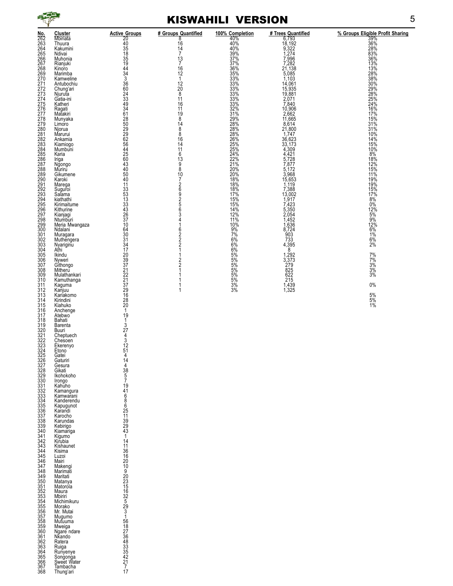

335 Kapugunot 6<br>336 Karandi 25<br>337 Karocho 11<br>338 Kebirigo 29<br>339 Kebirigo 29<br>340 Kigumo 41<br>342 Kirubia 14<br>342 Kirubia 14<br>343 Kisima 136

345<br>
1220<br>
145 Maximizi 2020<br>
16 Maximalii 2020<br>
347 Makengi 2020<br>
348 Marimati 2020<br>
350 Matanya<br>
350 Matanya<br>
351 Matorola<br>
351 Matorola<br>
351 Molinii<br>
353 Mbirii<br>
353 Mbirii<br>
353 Mbirii<br>
354 Michimikuru<br>
356 Mr. Mutai<br>
3

### KISWAHILI VERSION 5

| <b>No.</b><br>262263<br>2632645<br>264652667<br>272272277<br>27722772<br>2772772772778279280 | <b>Cluster</b>             | $\frac{\text{Active Groups}}{20} \ \begin{matrix} 20 \\ 40 \end{matrix}$ | # Groups Quantified                         | 100% Completion     | # Trees Quantified<br>6,793<br>18,192<br>9,322<br>1,274 | % Groups Eligible Profit Sharing |
|----------------------------------------------------------------------------------------------|----------------------------|--------------------------------------------------------------------------|---------------------------------------------|---------------------|---------------------------------------------------------|----------------------------------|
|                                                                                              | Mbiriata                   |                                                                          | 8                                           | 40%                 |                                                         |                                  |
|                                                                                              | Thuura                     | 35                                                                       | 16<br>14                                    | 40%<br>40%          |                                                         | $\frac{36\%}{28\%}$              |
|                                                                                              | Kakumini<br>Ndivai         | $\overline{18}$                                                          | $\overline{7}$                              |                     |                                                         | 83%                              |
|                                                                                              | Muhonia                    |                                                                          |                                             |                     | 7,996                                                   | 36%                              |
|                                                                                              | Rianjuki                   | $\frac{35}{19}$                                                          | $\begin{array}{c} 13 \\ 7 \end{array}$      | 39%<br>37%<br>37%   | $7,282$<br>21,138<br>5,085<br>1,103<br>14,064           | 13%                              |
|                                                                                              | Kinoro                     | 44                                                                       | 16                                          | 36%<br>35%<br>33%   |                                                         | 13%<br>28%                       |
|                                                                                              | Marimba                    | 343360243343434                                                          | 12                                          |                     |                                                         |                                  |
|                                                                                              | Kamweline                  |                                                                          | $\mathbf{1}$                                |                     |                                                         | 38%                              |
|                                                                                              | Antubochiu                 |                                                                          | 12                                          | 33%<br>33%          | 14,061<br>15,935                                        | 30%<br>29%                       |
|                                                                                              | Chung'ari<br>Njuruta       |                                                                          | $^{20}_{8}$                                 | 33%                 | 19,881                                                  | 28%                              |
|                                                                                              | Gatia-ini                  |                                                                          | 11                                          | 33%                 | 2,071                                                   |                                  |
|                                                                                              | Katheri                    |                                                                          | 16                                          |                     |                                                         | 25%<br>24%                       |
|                                                                                              | Ragati                     |                                                                          | 11                                          | $\frac{33\%}{32\%}$ | $\frac{7,840}{10,906}$<br>2,662                         | 16%                              |
|                                                                                              | Matakiri                   | 61                                                                       | 19                                          | 31%                 |                                                         | 17%<br>15%                       |
|                                                                                              | Munyaka                    |                                                                          | 8                                           | 29%<br>28%<br>28%   | 11,665                                                  |                                  |
|                                                                                              | Limoro                     |                                                                          | 14<br>8                                     |                     | 8,614<br>21,800                                         | 31%<br>31%                       |
|                                                                                              | Njorua<br>Marurui          | 28<br>50<br>29<br>28<br>62<br>56                                         | 8                                           |                     |                                                         |                                  |
|                                                                                              | Ankamia                    |                                                                          | 16                                          | 28%<br>26%          |                                                         | 10%<br>14%                       |
|                                                                                              | Kiamiogo                   |                                                                          | 14                                          | 25%                 | $1,747$<br>36,623<br>33,173                             | 15%                              |
| 281<br>282<br>283<br>284<br>285<br>286<br>287<br>287                                         | Mumbuni                    | $\frac{44}{25}$<br>60                                                    | 11                                          | 25%                 | 4,309                                                   | 10%                              |
|                                                                                              | Karia                      |                                                                          | 6                                           | 24%                 | 4,421                                                   | 8%                               |
|                                                                                              | Iriga<br>Ngongo            |                                                                          | $\begin{array}{c} 13 \\ 9 \\ 8 \end{array}$ | 22%                 | $\frac{5,728}{7,877}$                                   | 18%                              |
|                                                                                              |                            | 43<br>40                                                                 |                                             | 21%<br>20%          | 5,172                                                   | 12%<br>15%                       |
| 289                                                                                          | Mūriru<br>Gikumene         | 50                                                                       | 10                                          | 20%                 | 3,968                                                   | 11%                              |
|                                                                                              | Karoki                     | 40                                                                       | 7                                           | 18%                 | 15,653                                                  | 19%                              |
| 290<br>291<br>292<br>293<br>293                                                              |                            | 11                                                                       |                                             | 18%                 | 1,119                                                   | 19%                              |
|                                                                                              | Marega<br>Suguroi          |                                                                          |                                             | 18%                 | 7,388                                                   | 15%                              |
|                                                                                              | Salama                     |                                                                          |                                             | 17%                 | 13,002                                                  | 17%                              |
|                                                                                              | kiathathi                  | 33<br>53<br>53<br>13<br>33                                               | 26925                                       | 15%                 | 1,917                                                   | 8%<br>0%                         |
| 295                                                                                          | Kirimaitume<br>Kithurine   |                                                                          |                                             | 15%<br>14%          | 7,423                                                   | 12%                              |
| 296<br>297                                                                                   | Kianjagi                   |                                                                          | $\frac{6}{3}$                               | 12%                 | $5,350$<br>2,054                                        | 5%                               |
| 298<br>299                                                                                   | Ntumburi<br>Meria Mwangaza | $\frac{43}{26}$<br>37                                                    | 4                                           | 11%                 | 1,452                                                   | 9%                               |
|                                                                                              |                            | 10                                                                       | $\mathbf{1}$                                | 10%                 | 1,636                                                   | 12%                              |
| 300                                                                                          | Ndalani                    | 64                                                                       | 6                                           | 9%                  | 8,724                                                   | 6%                               |
| 301<br>302                                                                                   | Muragara<br>Muthengera     |                                                                          | $\frac{2}{2}$                               | 7%<br>6%            | 903<br>733                                              | 1%<br>6%                         |
| 303                                                                                          | Nyariginu                  |                                                                          |                                             | 6%                  | 4,395                                                   | 2%                               |
| 304                                                                                          | Athi                       | $\frac{30}{31}$<br>$\frac{34}{17}$                                       | 1                                           | 6%                  | 8                                                       |                                  |
| 305                                                                                          | Ikindu                     |                                                                          |                                             | 5%                  | $\frac{1,292}{3,373}$                                   | 7%                               |
| 306                                                                                          | Nyweri                     |                                                                          | $\frac{2}{2}$                               | 5%                  |                                                         | 7%                               |
| 307                                                                                          | Githongo                   |                                                                          |                                             | 5%                  | 279                                                     | 3%                               |
| 308<br>309                                                                                   | Mitheru                    | 203971221732916                                                          |                                             | 5%<br>5%            | $\frac{825}{622}$                                       | 3%<br>3%                         |
| 310                                                                                          | Mulathankari<br>Kamuthanga |                                                                          | 1                                           | 5%                  | 215                                                     |                                  |
|                                                                                              | Kaguma                     |                                                                          | 1                                           |                     |                                                         | 0%                               |
|                                                                                              | Kañjuu                     |                                                                          | 1                                           | $\frac{3\%}{3\%}$   | 1,439<br>1,325                                          |                                  |
|                                                                                              | Kariakomo                  |                                                                          |                                             |                     |                                                         |                                  |
| 311<br>312<br>313<br>314<br>315<br>316<br>317                                                | Kirindini                  | $\frac{28}{20}$                                                          |                                             |                     |                                                         | 5%<br>5%<br>1%                   |
|                                                                                              | Kiahuko                    | $\mathbf{1}$                                                             |                                             |                     |                                                         |                                  |
|                                                                                              | Anchenge<br>Atebwo         | 19                                                                       |                                             |                     |                                                         |                                  |
|                                                                                              | Bahati                     | $\mathbf{1}$                                                             |                                             |                     |                                                         |                                  |
|                                                                                              | Barenta                    |                                                                          |                                             |                     |                                                         |                                  |
|                                                                                              | Buuri                      | $\frac{3}{27}$                                                           |                                             |                     |                                                         |                                  |
|                                                                                              | Cheptuech                  | $\frac{4}{3}$<br>$\frac{12}{3}$                                          |                                             |                     |                                                         |                                  |
| 318<br>319<br>320<br>321<br>322<br>323<br>323<br>324                                         | Chesoen                    |                                                                          |                                             |                     |                                                         |                                  |
|                                                                                              | Ekerenyo<br>Etono          | 51                                                                       |                                             |                     |                                                         |                                  |
|                                                                                              | Gatei                      | 4                                                                        |                                             |                     |                                                         |                                  |
| 326                                                                                          | Gaturiri                   | 14                                                                       |                                             |                     |                                                         |                                  |
| 327                                                                                          | Gesura                     | 4                                                                        |                                             |                     |                                                         |                                  |
| 328                                                                                          | Gikati                     | 38                                                                       |                                             |                     |                                                         |                                  |
| 329                                                                                          | Ikohokoho                  | $\frac{5}{7}$                                                            |                                             |                     |                                                         |                                  |
| 330<br>331                                                                                   | Irongo<br>Kahuho           | 19                                                                       |                                             |                     |                                                         |                                  |
| 332                                                                                          | Kamangura                  | 41                                                                       |                                             |                     |                                                         |                                  |
| 333                                                                                          | Kamwarani                  | 6                                                                        |                                             |                     |                                                         |                                  |
| 334                                                                                          | Kanderendu                 | 8                                                                        |                                             |                     |                                                         |                                  |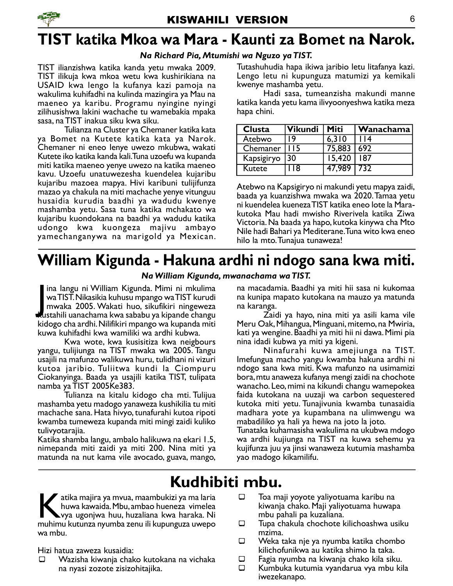

# TIST katika Mkoa wa Mara - Kaunti za Bomet na Narok.

#### Na Richard Pia, Mtumishi wa Nguzo ya TIST.

TIST ilianzishwa katika kanda yetu mwaka 2009. TIST ilikuja kwa mkoa wetu kwa kushirikiana na USAID kwa lengo la kufanya kazi pamoja na wakulima kuhifadhi na kulinda mazingira ya Mau na maeneo ya karibu. Programu nyingine nyingi zilihusishwa lakini wachache tu wamebakia mpaka sasa, na TIST inakua siku kwa siku.

Tulianza na Cluster ya Chemaner katika kata ya Bomet na Kutete katika kata ya Narok. Chemaner ni eneo lenye uwezo mkubwa, wakati Kutete iko katika kanda kali. Tuna uzoefu wa kupanda miti katika maeneo yenye uwezo na katika maeneo kavu. Uzoefu unatuwezesha kuendelea kujaribu kujaribu mazoea mapya. Hivi karibuni tulijifunza mazao ya chakula na miti machache yenye vitunguu husaidia kurudia baadhi ya wadudu kwenye mashamba yetu. Sasa tuna katika mchakato wa kujaribu kuondokana na baadhi ya wadudu katika udongo kwa kuongeza majivu ambayo yamechanganywa na marigold ya Mexican.

Tutashuhudia hapa ikiwa jaribio letu litafanya kazi. Lengo letu ni kupunguza matumizi ya kemikali kwenye mashamba yetu.

Hadi sasa, tumeanzisha makundi manne katika kanda yetu kama ilivyoonyeshwa katika meza hapa chini.

| Clusta     | <b>Vikundi</b> | <b>Miti</b>  | Wanachama |
|------------|----------------|--------------|-----------|
| Atebwo     | 19             | 6,310        | 14        |
| Chemaner   | -15            | 75,883       | 692       |
| Kapsigiryo | 30             | 15,420       | 187       |
| Kutete     | 18             | 47.989   732 |           |

Atebwo na Kapsigiryo ni makundi yetu mapya zaidi, baada ya kuanzishwa mwaka wa 2020. Tamaa yetu ni kuendelea kueneza TIST katika eneo lote la Marakutoka Mau hadi mwisho Riverivela katika Ziwa Victoria. Na baada ya hapo, kutoka kinywa cha Mto Nile hadi Bahari ya Mediterane. Tuna wito kwa eneo hilo la mto. Tunajua tunaweza!

## William Kigunda - Hakuna ardhi ni ndogo sana kwa miti.

#### Na William Kigunda, mwanachama wa TIST.

ina langu ni William Kigunda. Mimi ni mkulima<br>waTIST. Nikasikia kuhusu mpango waTIST kurudi<br>mwaka 2005. Wakati huo, sikufikiri ningeweza<br>kustahili uanachama kwa sababu ya kipande changu ina langu ni William Kigunda. Mimi ni mkulima wa TIST. Nikasikia kuhusu mpango wa TIST kurudi mwaka 2005. Wakati huo, sikufikiri ningeweza kidogo cha ardhi. Nilifikiri mpango wa kupanda miti kuwa kuhifadhi kwa wamiliki wa ardhi kubwa.

Kwa wote, kwa kusisitiza kwa neigbours yangu, tulijiunga na TIST mwaka wa 2005. Tangu usajili na mafunzo walikuwa huru, tulidhani ni vizuri kutoa jaribio. Tuliitwa kundi la Ciompuru Ciokanyinga. Baada ya usajili katika TIST, tulipata namba ya TIST 2005Ke383.

Tulianza na kitalu kidogo cha mti. Tulijua mashamba yetu madogo yanaweza kushikilia tu miti machache sana. Hata hivyo, tunafurahi kutoa ripoti kwamba tumeweza kupanda miti mingi zaidi kuliko tulivyotarajia.

Katika shamba langu, ambalo halikuwa na ekari 1.5, nimepanda miti zaidi ya miti 200. Nina miti ya matunda na nut kama vile avocado, guava, mango, na macadamia. Baadhi ya miti hii sasa ni kukomaa na kunipa mapato kutokana na mauzo ya matunda na karanga.

Zaidi ya hayo, nina miti ya asili kama vile Meru Oak, Mihangua, Minguani, mitemo, na Mwiria, kati ya wengine. Baadhi ya miti hii ni dawa. Mimi pia nina idadi kubwa ya miti ya kigeni.

Ninafurahi kuwa amejiunga na TIST. Imefungua macho yangu kwamba hakuna ardhi ni ndogo sana kwa miti. Kwa mafunzo na usimamizi bora, mtu anaweza kufanya mengi zaidi na chochote wanacho. Leo, mimi na kikundi changu wamepokea faida kutokana na uuzaji wa carbon sequestered kutoka miti yetu. Tunajivunia kwamba tunasaidia madhara yote ya kupambana na ulimwengu wa mabadiliko ya hali ya hewa na joto la joto.

Tunataka kuhamasisha wakulima na ukubwa mdogo wa ardhi kujiunga na TIST na kuwa sehemu ya kujifunza juu ya jinsi wanaweza kutumia mashamba yao madogo kikamilifu.

# Kudhibiti mbu.

atika majira ya mvua, maambukizi ya ma laria<br>huwa kawaida. Mbu, ambao hueneza vimelea<br>yya ugonjwa huu, huzaliana kwa haraka. Ni huwa kawaida. Mbu, ambao hueneza vimelea vya ugonjwa huu, huzaliana kwa haraka. Ni muhimu kutunza nyumba zenu ili kupunguza uwepo wa mbu.

Hizi hatua zaweza kusaidia:

- Wazisha kiwanja chako kutokana na vichaka na nyasi zozote zisizohitajika.
- Toa maji yoyote yaliyotuama karibu na kiwanja chako. Maji yaliyotuama huwapa mbu pahali pa kuzaliana.
- $\square$  Tupa chakula chochote kilichoashwa usiku mzima.
- Weka taka nje ya nyumba katika chombo kilichofunikwa au katika shimo la taka.
- Fagia nyumba na kiwanja chako kila siku.
- $\Box$  Kumbuka kutumia vyandarua vya mbu kila iwezekanapo.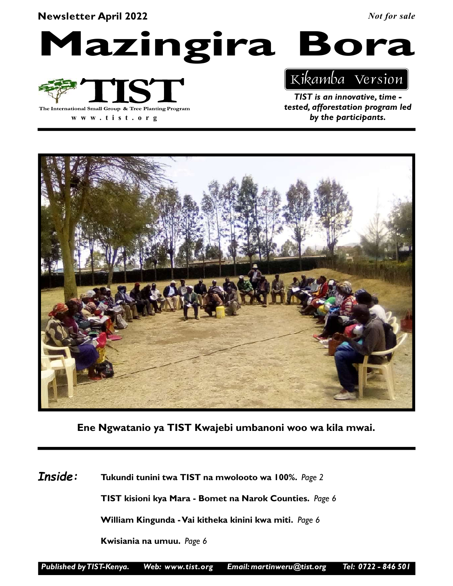#### Newsletter April 2022

Not for sale

Mazingira Bora



w w w . t i s t . o r g

### Kikamba Version

TIST is an innovative, time tested, afforestation program led by the participants.



Ene Ngwatanio ya TIST Kwajebi umbanoni woo wa kila mwai.

Tukundi tunini twa TIST na mwolooto wa 100%. Page 2 Inside:

TIST kisioni kya Mara - Bomet na Narok Counties. Page 6

William Kingunda - Vai kitheka kinini kwa miti. Page 6

Kwisiania na umuu. Page 6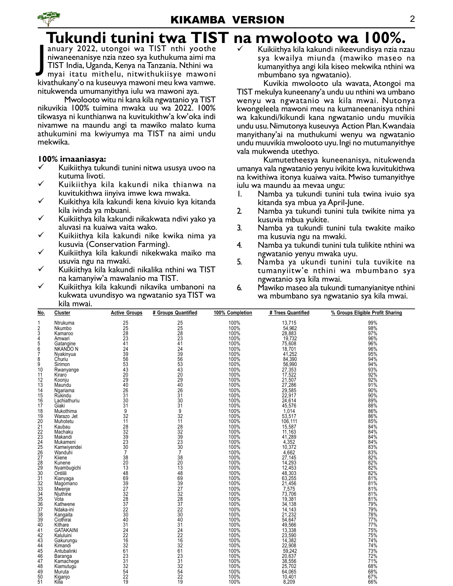# Tukundi tunini twa TIST na mwolooto wa 100%.

anuary 2022, utongoi wa TIST nthi yoothe<br>niwaneenanisye nzia nzeo sya kuthukuma aimi ma<br>TIST India, Uganda, Kenya na Tanzania. Nthini wa<br>myai itatu mithelu, nitwithukiisye mawoni anuary 2022, utongoi wa TIST nthi yoothe niwaneenanisye nzia nzeo sya kuthukuma aimi ma TIST India, Uganda, Kenya na Tanzania. Nthini wa kivathukany'o na kuseuvya mawoni meu kwa vamwe. nitukwenda umumanyithya iulu wa mawoni aya.

Mwolooto witu ni kana kila ngwatanio ya TIST nikuvikia 100% tuimina mwaka uu wa 2022. 100% tikwasya ni kunthianwa na kuvitukithw'a kw'oka indi nivamwe na maundu angi ta mawiko malato kuma athukumini ma kwiyumya ma TIST na aimi undu mekwika.

#### 100% imaaniasya:

- $\checkmark$  Kuikiithya tukundi tunini nitwa ususya uvoo na kutuma livoti.
- Kuikiithya kila kakundi nika thianwa na kuvitukithwa iinyiva imwe kwa mwaka.
- Kuikithya kila kakundi kena kivuio kya kitanda kila ivinda ya mbuani.
- Kuikiithya kila kakundi nikakwata ndivi yako ya aluvasi na kuaiwa vaita wako.
- Kuikiithya kila kakundi nike kwika nima ya kusuvia (Conservation Farming).
- Kuikiithya kila kakundi nikekwaka maiko ma usuvia ngu na mwaki.
- Kuikiithya kila kakundi nikalika nthini wa TIST na kamanyiw'a mawalanio ma TIST.
- Kuikiithya kila kakundi nikavika umbanoni na kukwata uvundisyo wa ngwatanio sya TIST wa kila mwai.

 Kuikiithya kila kakundi nikeevundisya nzia nzau sya kwailya miunda (mawiko maseo na kumanyithya angi kila kiseo mekwika nthini wa mbumbano sya ngwatanio).

Kuvikia mwolooto ula wavata, Atongoi ma TIST mekulya kuneenany'a undu uu nthini wa umbano wenyu wa ngwatanio wa kila mwai. Nutonya kwongeleela mawoni meu na kumaneenanisya nthini wa kakundi/kikundi kana ngwatanio undu muvikia undu usu. Nimutonya kuseuvya Action Plan. Kwandaia manyithany'ai na muthukumi wenyu wa ngwatanio undu muuvikia mwolooto uyu. Ingi no mutumanyithye vala mukwenda utethyo.

Kumutetheesya kuneenanisya, nitukwenda umanya vala ngwatanio yenyu ivikite kwa kuvitukithwa na kwithiwa itonya kuaiwa vaita. Mwiso tumanyithye iulu wa maundu aa mevaa ungu:

- 1. Namba ya tukundi tunini tula twina ivuio sya kitanda sya mbua ya April-June.
- 2. Namba ya tukundi tunini tula twikite nima ya kusuvia mbua yukite.
- 3. Namba ya tukundi tunini tula twakite maiko ma kusuvia ngu na mwaki.
- 4. Namba ya tukundi tunini tula tulikite nthini wa ngwatanio yenyu mwaka uyu.
- 5. Namba ya ukundi tunini tula tuvikite na tumanyiitw'e nthini wa mbumbano sya ngwatanio sya kila mwai.
- 6. Mawiko maseo ala tukundi tumanyianitye nthini wa mbumbano sya ngwatanio sya kila mwai.

| No.            | Cluster               | <b>Active Groups</b>                         | # Groups Quantified              | 100% Completion | # Trees Quantified | % Groups Eligible Profit Sharing |
|----------------|-----------------------|----------------------------------------------|----------------------------------|-----------------|--------------------|----------------------------------|
| 1              | Ntrukuma              | 25                                           | 25                               | 100%            | 13.715             | 99%                              |
| $\overline{2}$ | Nkumbo                |                                              |                                  | 100%            | 54,962             | 98%                              |
| 3              | Kamaroo               | 25<br>28<br>23<br>41                         | 25<br>28<br>23                   | 100%            | 28,883             | 97%                              |
| 4              | Amwari                |                                              |                                  | 100%            | 19,732             | 96%                              |
| 5              | Gatangine             |                                              | 41                               | 100%            | 75,608             | 96%                              |
| 6              | NKANDO N              | $\frac{24}{39}$<br>56                        | 24                               | 100%            | $18,701$<br>41,252 | 96%                              |
| 7              | Nyakinyua             |                                              | 39                               | 100%            |                    | 95%                              |
| 8              | Churiu                |                                              | 56                               | 100%            | 84,390             | 94%                              |
| 9<br>10        | Sirimon               | $\frac{53}{43}$                              | $\frac{53}{43}$                  | 100%<br>100%    | 56,990             | 94%<br>93%                       |
| 11             | Rwanyange<br>Kiraro   |                                              | 20                               | 100%            | 27,353             |                                  |
|                | Koonju                | $\frac{20}{29}$                              |                                  | 100%            | 17,522<br>21,507   | 92%<br>92%                       |
| 12<br>13       | Maundu                | $\overline{40}$                              | $\frac{29}{40}$                  | 100%            |                    | 91%                              |
| 14             | Ngariama              | 26                                           | 26                               | 100%            | 27,286<br>29,585   | 90%                              |
| 15             | Rukindu               |                                              | 31                               | 100%            | 22,917             |                                  |
| 16             | Lachiathuriu          | $\frac{31}{30}$                              | 30                               | 100%            | 24,614             | 90%<br>89%                       |
| 17             | Giaki                 | 31                                           | 31                               | 100%            | 45.576             | 88%                              |
| 18             | Mukothima             | 9                                            | 9                                | 100%            | 1,014              | 86%                              |
| 19             | Warazo Jet            | 32                                           | $\overline{32}$                  | 100%            | 53,517             | 86%                              |
| 20             | Muhotetu              | 11                                           | 11                               | 100%            | 106,111            |                                  |
| 21             | Kaubau                |                                              |                                  | 100%            |                    | 85%<br>84%<br>84%                |
| 22             | Machaku               |                                              |                                  | 100%            | 15,587<br>11,163   |                                  |
| 23             | Makandi               |                                              |                                  | 100%            | 41,289             | 84%                              |
| 24             | Mukameni              | 28<br>32<br>39<br>23<br>23<br>30             | 28<br>32<br>39<br>23<br>23<br>30 | 100%            | 4,352              | 84%                              |
| 25             | Kamwiyendei           |                                              |                                  | 100%            | 10,372             | 83%                              |
| 26             | Wanduhi               | $\overline{7}$                               | $\overline{7}$                   | 100%            | 4.662              | 83%<br>82%                       |
| 27             | Kiiene                | 38                                           | 38                               | 100%            | 27,145             |                                  |
| 28             | Kunene                | $\overline{20}$                              | ŽŎ                               | 100%            | 14,293             | 82%                              |
| 29             | Nyambugichi           |                                              | 13                               | 100%            | 12,453             | 82%                              |
| 30             | Ontilili              |                                              |                                  | 100%            | 48,303             | 82%                              |
| 31             | Kianyaga              | 13<br>48<br>69<br>39<br>27<br>32<br>32<br>28 | 48<br>69<br>39<br>27<br>32       | 100%            | 63,255             | 81%                              |
| 32             | Magomano              |                                              |                                  | 100%            | 21,456             | 81%                              |
| 33             | Mwenje                |                                              |                                  | 100%            | 7,575              | 81%                              |
| 34<br>35       | Njuthine              |                                              |                                  | 100%<br>100%    | 73,706<br>19,381   | 81%                              |
| 36             | Vota                  | $\overline{37}$                              | $\frac{28}{37}$                  | 100%            | 34,138             | 81%<br>79%                       |
| 37             | Kathwene<br>Ndaka-ini | $\overline{2}\overline{2}$                   | $\overline{2}\overline{2}$       | 100%            | 14,143             | 79%                              |
| 38             | Kangaita              | $\bar{3}\bar{0}$                             | 30                               | 100%            | 21,232             | 78%                              |
| 39             | Ciothirai             |                                              | 40                               |                 |                    | 77%                              |
| 40             | Kithare               | $\frac{40}{31}$                              | 31                               | 100%<br>100%    | 54,647<br>49,566   | 77%                              |
| 41             | <b>GATAKAINI</b>      | $\frac{1}{2}$                                | 24                               | 100%            | 13,338             | 75%                              |
| 42             | Kaluluini             |                                              |                                  | 100%            |                    | 75%                              |
| 43             | Gakurungu             | $\frac{22}{16}$                              | $\frac{22}{16}$                  | 100%            | 23,590<br>14,382   | 74%                              |
| 44             | Kimandi               | 32                                           | 32                               | 100%            |                    |                                  |
| 45             | Antubalinki           | 61                                           | 61                               | 100%            | 22,908<br>59,242   | 74%<br>73%                       |
| 46             | Baranga               | 23                                           | 23                               | 100%            | 20,637             | 72%                              |
| 47             | Kamachege             | 31                                           | 31                               | 100%            | 38,556             | 71%                              |
| 48             | Kiamutugu             | $\frac{32}{54}$                              | $\frac{32}{54}$                  | 100%            | 25,702             | 68%                              |
| 49             | Muruta                |                                              |                                  | 100%            | 64,065             | 68%                              |
| 50             | Kiganjo               | 22                                           | 22                               | 100%            | 10.401             | 67%                              |
| 51             | Kilia                 | 19                                           | 19                               | 100%            | 8,209              | 66%                              |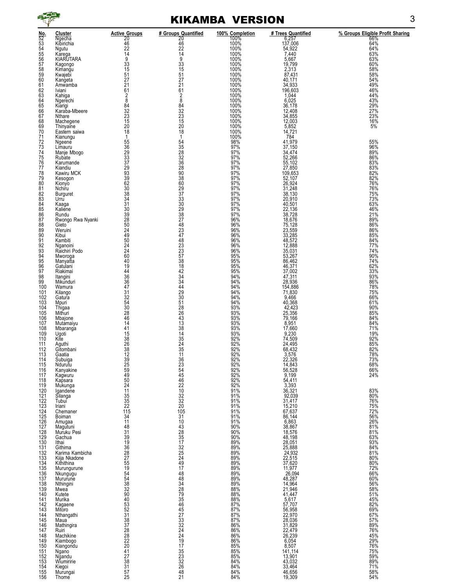

#### KIKAMBA VERSION 3

| No.               | Cluster                          | <b>Active Groups</b>                               | # Groups Quantified                    | 100% Completion                 | # Trees Quantified                                                                                          | % Groups Eligible Profit Sharing              |
|-------------------|----------------------------------|----------------------------------------------------|----------------------------------------|---------------------------------|-------------------------------------------------------------------------------------------------------------|-----------------------------------------------|
| 52<br>53          | Ngecha<br>Kibirichia             | 20<br>46                                           | $\frac{20}{46}$<br>22                  | 100%                            | $\frac{6,257}{6,257}$<br>137,006<br>54,922<br>7,440<br>5,667                                                | 66%<br>64%<br>64%                             |
| 54                | Ngutu                            | $\frac{22}{14}$                                    |                                        | 100%<br>100%                    |                                                                                                             |                                               |
| 55<br>56          | Kărega<br>KIARUTARA              |                                                    | 14<br>9                                | 100%<br>100%                    |                                                                                                             | 63%                                           |
| 57                | Kagongo                          | $\frac{9}{33}$<br>$\frac{15}{15}$                  | $\frac{33}{15}$                        | 100%                            | 19,799                                                                                                      | 63%<br>60%                                    |
| 58<br>59          | Kimangu<br>Kwajebi               |                                                    | 51                                     | 100%<br>100%<br>100%            | 2,313<br>87,431                                                                                             | 58%<br>58%                                    |
| 60                | Kangeta                          | $\frac{51}{27}$<br>$\frac{27}{61}$                 | 27<br>$\overline{2}$ <sub>1</sub>      |                                 | 40,171<br>34,933<br>196,603                                                                                 | 54%<br>49%                                    |
| 61<br>62          | Amwamba<br>Iviani                |                                                    | $\overline{6}1$                        | 100%<br>100%<br>100%            |                                                                                                             | 46%                                           |
| 63                | Kahiga                           | $\frac{2}{8}$                                      | $\overline{2}$<br>8                    |                                 | 1,044                                                                                                       | 44%                                           |
| 64<br>65          | Ngerechi<br>Kiarigi              | 84                                                 | 84                                     | 100%<br>100%<br>100%            | 6,025<br>36,178                                                                                             | 43%<br>29%                                    |
| 66                | Karaba-Mbeere                    |                                                    |                                        |                                 |                                                                                                             | 27%<br>23%                                    |
| 67<br>68          | Nthare<br>Machegene              | $32$<br>$23$<br>$15$<br>$20$                       | 32<br>23<br>15<br>15<br>20             | 100%<br>100%<br>100%            | 12,408<br>34,855<br>12,003                                                                                  | 16%                                           |
| 69<br>70          | Thinyaine<br>Eastern saiwa       | $\frac{5}{18}$                                     | 18                                     |                                 | 5,852                                                                                                       | 5%                                            |
| 71                | Kianungu                         | $\mathbf{1}$                                       | $\mathbf{1}$                           | 100%<br>100%                    | $\frac{14,721}{784}$                                                                                        |                                               |
| 72                | Ngeene<br>Limauru                |                                                    | 54                                     | 98%                             | 41,979                                                                                                      | 55%<br>96%                                    |
| $^{73}_{74}$      | Manje Mbogo                      |                                                    |                                        | $\frac{97\%}{97\%}$             | $\frac{37,150}{34,474}$                                                                                     | 89%                                           |
| 75<br>76          | Rubate<br>Karumande              |                                                    |                                        | 97%                             |                                                                                                             | 86%<br>83%                                    |
| 77                | Kiandiu                          | 558293372933920339203833431                        | 35<br>28<br>32<br>36<br>28<br>28<br>90 | $\frac{97\%}{97\%}$             | 34,474<br>52,266<br>55,102<br>27,850<br>109,653<br>52,107<br>26,924<br>31,248<br>38,130<br>20,910<br>40,501 |                                               |
| 78<br>79          | Kawiru MCK<br>Kesogon            |                                                    |                                        | 97%<br>97%                      |                                                                                                             | 83%<br>82%<br>82%<br>76%                      |
| 80                | Kionyo                           |                                                    |                                        | 97%                             |                                                                                                             |                                               |
| 81<br>82          | Nchiru<br>Burguret               |                                                    | 38<br>60<br>29<br>37                   | 97%                             |                                                                                                             | 76%<br>75%                                    |
| 83                | Urru                             |                                                    |                                        | $\frac{97\%}{97\%}$             |                                                                                                             | 73%<br>63%                                    |
| 84<br>85          | Kaaga<br>Kaliene                 |                                                    |                                        | 97%<br>97%                      | $\frac{40,501}{22,136}$<br>$\frac{22,136}{38,728}$                                                          |                                               |
| 86                | Rundu                            |                                                    |                                        | 97%                             |                                                                                                             | 46%<br>21%                                    |
| 87<br>88          | Rwongo Rwa Nyanki<br>Gieto       | 30<br>39<br>28<br>50<br>49<br>50<br>24<br>24<br>60 | 33098748237                            | 96%<br>96%                      | 18,676                                                                                                      | 89%<br>86%                                    |
| 89                | Weruini                          |                                                    |                                        | 96%                             |                                                                                                             | 86%                                           |
| 90<br>91          | Kibui<br>Kambiti                 |                                                    |                                        | 96%<br>96%                      | 75,128<br>23,559<br>33,285<br>48,572                                                                        | 85%                                           |
| 92                | Nganoini<br>Raichiri Podo        |                                                    | 48<br>23<br>23<br>57                   | 96%                             | 12,888                                                                                                      | 84%<br>77%<br>74%                             |
| 93<br>94          |                                  |                                                    |                                        | 96%<br>95%                      | 35,031<br>53,267<br>86,462                                                                                  | 90%                                           |
| 95<br>96          | Mworoga<br>Manyatta              | 40<br>19                                           | $\overline{38}$<br>18                  | 95%<br>95%                      |                                                                                                             | 74%<br>62%                                    |
| 97                | Gatulani<br>Riakimai             |                                                    | $\frac{42}{34}$                        | 95%                             | 46,371<br>37,002                                                                                            | 33%                                           |
| 98<br>99          | Itangini<br>Mikunduri            |                                                    | $\frac{8}{34}$                         | 94%<br>94%                      | 47,311                                                                                                      | 93%<br>86%                                    |
| 100               | Wamura                           |                                                    |                                        | $\frac{94\%}{94\%}$             | 28,936<br>154,886<br>71,830                                                                                 | 78%                                           |
| 101<br>102        | Kilango<br>Gatura                |                                                    | $\frac{44}{29}$<br>30                  | 94%                             | 9,466                                                                                                       | 75%<br>66%                                    |
| 103               | Mpuri                            |                                                    |                                        | 94%                             | $40,368$<br>$42,423$                                                                                        | 61%                                           |
| 104<br>105        | Thigaa<br>Mithuri                |                                                    |                                        | 93%<br>93%                      |                                                                                                             | 90%<br>85%                                    |
| 106               | Mbajone<br>Mutamaiyu             |                                                    | 51<br>28<br>26<br>43<br>43             | 93%                             | 25,356<br>79,166<br>8,951                                                                                   | $\frac{84\%}{84\%}$                           |
| 107<br>108        | Mbaranga                         |                                                    | 38                                     | 93%<br>93%                      | 17,660                                                                                                      | 71%                                           |
| 109               | Ugoti                            | 41<br>15<br>38<br>26<br>38<br>38                   | $\overline{14}$                        | 93%                             | 9,230                                                                                                       | 19%                                           |
| 110<br>111        | Kite                             |                                                    |                                        | $\frac{92\%}{92\%}$             | 74,509<br>24,495<br>68,432                                                                                  | 92%<br>85%                                    |
| 112<br>113        | Aguthi<br>Gitombani              | 12                                                 | $35$<br>$24$<br>$35$<br>$11$           | 92%<br>92%                      | 3,576                                                                                                       | 82%<br>78%                                    |
| 114               | Gaatia<br>Subuiga                | 39                                                 | 36                                     | 92%                             | 22.326                                                                                                      | 73%                                           |
| 115<br>116        | Ndurutu<br>Kanyakine             | 25<br>$\overline{59}$                              | $\frac{23}{54}$<br>45                  |                                 |                                                                                                             | 68%<br>66%                                    |
| 117               | Kagwuru                          | $\frac{49}{50}$                                    |                                        |                                 |                                                                                                             | 24%                                           |
| 118<br>119        | Kapsara<br>Mukunga               |                                                    | $rac{46}{22}$                          | 92%<br>92%<br>92%<br>92%<br>92% |                                                                                                             |                                               |
| 120               | Igandene                         | $\frac{24}{11}$                                    | 10                                     | 91%                             |                                                                                                             | 83%                                           |
| $\frac{121}{122}$ | Silanga<br>Tubui                 | $35$<br>$35$<br>$22$<br>$115$                      | $\frac{32}{32}$                        | 91%<br>91%                      |                                                                                                             | 80%                                           |
| 123               | Iriani                           |                                                    | 20                                     | $\frac{91\%}{91\%}$             |                                                                                                             | 76%<br>75%<br>72%<br>56%<br>26%               |
| 124<br>125        | Chemaner<br>Boiman               | 34                                                 | 105<br>31                              |                                 |                                                                                                             |                                               |
| 126               | Amugaa                           | 11                                                 | 10                                     | $\frac{91\%}{91\%}$             |                                                                                                             | 81%                                           |
| 127<br>128        | Magutuni<br>Muruku Pesi          | 48<br>31                                           | 43<br>28<br>35<br>35<br>17             | 90%<br>90%                      |                                                                                                             |                                               |
| 129<br>130        | Gachua<br>Ithai                  |                                                    |                                        | 90%                             |                                                                                                             |                                               |
| 131               | Githima                          |                                                    | 32                                     |                                 |                                                                                                             | 81%<br>63%<br>93%<br>84%<br>81%               |
| 132               | Karima Kambicha<br>Kiija Nkadone |                                                    | 25<br>24<br>49<br>17                   |                                 |                                                                                                             | 80%                                           |
| 133<br>134        | Kithithina                       |                                                    |                                        |                                 |                                                                                                             |                                               |
| 135<br>136        | Murungurune<br>Nkungugu          |                                                    |                                        |                                 |                                                                                                             |                                               |
| 137               | Mururune                         | 39<br>1368<br>2255<br>154<br>54<br>38<br>32        | $\frac{48}{48}$                        |                                 |                                                                                                             | 80%<br>72%<br>66%<br>60%<br>56%<br>58%        |
| 138<br>139        | Nthingini<br>Mwea                |                                                    | 34                                     |                                 |                                                                                                             |                                               |
| 140               | Kutete                           |                                                    | 28<br>79<br>35                         |                                 |                                                                                                             | 51%<br>45%                                    |
| 141<br>142        | Murika<br>Kagaene                |                                                    |                                        | 88%                             |                                                                                                             |                                               |
| 143               | Mitoro                           |                                                    |                                        | $\frac{87\%}{87\%}$             |                                                                                                             |                                               |
| 144<br>145        | Nthangathi<br>Maua               |                                                    |                                        | 87%                             |                                                                                                             |                                               |
| 146<br>147        | Mathingira                       | 90<br>40<br>53<br>52<br>33<br>33<br>28<br>28       | 46457332424                            | $\frac{87\%}{86\%}$             |                                                                                                             | 82%<br>69%<br>67%<br>57%<br>89%<br>76%<br>45% |
| 148               | Ruiri<br>Machikine               |                                                    |                                        | 86%<br>86%                      |                                                                                                             |                                               |
| 149               | Kiambogo                         | 22                                                 | 19                                     | 86%                             | 6,054                                                                                                       |                                               |

150 Kiangondu 20 17 85% 8,507 76% 151 Ngano 41 35 85% 141,114 75% 152 Ngandu 27 27 23 85% 13,901 59% 13,901 59% 59% 13,901 59% 153 Wiumiririe 38 32 84% 43,032 89% 154 Kiegoi – 1910 – 1920 – 1930 – 194% – 1946 – 1958 – 1968 – 197% – 1980<br>154 Kiegoi – 31 – 26 – 1948 – 1958 – 1968 – 1974 – 1980 – 1980 – 1980 – 1980 – 1980 – 1980 – 1980 – 1980 – 19 155 Murungai 57 48 84% 46,656 58% 156 Thome 25 21 84% 19,309 54%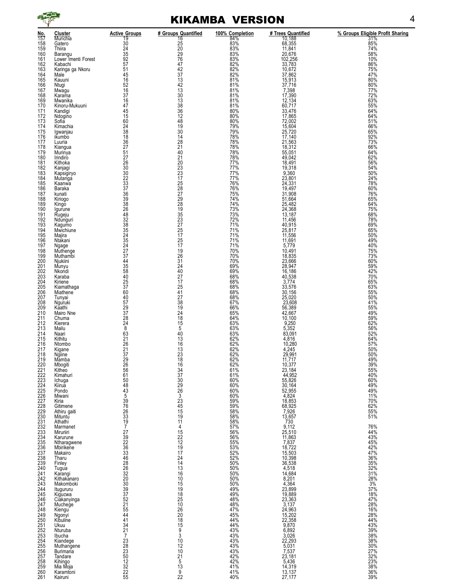

|                 | <b>KIKAMBA VERSION</b> |                    |                                  |
|-----------------|------------------------|--------------------|----------------------------------|
| oups Quantified | 100% Completion        | # Trees Quantified | % Groups Eligible Profit Sharing |
| 16              | 84%                    | 10,188             | 31%                              |
| 25              | 83%                    | 68,355             | 85%                              |
| 20              | 83%                    | 11.841             | 74%                              |
|                 | 83%                    | 20.676             | 58%                              |
| $\frac{29}{76}$ | 83%                    | 102.256            | 10%                              |
| 47              | 82%                    | 33,783             | 86%                              |
| 42              | 82%                    | 10,672             | 75%                              |
| 37              | 82%                    | 37,862             | 47%                              |
| 13              | 81%                    | 15.913             | 80%                              |
| 42              | 81%                    | 37.716             | 80%                              |
| 13              | 81%                    | 7,398              | 77%                              |
| 30              | 81%                    | 17,390             | 72%                              |
| 13              | 81%                    | 12 134             | 63%                              |

| No.                             | <b>Cluster</b>                  | <b>Active Groups</b>                                  | # Groups Quantified                | 100% Completion | # Trees Quantified                                                                                                                                                                       | % Groups Eligible Profit Shar |
|---------------------------------|---------------------------------|-------------------------------------------------------|------------------------------------|-----------------|------------------------------------------------------------------------------------------------------------------------------------------------------------------------------------------|-------------------------------|
| 157<br>158                      | Murichia<br>Gatero              | $\frac{19}{30}$                                       | 16                                 | 84%<br>83%      | $\frac{10,188}{10,188}$<br>68,355<br>11,841<br>20,676<br>102,256                                                                                                                         | 31%<br>85%                    |
| 159                             | Thiira                          | 24                                                    | $\frac{25}{20}$                    | 83%             |                                                                                                                                                                                          | 74%                           |
| 160<br>161                      | Barangu<br>Lower Imenti Forest  | $\frac{35}{92}$                                       | $\frac{29}{76}$                    | 83%<br>83%      |                                                                                                                                                                                          | 58%<br>10%                    |
| 162                             | Kabachi                         | 57                                                    | 47                                 | 82%             | 33,783<br>10,672<br>37,862                                                                                                                                                               | 86%                           |
| 163<br>164                      | Karinga ga Nkoru<br>Male        | 51<br>45                                              | $\frac{42}{37}$                    | 82%<br>82%      |                                                                                                                                                                                          | 75%<br>47%                    |
| 165                             | Kauuni                          | 16                                                    | 13                                 | 81%             | 15,913                                                                                                                                                                                   | 80%                           |
| 166<br>167                      | Ntugi<br>Mwagu                  | $\frac{52}{16}$                                       | $\frac{42}{13}$                    | 81%<br>81%      | 37,716<br>7,398                                                                                                                                                                          | 80%<br>77%                    |
| 168                             | Karama                          | 37                                                    | 30                                 | 81%             | 17,390<br>12,134<br>60,717<br>33,476<br>17,865<br>72,002                                                                                                                                 | 72%                           |
| 169<br>170                      | Mwanika<br>Kinoru-Mukuuni       | 16<br>47                                              | $\frac{13}{38}$                    | 81%<br>81%      |                                                                                                                                                                                          | 63%<br>55%                    |
| 171                             | Kandigi                         | 45                                                    |                                    | 80%             |                                                                                                                                                                                          | 64%                           |
| 172<br>173                      | Ndogino<br>Sofia                | 15<br>60                                              | $\frac{36}{12}$<br>$\frac{12}{48}$ | 80%<br>80%      |                                                                                                                                                                                          | 64%<br>51%                    |
| 174                             | Kimachia                        | 24                                                    | 19                                 | 79%             |                                                                                                                                                                                          | 66%                           |
| 175<br>176                      | Igwanjau<br>ikumbo              | 38<br>18                                              | 30<br>14                           | 79%<br>78%      | $15,604$<br>$25,720$<br>$17,140$<br>$21,563$                                                                                                                                             | 65%<br>92%                    |
| 177                             | Luuria                          |                                                       | 28                                 | 78%             |                                                                                                                                                                                          | 73%                           |
| 178<br>179                      | Kiangua                         | 36<br>27<br>51<br>27                                  | $^{21}_{40}$                       | 78%<br>78%      | 18,312<br>55,051                                                                                                                                                                         | 66%<br>64%                    |
| 180                             | Murinya<br>Irindiro             |                                                       | 21                                 | 78%             |                                                                                                                                                                                          | 62%                           |
| 181                             | Kithoka                         | $\substack{26 \\ 30}$                                 | 20<br>23<br>23                     | 77%             | 49,042<br>18,491<br>19,318                                                                                                                                                               | 56%                           |
| 182<br>183                      | Kanjagi<br>Kapsigiryo           |                                                       |                                    | 77%<br>77%      | 9,360                                                                                                                                                                                    | 54%<br>50%                    |
| 184                             | Mutanga                         | $\frac{30}{22}$<br>$\frac{22}{33}$<br>$\frac{37}{21}$ | $\frac{17}{25}$<br>25<br>28        | 77%<br>76%      | 23,801<br>24,331                                                                                                                                                                         | 24%<br>78%                    |
| 185<br>186                      | Kaanwa<br>Baraka                |                                                       |                                    | 76%             |                                                                                                                                                                                          | 60%                           |
| 187                             | kunati                          |                                                       |                                    | 75%             | 19,497<br>31,908<br>51,664                                                                                                                                                               | 76%                           |
| 188<br>189                      | Kiriogo<br>Kingo                |                                                       |                                    | 74%<br>74%      | 25,482                                                                                                                                                                                   | 65%<br>64%                    |
| 190                             | Igurune                         |                                                       |                                    | 73%<br>73%      | 24,368<br>13,187                                                                                                                                                                         | 75%                           |
| 191<br>192                      | Rugeju                          |                                                       |                                    | 72%             | 11,456                                                                                                                                                                                   | 68%<br>78%                    |
| 193                             | Ndunguri<br>Kagumo<br>Mwichiune | 393868243285454723454547                              | 279284935237225                    | 71%             | 40,915<br>25,817                                                                                                                                                                         | 69%<br>65%                    |
| 194<br>195                      |                                 |                                                       | 17                                 | 71%<br>71%      | 11,556                                                                                                                                                                                   | 50%                           |
|                                 | Majira<br>Ntakani               |                                                       | $^{25}_{17}$                       |                 |                                                                                                                                                                                          | 49%                           |
| 196<br>197                      | Ngage                           |                                                       |                                    | 71%<br>71%      | 11,691<br>5,779                                                                                                                                                                          | 40%                           |
| 198<br>199                      | Muthenge<br>Muthambi            |                                                       | 19                                 | 70%<br>70%      | 10,491                                                                                                                                                                                   | 75%                           |
| 200                             | Njukiini                        | $\frac{37}{44}$                                       | $\frac{26}{31}$                    | 70%             | 18,835<br>23,666                                                                                                                                                                         | 73%<br>60%                    |
| 201<br>202                      | Munyu<br>Nkondi                 | $\frac{35}{58}$                                       | 24<br>40                           | 69%             | 28,947                                                                                                                                                                                   | 59%                           |
| $\overline{203}$                | Karaba                          |                                                       | 27                                 | 69%<br>68%      | 16,186<br>40,538                                                                                                                                                                         | 42%<br>70%                    |
| 204<br>205                      | Kiriene<br>Kiamathaga           | $\frac{25}{37}$<br>60                                 | 17                                 | 68%<br>68%      | $3,774$<br>$33,576$<br>$30,156$<br>$25,020$                                                                                                                                              | 65%<br>63%                    |
| 206                             | Miathene                        |                                                       | $^{25}_{41}$                       | 68%             |                                                                                                                                                                                          | 55%                           |
| 207<br>208                      | Tunyai<br>Nguruki               | 40<br>57                                              | 27                                 | 68%<br>67%      |                                                                                                                                                                                          | 50%<br>41%                    |
| 209                             | Kāathi                          | $\frac{29}{37}$                                       | 38<br>19                           | 66%             | 23,608<br>56,389                                                                                                                                                                         | 55%                           |
| 210<br>211                      | Mairo Nne<br>Chuma              |                                                       | 24<br>18                           | 65%<br>64%      | 42,667                                                                                                                                                                                   | 49%                           |
| 212                             | Kierera                         | $\frac{28}{24}$                                       | 15                                 | 63%             | 10,100<br>9,250                                                                                                                                                                          | 59%<br>62%                    |
| 213<br>214                      | Mailu<br>Naari                  | 8                                                     | 5                                  | 63%             | 5,352<br>83,091                                                                                                                                                                          | 56%                           |
| 215                             | Kithitu                         | $\frac{63}{21}$                                       | $\frac{40}{13}$                    | 63%<br>62%      | 4,816                                                                                                                                                                                    | 52%<br>64%                    |
| 216<br>217                      | Ntombo                          |                                                       | 16                                 | 62%<br>62%      | 10,280                                                                                                                                                                                   | 57%<br>50%                    |
| 218                             | Kigane<br>Ngiine                | $\frac{21}{37}$                                       | $\frac{13}{23}$                    | 62%             | 4,245<br>29,991                                                                                                                                                                          | 50%                           |
| 219                             | Mamba                           | 29                                                    | 18                                 | 62%             | 11,717                                                                                                                                                                                   | 49%                           |
| 220<br>221                      | Mbogiti<br>Kitheo               | $\frac{26}{56}$                                       | 16                                 | 62%<br>61%      |                                                                                                                                                                                          | 39%<br>55%                    |
| 222                             | Kimahuri                        | $\overline{61}$                                       | $\frac{34}{37}$                    | 61%             |                                                                                                                                                                                          | 40%                           |
| 223<br>224<br>225               | Ichuga<br>Kiirua                | $\frac{50}{48}$                                       | $\frac{30}{29}$<br>29              | 60%<br>60%      |                                                                                                                                                                                          | 60%<br>49%                    |
|                                 | Pondo                           | $43$<br>$5$<br>$39$<br>$76$                           |                                    | 60%             |                                                                                                                                                                                          | 49%                           |
| 226<br>227<br>228               | Miwani<br>Kiria                 |                                                       |                                    | 60%<br>59%      |                                                                                                                                                                                          | 11%<br>70%                    |
|                                 | Gitimene                        |                                                       |                                    | 59%             |                                                                                                                                                                                          | 62%                           |
| 229<br>230<br>231               | Athiru gaiti<br>Mituntu         | 26<br>33<br>19<br>7<br>27                             | $323$<br>$45$<br>$15$<br>$19$      | 58%<br>58%      | 10,377<br>23,184<br>44,952<br>55,826<br>55,826<br>30,164<br>52,955<br>4,824<br>18,853<br>7,926<br>13,657                                                                                 | 55%<br>51%                    |
|                                 | Athathi                         |                                                       | 11                                 | 58%             |                                                                                                                                                                                          |                               |
| 232<br>233<br>234               | Marmanet<br>Miruriiri           |                                                       | 4<br>15                            | 57%<br>56%      |                                                                                                                                                                                          | 76%<br>44%                    |
|                                 | Karurune                        |                                                       | 22                                 | 56%             |                                                                                                                                                                                          | 43%                           |
| 235<br>236<br>237<br>238<br>239 | Ntharagwene<br>Mbirikene        | 3923633468220203333333                                | $\frac{12}{19}$                    | 55%<br>53%      |                                                                                                                                                                                          | 45%<br>42%                    |
|                                 | Makairo                         |                                                       | 17                                 | 52%             |                                                                                                                                                                                          | 47%                           |
|                                 | Tharu<br>Finley                 |                                                       | $^{24}_{14}$                       | 52%<br>50%      |                                                                                                                                                                                          | 36%<br>35%                    |
| 240                             | Tugua                           |                                                       | 13                                 | 50%             |                                                                                                                                                                                          | 32%                           |
|                                 | Karangi                         |                                                       | 16<br>10                           | 50%             |                                                                                                                                                                                          | 31%<br>28%                    |
| 241<br>242<br>243               | Kithakanaro<br>Makomboki        |                                                       | 15                                 | 50%<br>50%      |                                                                                                                                                                                          | $3%$                          |
| 244<br>245                      | Itugururu                       |                                                       | $\frac{19}{18}$                    | 49%             |                                                                                                                                                                                          | 37%                           |
| 246                             | Kigucwa<br>Ciakanyinga          |                                                       | <b>25</b>                          | 49%<br>48%      |                                                                                                                                                                                          | 18%<br>47%                    |
| 247<br>248                      | Muchege                         |                                                       | 10                                 | 48%             |                                                                                                                                                                                          | 28%<br>16%                    |
| 249                             | Kiengu<br>Ngonyi                |                                                       | 26<br>20                           | 47%<br>45%      |                                                                                                                                                                                          | 28%                           |
| 250<br>251                      | Kibuline                        | 52<br>21<br>55<br>44<br>41<br>34                      | $\frac{18}{15}$                    | 44%<br>44%      | $730$<br>$9,1510$<br>$25,563$<br>$7,15,837$<br>$710,398$<br>$538$<br>$36,538$<br>$4,4,684$<br>$8,201$<br>$4,364$<br>$23,3883$<br>$3,137$<br>$24,963$<br>$22,358$<br>$22,358$<br>$29,870$ | 44%<br>43%                    |
| 252                             | Ukuu<br>Nturuba                 |                                                       | 9                                  | 43%             | 6,892                                                                                                                                                                                    | 39%                           |
|                                 | Ibucha                          | $\frac{21}{7}$                                        | 3                                  | 43%             |                                                                                                                                                                                          | 38%                           |
| 253<br>254<br>255               | Kiandege<br>Muthangene          |                                                       | 10<br>12                           | 43%<br>43%      | $\frac{3,026}{22,293}$<br>5,031                                                                                                                                                          | 38%<br>30%                    |
|                                 | <b>Burimaria</b>                |                                                       | 10                                 | 43%             | $7,537$<br>23,181                                                                                                                                                                        | 27%<br>32%                    |
| 256<br>257<br>258               | Tandare                         |                                                       | 21                                 | 42%             |                                                                                                                                                                                          |                               |
|                                 | Kihingo<br>Mia Moja             | 23<br>28<br>23<br>50<br>50<br>32<br>22<br>22          | 5<br>13                            | 42%<br>41%      | 5,436<br>5,436<br>14,319<br>13,137<br>27,177                                                                                                                                             | 23%<br>38%                    |
| 259<br>260<br>261               | Karamtoni                       | 55                                                    | 9<br>22                            | 41%<br>40%      |                                                                                                                                                                                          | 36%<br>39%                    |
|                                 | Kairuni                         |                                                       |                                    |                 |                                                                                                                                                                                          |                               |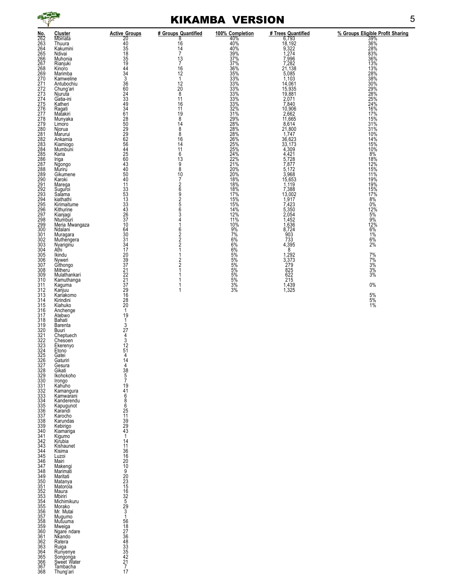

345<br>
1220<br>
145 Maximizi 2020<br>
16 Maximalii 2020<br>
347 Makengi 2020<br>
348 Marimati 2020<br>
350 Matanya<br>
350 Matanya<br>
351 Matorola<br>
351 Matorola<br>
351 Molinii<br>
353 Mbirii<br>
353 Mbirii<br>
353 Mbirii<br>
354 Michimikuru<br>
356 Mr. Mutai<br>
3

## KIKAMBA VERSION 5

| No.                                                                        | Cluster                  | <b>Active Groups</b>               | # Groups Quantified                               | 100% Completion                 | $\begin{array}{l} \textbf{\# Trees Quantified} \\ \hline 6.793 \\ 9.32 \\ 9.322 \\ 7.274 \\ 7.996 \\ 7.282 \\ 21.138 \\ 5.085 \\ 1.103 \\ 14.061 \end{array}$ | % Groups Eligible Profit Sharing           |
|----------------------------------------------------------------------------|--------------------------|------------------------------------|---------------------------------------------------|---------------------------------|---------------------------------------------------------------------------------------------------------------------------------------------------------------|--------------------------------------------|
| $\frac{262}{263}$                                                          | Mbiriata                 | 20<br>40<br>35                     | 8                                                 | 40%<br>40%                      |                                                                                                                                                               | 39%                                        |
| 264                                                                        | Thuura<br>Kakumini       |                                    | 16                                                | 40%                             |                                                                                                                                                               | 36%<br>28%                                 |
| 265                                                                        | Ndivai                   | 18                                 | $\frac{14}{7}$                                    | 39%                             |                                                                                                                                                               | 83%<br>36%                                 |
| 266<br>267                                                                 | Muhonia<br>Rianjuki      |                                    | 13<br>7                                           | 37%<br>37%<br>36%               |                                                                                                                                                               | 13%                                        |
| 268                                                                        | Kinoro                   | 35<br>19<br>44<br>34<br>3          | 16                                                |                                 |                                                                                                                                                               | 13%<br>28%                                 |
| 269                                                                        | Marimba<br>Kamweline     |                                    | 12<br>1                                           | 35%<br>33%                      |                                                                                                                                                               | 38%                                        |
|                                                                            | Antubochiu               |                                    | 12                                                | 33%                             |                                                                                                                                                               |                                            |
| 270<br>270<br>271<br>273<br>273                                            | Chung'ari                | 36<br>60<br>24<br>33<br>49         | 20                                                | 33%                             | 14,061<br>15,935<br>19,881                                                                                                                                    | 30%<br>29%<br>28%                          |
|                                                                            | Njuruta<br>Gatia-ini     |                                    | 8<br>11                                           | 33%                             |                                                                                                                                                               |                                            |
| -- 274<br>275<br>276<br>277                                                | Katheri                  |                                    | 16                                                | 33%<br>33%                      | 2,071<br>7,840<br>10,906<br>2,662                                                                                                                             | 25%<br>24%                                 |
|                                                                            | Ragati<br>Matakiri       | 34<br>$\overline{61}$              | 11<br>19                                          | $\frac{32\%}{31\%}$             |                                                                                                                                                               | 16%<br>17%                                 |
| 278<br>279                                                                 | Munyaka                  |                                    | 8                                                 |                                 |                                                                                                                                                               | 15%<br>31%                                 |
| 280                                                                        | Limoro                   | 28<br>50<br>29<br>28<br>62<br>56   | $\frac{14}{8}$                                    | 29%<br>28%<br>28%               | $\begin{array}{c} 11,665 \\ 8,614 \\ 21,800 \end{array}$                                                                                                      |                                            |
|                                                                            | Njorua<br>Marurui        |                                    | 8                                                 |                                 | 1,747                                                                                                                                                         | $31\%$<br>$10\%$<br>$14\%$<br>$15\%$       |
| 281<br>282                                                                 | Ankamia                  |                                    | 16                                                |                                 |                                                                                                                                                               |                                            |
| 283<br>284                                                                 | Kiamiogo<br>Mumbuni      | $\frac{5}{4}$                      | 14<br>11                                          | 28%<br>28%<br>26%<br>25%<br>24% | $36,623$ $33,173$ $4,309$ $4,421$                                                                                                                             | 10%                                        |
| 285                                                                        | Karia                    | 25                                 | 6                                                 |                                 |                                                                                                                                                               | 8%                                         |
| 286                                                                        | Iriga                    | $\overline{60}$                    |                                                   | 22%<br>21%                      | $\frac{5,728}{7,877}$                                                                                                                                         |                                            |
| 287<br>$\bar{2}\check{8}\check{8}$                                         | Ngongo<br>Muriru         | 43<br>40                           | $\begin{array}{c}\n 13 \\  9 \\  8\n \end{array}$ | 20%                             | 5,172                                                                                                                                                         | 18%<br>12%<br>15%                          |
| 289<br>290                                                                 | Gikumene                 | $\frac{50}{40}$<br>11              | 10                                                | 20%<br>18%                      | $3,968$<br>15,653                                                                                                                                             | $\frac{11\%}{19\%}$<br>$\frac{19\%}{15\%}$ |
|                                                                            | Karoki                   |                                    | 7                                                 |                                 |                                                                                                                                                               |                                            |
|                                                                            | Marega<br>Suguroi        |                                    |                                                   | 18%<br>18%                      | 1,119                                                                                                                                                         |                                            |
| 291<br>292<br>293<br>294                                                   | Salama                   | $\frac{33}{53}$                    |                                                   | $\frac{17\%}{15\%}$             |                                                                                                                                                               | $\frac{17\%}{8\%}$                         |
| 295                                                                        | kiathathi<br>Kirimaitume |                                    | 2692563                                           | 15%                             | $13,002$<br>$1,917$<br>$7,423$<br>$5,350$<br>$2,054$                                                                                                          | 0%                                         |
| 296                                                                        | Kithurine                | $\frac{33}{43}$                    |                                                   | 14%<br>12%<br>11%               |                                                                                                                                                               | $\frac{12\%}{5\%}$<br>9%                   |
| 297                                                                        | Kianjagi<br>Ntumburi     | 37                                 | 4                                                 |                                 |                                                                                                                                                               |                                            |
| 298<br>299                                                                 | Meria Mwangaza           | $\overline{10}$                    |                                                   | 10%                             | $1,452$<br>$1,636$                                                                                                                                            | $\frac{12\%}{6\%}$                         |
| 300                                                                        | Ndalani                  | 64                                 | 6                                                 | 9%                              | 8,724                                                                                                                                                         |                                            |
| 301<br>302                                                                 | Muragara<br>Muthengera   | $\frac{30}{31}$<br>$34$            | $\frac{2}{2}$                                     | $\frac{7\%}{6\%}$               | $\frac{903}{733}$                                                                                                                                             | $\frac{1\%}{6\%}$                          |
| 303                                                                        | Nyariginu                |                                    |                                                   | 6%                              | 4,395                                                                                                                                                         | 2%                                         |
| 304<br>305                                                                 | Athi<br>Ikindu           | 17                                 | $\mathbf{1}$                                      | 6%<br>5%                        | 8                                                                                                                                                             | 7%                                         |
| 306                                                                        | Nyweri                   | $\frac{20}{39}$<br>39              | 2                                                 | 5%                              | $\frac{1,292}{3,373}$                                                                                                                                         | $\frac{7\%}{3\%}$                          |
| 307                                                                        | Githongo                 |                                    |                                                   | 5%                              | 279                                                                                                                                                           |                                            |
| 308<br>309                                                                 | Mitheru<br>Mulathankari  | $\frac{21}{22}$<br>$\frac{21}{37}$ |                                                   | $\frac{5\%}{5\%}$               | $\frac{825}{622}$                                                                                                                                             | $\frac{3\%}{3\%}$                          |
| 310                                                                        | Kamuthanga               |                                    | 1                                                 | 5%                              | 215                                                                                                                                                           |                                            |
| 311<br>312                                                                 | Kaguma<br>Kanjuu         |                                    | 1<br>1                                            | $\frac{3\%}{3\%}$               | 1,439<br>1,325                                                                                                                                                | 0%                                         |
| 313<br>314                                                                 | Kariakomo                | $\frac{29}{16}$                    |                                                   |                                 |                                                                                                                                                               | $5\%$<br>$5\%$                             |
| 315                                                                        | Kirindini<br>Kiahuko     | 28<br>20                           |                                                   |                                 |                                                                                                                                                               | 1%                                         |
| 316                                                                        | Anchenge                 | 1                                  |                                                   |                                 |                                                                                                                                                               |                                            |
| 317                                                                        | Atebwo                   | 19                                 |                                                   |                                 |                                                                                                                                                               |                                            |
| 318<br>319                                                                 | Bahati<br>Barenta        | 1                                  |                                                   |                                 |                                                                                                                                                               |                                            |
| 320                                                                        | Buuri                    | $\frac{3}{27}$                     |                                                   |                                 |                                                                                                                                                               |                                            |
| 321<br>322                                                                 | Cheptuech<br>Chesoen     | 4<br>$\overline{3}$                |                                                   |                                 |                                                                                                                                                               |                                            |
| 323<br>324                                                                 | Ekerenyo                 | 12                                 |                                                   |                                 |                                                                                                                                                               |                                            |
|                                                                            | Etono                    | 51<br>4                            |                                                   |                                 |                                                                                                                                                               |                                            |
| 325                                                                        | Gatei<br>Gaturiri        |                                    |                                                   |                                 |                                                                                                                                                               |                                            |
| 326<br>3278<br>328<br>329<br>3333<br>33333<br>3333<br>3335<br>3338<br>3338 | Gesura                   | $14$<br>$4$<br>$38$<br>$5$<br>$7$  |                                                   |                                 |                                                                                                                                                               |                                            |
|                                                                            | Gikati<br>Ikohokoho      |                                    |                                                   |                                 |                                                                                                                                                               |                                            |
|                                                                            | Irongo                   |                                    |                                                   |                                 |                                                                                                                                                               |                                            |
|                                                                            | Kahuho                   | 194168625113929431                 |                                                   |                                 |                                                                                                                                                               |                                            |
|                                                                            | Kamangura<br>Kamwarani   |                                    |                                                   |                                 |                                                                                                                                                               |                                            |
|                                                                            | Kanderendu               |                                    |                                                   |                                 |                                                                                                                                                               |                                            |
|                                                                            | Kapugunot<br>Karandi     |                                    |                                                   |                                 |                                                                                                                                                               |                                            |
|                                                                            | Karocho                  |                                    |                                                   |                                 |                                                                                                                                                               |                                            |
|                                                                            | Karundas<br>Kebirigo     |                                    |                                                   |                                 |                                                                                                                                                               |                                            |
|                                                                            | Kiamariga                |                                    |                                                   |                                 |                                                                                                                                                               |                                            |
| 340<br>341<br>342<br>343                                                   | Kigumo                   |                                    |                                                   |                                 |                                                                                                                                                               |                                            |
|                                                                            | Kirubia<br>Kishaunet     | $\frac{14}{11}$                    |                                                   |                                 |                                                                                                                                                               |                                            |
| .<br>344                                                                   | Kisima                   | 36                                 |                                                   |                                 |                                                                                                                                                               |                                            |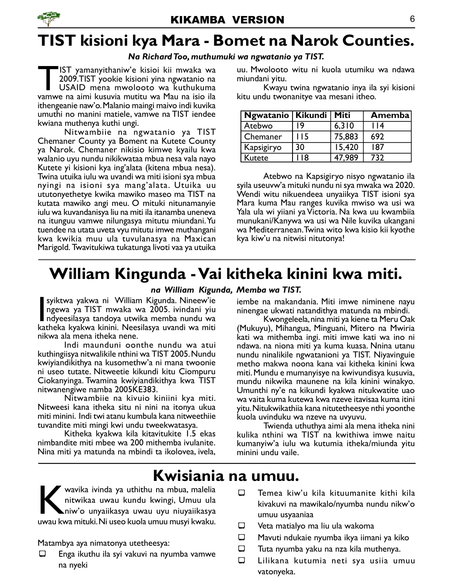

### TIST kisioni kya Mara - Bomet na Narok Counties.

#### Na Richard Too, muthumuki wa ngwatanio ya TIST.

IST yamanyithaniw'e kisioi kii mwaka wa<br>2009.TIST yookie kisioni yina ngwatanio na<br>USAID mena mwolooto wa kuthukuma<br>vamwe na aimi kusuvia mutitu wa Mau na isio ila IST yamanyithaniw'e kisioi kii mwaka wa 2009.TIST yookie kisioni yina ngwatanio na USAID mena mwolooto wa kuthukuma ithengeanie naw'o. Malanio maingi maivo indi kuvika umuthi no manini matiele, vamwe na TIST iendee kwiana muthenya kuthi ungi.

Nitwambiie na ngwatanio ya TIST Chemaner County ya Boment na Kutete County ya Narok. Chemaner nikisio kimwe kyailu kwa walanio uyu nundu nikikwataa mbua nesa vala nayo Kutete yi kisioni kya ing'alata (kitena mbua nesa). Twina utuika iulu wa uvandi wa miti isioni sya mbua nyingi na isioni sya mang'alata. Utuika uu ututonyethetye kwika mawiko maseo ma TIST na kutata mawiko angi meu. O mituki nitunamanyie iulu wa kuvandanisya liu na miti ila itanamba uneneva na itunguu vamwe nilungasya mitutu miundani. Yu tuendee na utata uveta vyu mitutu imwe muthangani kwa kwikia muu ula tuvulanasya na Maxican Marigold. Twavitukiwa tukatunga livoti vaa ya utuika

uu. Mwolooto witu ni kuola utumiku wa ndawa miundani yitu.

Kwayu twina ngwatanio inya ila syi kisioni kitu undu twonanitye vaa mesani itheo.

| Ngwatanio   Kikundi |             | Miti   | Amemba |
|---------------------|-------------|--------|--------|
| Atebwo              | ۱9          | 6,310  | $ $  4 |
| Chemaner            | <u> 115</u> | 75,883 | 692    |
| Kapsigiryo          | 30          | 15,420 | 187    |
| Kutete              | 18          | 47.989 | 732    |

Atebwo na Kapsigiryo nisyo ngwatanio ila syila useuvw'a mituki nundu ni sya mwaka wa 2020. Wendi witu nikuendeea unyaiikya TIST isioni sya Mara kuma Mau ranges kuvika mwiso wa usi wa Yala ula wi yiiani ya Victoria. Na kwa uu kwambiia munukani/Kanywa wa usi wa Nile kuvika ukangani wa Mediterranean. Twina wito kwa kisio kii kyothe kya kiw'u na nitwisi nitutonya!

### William Kingunda - Vai kitheka kinini kwa miti.

#### na William Kigunda, Memba wa TIST.

I syiktwa yakwa ni William Kigunda. Nineew'ie<br>ngewa ya TIST mwaka wa 2005. ivindani yiu<br>ndyeesilasya tandoya utwika memba nundu wa<br>katheka kyakwa kinini Neesilasya uyandi wa miti syiktwa yakwa ni William Kigunda. Nineew'ie ngewa ya TIST mwaka wa 2005. ivindani yiu katheka kyakwa kinini. Neesilasya uvandi wa miti nikwa ala mena itheka nene.

Indi maunduni oonthe nundu wa atui kuthingiisya nitwalikile nthini wa TIST 2005. Nundu kwiyiandikithya na kusomethw'a ni mana twoonie ni useo tutate. Nitweetie kikundi kitu Ciompuru Ciokanyinga. Twamina kwiyiandikithya kwa TIST nitwanengiwe namba 2005KE383.

Nitwambiie na kivuio kiniini kya miti. Nitweesi kana itheka situ ni nini na itonya ukua miti minini. Indi twi atanu kumbula kana nitweethiie tuvandite miti mingi kwi undu tweekwatasya.

Kitheka kyakwa kila kitavitukite 1.5 ekas nimbandite miti mbee wa 200 mithemba ivulanite. Nina miti ya matunda na mbindi ta ikolovea, ivela, iembe na makandania. Miti imwe niminene nayu ninengae ukwati natandithya matunda na mbindi.

Kwongeleela, nina miti ya kiene ta Meru Oak (Mukuyu), Mihangua, Minguani, Mitero na Mwiria kati wa mithemba ingi. miti imwe kati wa ino ni ndawa. na niona miti ya kuma kuasa. Nnina utanu nundu ninalikile ngwatanioni ya TIST. Niyavinguie metho makwa noona kana vai kitheka kinini kwa miti. Mundu e mumanyisye na kwivundisya kusuvia, mundu nikwika maunene na kila kinini winakyo. Umunthi ny'e na kikundi kyakwa nitukwatite uao wa vaita kuma kutewa kwa nzeve itavisaa kuma itini yitu. Nitukwikathiia kana nitutetheesye nthi yoonthe kuola uvinduku wa nzeve na uvyuvu.

Twienda uthuthya aimi ala mena itheka nini kulika nthini wa TIST na kwithiwa imwe naitu kumanyiw'a iulu wa kutumia itheka/miunda yitu minini undu vaile.

### Kwisiania na umuu.

wavika ivinda ya uthithu na mbua, malelia<br>nitwikaa uwau kundu kwingi, Umuu ula<br>niw'o unyaiikasya uwau uyu niuyaiikasya<br>uwau kwa mituki. Ni useo kuola umuu musyi kwaku.  $\mathscr ^{\prime}$  wavika ivinda ya uthithu na mbua, malelia nitwikaa uwau kundu kwingi, Umuu ula niw'o unyaiikasya uwau uyu niuyaiikasya

Matambya aya nimatonya utetheesya:

- Enga ikuthu ila syi vakuvi na nyumba vamwe na nyeki
- $\square$  Temea kiw'u kila kituumanite kithi kila kivakuvi na mawikalo/nyumba nundu nikw'o umuu usyaaniaa
- $\Box$  Veta matialyo ma liu ula wakoma
- Mavuti ndukaie nyumba ikya iimani ya kiko
- $\Box$  Tuta nyumba yaku na nza kila muthenya.
- Lilikana kutumia neti sya usiia umuu vatonyeka.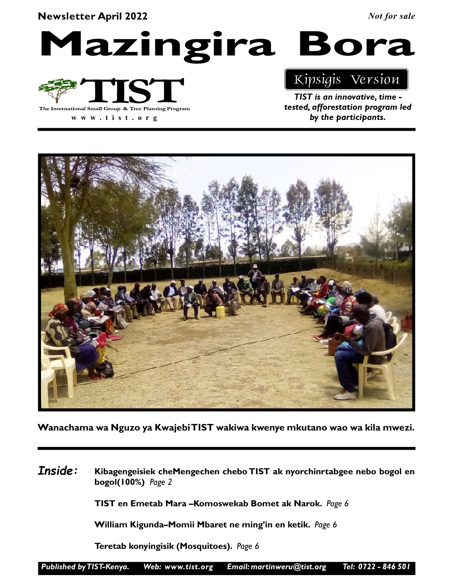#### Newsletter April 2022

Not for sale

Mazingira Bora



w w w . t i s t . o r g

### Kipsigis Version

TIST is an innovative, time tested, afforestation program led by the participants.



Wanachama wa Nguzo ya Kwajebi TIST wakiwa kwenye mkutano wao wa kila mwezi.

Kibagengeisiek cheMengechen chebo TIST ak nyorchinrtabgee nebo bogol en bogol(100%) Page 2 Inside:

TIST en Emetab Mara –Komoswekab Bomet ak Narok. Page 6

William Kigunda–Momii Mbaret ne ming'in en ketik. Page 6

Teretab konyingisik (Mosquitoes). Page 6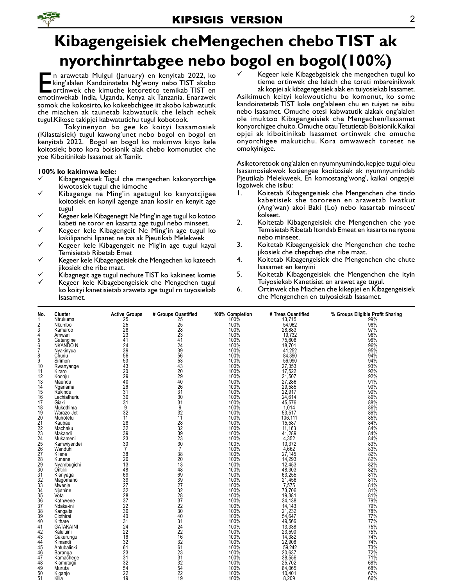# Kibagengeisiek cheMengechen chebo TIST ak nyorchinrtabgee nebo bogol en bogol(100%)

En arawetab Mulgul (January) en kenyitab 2022, ko<br>
king'alalen Kandoinateba Ng'wony nebo TIST akobo<br>
emotinwekab India, Uganda, Kenya ak Tanzania. Enarawek n arawetab Mulgul (January) en kenyitab 2022, ko king'alalen Kandoinateba Ng'wony nebo TIST akobo ortinwek che kimuche ketoretito temikab TIST en somok che kokosirto, ko kokeebchigee iit akobo kabwatutik che miachen ak taunetab kabwatutik che lelach echek tugul.Kikose takipjei kabwatutichu tugul kobotook.

Tokyinenyon bo gee ko koityi Isasamosiek (Kilastaisiek) tugul kawong'unet nebo bogol en bogol en kenyitab 2022. Bogol en bogol ko makimwa kityo kele koitosiek; boto kora boisionik alak chebo komonutiet che yoe Kiboitinikab Isasamet ak Temik.

#### 100% ko kakimwa kele:

- Kibagengeisiek Tugul che mengechen kakonyorchige kiwotosiek tugul che kimoche
- Kibagenge ne Ming'in agetugul ko kanyotcjigee koitosiek en konyil agenge anan kosiir en kenyit age tugul
- Kegeer kele Kibagenegit Ne Ming'in age tugul ko kotoo kabeti ne toror en kasarta age tugul nebo minseet.
- Kegeer kele Kibagengeit Ne Ming'in age tugul ko kakilipanchi lipanet ne taa ak Pjeutikab Melekwek
- Kegeer kele Kibagengeit ne Mig'in age tugul kayai Temisietab Ribetab Emet
- Kegeer kele Kibagengeisiek che Mengechen ko kateech jikosiek che ribe maat.
- Kibagnegit age tugul nechute TIST ko kakineet komie
- Kegeer kele Kibagebengeisiek che Mengechen tugul ko koityi kanetisietab araweta age tugul rn tuyosiekab Isasamet.

 $\checkmark$  Kegeer kele Kibagebgeisiek che mengechen tugul ko tieme ortinwek che lelach che toreti mbareinikwak ak kopjei ak kibagengeisiek alak en tuiyosiekab Isasamet.

Asikimuch keityi kokwoutichu bo komonut, ko some kandoinatetab TIST kole ong'alaleen chu en tuiyet ne isibu nebo Isasamet. Omuche otesi kabwatutik alakak ong'alalen ole imuktoo Kibagengeisiek che Mengechen/Isasamet konyorchigee chuito. Omuche otau Tetutietab Boisionik.Kaikai opjei ak kiboitinikab Isasamet ortinwek che omuche onyorchigee makutichu. Kora omwawech toretet ne omokyinigee.

Asiketoretook ong'alalen en nyumnyumindo, kepjee tugul oleu Isasamosiekwok kotiengee kaoitosiek ak nyumnyumindab Pjeutikab Melekweek. En komostang'wong', kaikai ongepjei logoiwek che isibu:

- 1. Koitetab Kibagengeisiek che Mengenchen che tindo kabetisiek she tororeen en arawetab Iwatkut (Ang'wan) akoi Baki (Lo) nebo kasartab minseet/ kolseet.
- 2. Koitetab Kibagengeisiek che Mengenchen che yoe Temisietab Ribetab Itondab Emeet en kasarta ne nyone nebo minseet.
- 3. Koitetab Kibagengeisiek che Mengenchen che teche jikosiek che chepchep che ribe maat.
- 4. Koitetab Kibagengeisiek che Mengenchen che chute Isasamet en kenyini
- 5. Koitetab Kibagengeisiek che Mengenchen che ityin Tuiyosiekab Kanetisiet en arawet age tugul.
- 6. Ortinwek che Miachen che kikepjei en Kibagengeisiek che Mengenchen en tuiyosiekab Isasamet.

| No.                 | Cluster<br>Ntrukuma    | <b>Active Groups</b>             | # Groups Quantified                     | 100% Completion<br>100% | # Trees Quantified<br>13,715 | % Groups Eligible Profit Sharing<br>99% |
|---------------------|------------------------|----------------------------------|-----------------------------------------|-------------------------|------------------------------|-----------------------------------------|
| 2                   | Nkumbo                 | 25<br>25<br>28<br>23<br>41       | 25<br>25<br>28                          | 100%                    | 54,962                       | 98%                                     |
| 3                   | Kamaroo                |                                  |                                         |                         | 28,883                       | 97%                                     |
| 4                   | Amwari                 |                                  | $\overline{23}$                         | 100%<br>100%<br>100%    | 19,732<br>75,608             | 96%                                     |
| 5                   | Gatangine              |                                  | 41                                      |                         |                              | 96%                                     |
| 6                   | NKANĎO N               | 24                               | 24                                      | 100%                    | 18,701                       | 96%                                     |
|                     | Nyakinyua              | $\frac{1}{39}$                   | 39<br>56                                | 100%<br>100%            | 41,252                       | 95%                                     |
| 8                   | Churiu                 |                                  |                                         |                         | 84,390                       | 94%                                     |
| 9                   | Sirimon                | 53                               | 53                                      | 100%                    | 56,990                       | 94%                                     |
| 10                  | Rwanyange              | 43                               | 43<br>20                                | 100%                    | 27,353                       | 93%                                     |
| 11<br>12            | Kiraro<br>Koonju       |                                  | 29                                      | 100%<br>100%            | 17,522<br>21,507             | 92%<br>92%                              |
| 13                  | Maundu                 | $\frac{20}{29}$<br>40            | $\overline{40}$                         | 100%                    | 27,286                       | 91%                                     |
| 14                  | Ngariama               | 26                               | 26                                      | 100%                    |                              | 90%                                     |
| 15                  | Rukindu                | $\overline{31}$                  | 31                                      | 100%                    | 29,585<br>22,917             | 90%                                     |
| 16                  | Lachiathuriu           | 30                               | 30                                      |                         | 24,614                       | 89%                                     |
| 17                  | Giaki                  | $\overline{31}$                  | 31                                      | 100%<br>100%            | 45,576                       | 88%                                     |
| 18                  | Mukothima              | 9                                | 9                                       | 100%                    | 1.014                        | 86%                                     |
| 19                  | Warazo Jet             | 32                               | 32                                      | 100%<br>100%            | 53,517                       | 86%                                     |
| 20                  | Muhotetu               | $\overline{11}$                  | 11                                      |                         | 106.111                      | 85%                                     |
| 21                  | Kaubau                 |                                  | $\begin{array}{c} 28 \\ 32 \end{array}$ | 100%<br>100%            | 15,587<br>11,163             | 84%                                     |
| 22                  | Machaku                |                                  |                                         |                         |                              | 84%                                     |
| 23<br>$\frac{2}{2}$ | Makandi<br>Mukameni    |                                  | $\frac{3\overline{9}}{23}$              | 100%<br>100%            | 41,289<br>4,352              | 84%<br>84%                              |
|                     | Kamwiyendei            | 28<br>32<br>39<br>23<br>30       | 30 <sup>2</sup>                         |                         | 10,372                       | 83%                                     |
| $\frac{25}{26}$     | Wanduhi                | $\overline{7}$                   | $\overline{7}$                          | 100%<br>100%            | 4,662                        | 83%                                     |
| 27                  | Kiiene                 | 38                               | 38                                      | 100%                    | 27,145                       | 82%                                     |
|                     | Kunene                 |                                  | 20                                      | 100%<br>100%            |                              | 82%                                     |
| $^{28}_{29}$        | Nyambugichi            | $\frac{20}{13}$                  | Ī3                                      |                         | 14,293<br>12,453             | 82%                                     |
| 30                  | Ontilili               | 48                               | 48                                      |                         | 48,303                       | 82%                                     |
| 31                  | Kianyaga               | 69<br>39<br>27<br>32<br>28<br>37 | 69                                      | 100%<br>100%<br>100%    | 63,255<br>21,456             | 81%                                     |
| 32                  | Magomano               |                                  | $\frac{39}{27}$                         |                         |                              | 81%                                     |
| 33                  | Mwenje                 |                                  |                                         | 100%                    | 7,575                        | 81%                                     |
| 34<br>35            | Njuthine               |                                  | 32<br>28                                | 100%<br>100%            | 73,706<br>19,381             | 81%<br>81%                              |
| 36                  | Vota<br>Kathwene       |                                  | 37                                      | 100%                    | 34,138                       | 79%                                     |
| 37                  | Ndaka-ini              |                                  | 22                                      |                         |                              | 79%                                     |
| 38                  | Kangaita               | $\frac{22}{30}$                  | 30                                      | 100%<br>100%            | 14,143<br>21,232             | 78%                                     |
| 39                  | Ciothirai              | 40                               | 40                                      | 100%<br>100%<br>100%    | 54,647<br>49,566<br>13,338   | 77%                                     |
| 40                  | Kithare                | 31                               | 31                                      |                         |                              | 77%                                     |
| 41                  | <b>GATAKAINI</b>       | 24                               | $\overline{24}$                         |                         |                              | 75%                                     |
| 42                  | Kaluluini              | 22                               | 22                                      | 100%                    | 23,590<br>14,382             | 75%                                     |
| 43                  | Gakurungu              | $\overline{16}$                  | 16                                      | 100%                    |                              | 74%                                     |
| 44                  | Kimandi                | 32                               | 32                                      | 100%<br>100%            | 22,908                       | 74%                                     |
| 45                  | Antubalinki            | 61                               | 61                                      |                         | 59,242                       | 73%                                     |
| 46<br>47            | Baranga                | 23<br>31                         | 23<br>31                                | 100%<br>100%            | 20,637<br>38,556             | 72%<br>71%                              |
| 48                  | Kamachege<br>Kiamutugu | 32                               | 32                                      | 100%                    | 25,702                       | 68%                                     |
| 49                  | Muruta                 |                                  | 54                                      |                         |                              | 68%                                     |
| 50                  | Kiganjo                | $\frac{54}{22}$                  | $\overline{2}\overline{2}$              | 100%<br>100%            | 64,065<br>10,401             | 67%                                     |
| 51                  | Kilia                  | 19                               | 19                                      | 100%                    | 8,209                        | 66%                                     |
|                     |                        |                                  |                                         |                         |                              |                                         |

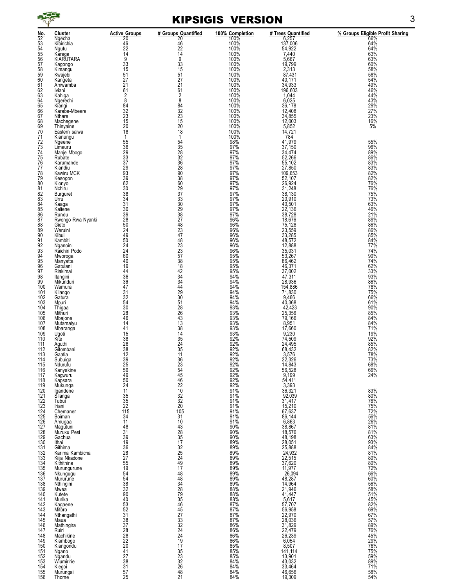

#### KIPSIGIS VERSION 3

| <u>No.</u>                             | Cluster                          | <b>Active Groups</b>             | # Groups Quantified   | 100% Completion      | # Trees Quantified                                                          | % Groups Eligible Profit Sharing |
|----------------------------------------|----------------------------------|----------------------------------|-----------------------|----------------------|-----------------------------------------------------------------------------|----------------------------------|
| 52<br>53                               | Ngecha<br>Kibirichia             | 20<br>46                         | $\frac{20}{46}$       | 100%<br>100%         | 6,257<br>137,006                                                            | 66%<br>64%                       |
| 54                                     | Ngutu                            | 22<br>14                         | $\frac{1}{2}$<br>14   | 100%                 | 54,922<br>7,440                                                             | 64%                              |
| 55<br>56                               | Karega<br>KIARUTARA              | $\overline{9}$                   | 9                     | 100%<br>100%         | 5,667                                                                       | 63%<br>63%                       |
| 57<br>58                               | Kagongo<br>Kimangu               | 33                               | 33<br>15              | 100%<br>100%         | 19,799                                                                      | 60%<br>58%                       |
| 59                                     | Kwajebi                          | $\frac{15}{51}$                  | 51                    | 100%                 | 2,313<br>87,431                                                             | 58%                              |
| 60<br>61                               | Kangeta<br>Amwamba               | 27                               | 27<br>$^{21}_{61}$    | 100%                 | 40,171                                                                      | 54%                              |
| 62                                     | Iviani                           | $^{21}_{61}$<br>$\overline{c}$   | $\overline{2}$        | 100%<br>100%<br>100% | 34,933<br>196,603                                                           | 49%<br>46%<br>44%                |
| 63<br>64                               | Kahiga<br>Ngerechi               | 8                                | 8                     | 100%                 | 1,044<br>6,025                                                              | 43%<br>29%                       |
| 65<br>66                               | Kiarigi<br>Karaba-Mbeere         | 84<br>32                         | 84<br>32              | 100%<br>100%         | 36,178<br>12,408                                                            | 27%                              |
| 67                                     | Nthare                           | $\frac{23}{15}$                  | $\frac{23}{15}$       | 100%<br>100%         | 34,855<br>12,003                                                            | 23%<br>16%                       |
| 68<br>69                               | Machegene<br>Thinyaine           | 20                               | 20                    | 100%                 | 5,852                                                                       | 5%                               |
| 70                                     | Eastern saiwa                    | 18<br>$\mathbf{1}$               | 18                    | 100%<br>100%         | 14,721                                                                      |                                  |
| 71<br>72                               | Kianungu<br>Ngeene               | 55                               | $\mathbf{1}$<br>54    | 98%                  | 784<br>41,979                                                               | 55%                              |
| 73<br>74                               | Limauru<br>Manje Mbogo           | $\frac{36}{29}$                  | $\frac{35}{28}$       | 97%<br>97%           | 37,150<br>34,474                                                            | 96%<br>89%                       |
| 75                                     | Rubate                           |                                  | $\overline{32}$       | 97%                  | 52,266                                                                      | 86%                              |
| 76<br>77                               | Karumande<br>Kiandiu             |                                  | 36<br>28              | 97%<br>97%           | 55,102<br>27,850                                                            | 83%<br>83%                       |
| 78                                     | Kawiru MCK                       | 37<br>29<br>93<br>39<br>62       | 90                    | 97%<br>97%           | 109,653                                                                     | 82%                              |
| 79<br>8Ŏ                               | Kesogon<br>Kionyo                |                                  | $\frac{38}{60}$       | 97%                  | 52,107<br>26,924                                                            | $\frac{82\%}{76\%}$              |
| 81<br>82                               | Nchiru<br>Burguret               | $3\overline{0}$                  | 29<br>37              | 97%<br>97%           | 31,248                                                                      | 76%                              |
| 83                                     | Urru                             | $\frac{38}{34}$                  | $\overline{33}$       | 97%                  | 38,130<br>20,910                                                            | 75%<br>73%                       |
| 84<br>85                               | Kaaga<br>Kaliene                 | $\overline{31}$                  | 30                    | 97%<br>97%           | 40,501                                                                      | 63%                              |
| 86                                     | Rundu                            | $\frac{30}{39}$                  | 29<br>38              | 97%                  | 22,136<br>38,728<br>18,676                                                  | 46%<br>21%                       |
| 87<br>88                               | Rwongo Rwa Nyanki<br>Gieto       | $\overline{28}$                  | 27<br>$^{48}_{23}$    | 96%<br>96%           | 75,128<br>23,559                                                            | 89%<br>86%                       |
| 89<br>90                               | Weruini<br>Kibui                 | $\frac{50}{24}$                  | $\overline{47}$       | 96%<br>96%           | 33,285                                                                      | 86%<br>85%                       |
| 91                                     | Kambiti                          | $\frac{50}{24}$                  |                       | 96%                  | 48,572<br>12,888                                                            | 84%<br>77%                       |
| 92<br>93                               | Nganoini<br>Raichiri Podo        | 24                               | 48<br>23<br>23        | 96%<br>96%           | 35,031                                                                      | 74%                              |
| 94                                     | Mworoga                          | 60                               | 57                    | 95%                  | 53,267<br>86,462                                                            | 90%<br>74%                       |
| 95<br>96                               | Manyatta<br>Gatulani             | 40<br>19                         | 38<br>18              | 95%<br>95%           | 46,371                                                                      | 62%                              |
| 97<br>98                               | Riakimai                         | $\frac{44}{36}$                  | $\frac{42}{34}$       | 95%<br>94%           | 37,002<br>47,311                                                            | 33%<br>93%                       |
| 99                                     | Itangini<br>Mikunduri            | 36                               | 34                    | 94%                  | 28,936                                                                      | 86%                              |
| 100<br>101                             | Wamura<br>Kilango                | $\frac{47}{31}$                  | 44<br>$\frac{1}{2}$   | 94%<br>94%           | 154,886<br>71,830                                                           | 78%<br>75%                       |
| 102                                    | Gatura                           | 32                               | $\overline{30}$       | 94%                  | 9,466                                                                       | 66%                              |
| 103<br>104                             | Mpuri<br>Thigaa                  | $\frac{54}{30}$                  | 51<br>$\overline{28}$ | 94%<br>93%           | 40,368<br>42,423                                                            | 61%<br>90%                       |
| 105                                    | Mithuri                          | 28<br>46<br>14                   | 26                    | 93%<br>93%           | 25,356                                                                      | 85%                              |
| 106<br>107                             | Mbajone<br>Mutámaiyu             |                                  | $\frac{43}{13}$       | 93%                  | 79,166<br>8,951                                                             | 84%<br>84%                       |
| 108<br>109                             | Mbaranga<br>Ugoti                | 41                               | 38<br>14              | 93%<br>93%           | 17,660                                                                      | 71%                              |
| 110                                    | Kite                             | 15<br>38<br>26<br>38<br>38<br>12 | 35                    | 92%                  | 9,230<br>74,509                                                             | 19%<br>92%                       |
| 111<br>112                             | Aguthi<br>Gitombani              |                                  | 24<br>$\frac{1}{35}$  | 92%                  | 24,495<br>68,432                                                            | 85%                              |
| 113<br>114                             | Gaatia                           | 39                               | 36                    | 92%<br>92%<br>92%    | 3,576<br>22,326                                                             | 82%<br>78%<br>73%                |
| 115                                    | Subuiga<br>Ndurutu               | $\frac{25}{59}$                  | $\frac{23}{54}$       | 92%<br>92%           |                                                                             | 68%<br>66%                       |
| 116<br>117                             | Kanyakine<br>Kagwuru             | 49                               | 45                    | 92%                  | $14,843$<br>$56,528$<br>$9,199$<br>$54,411$<br>$3,393$                      | 24%                              |
| 118                                    | Kapsara                          | $\frac{50}{24}$                  | 46                    | 92%<br>92%           |                                                                             |                                  |
| 119<br>120                             | Mukunga<br>Igandene              | 11                               | 22<br>10              | 91%                  | 36,321                                                                      | 83%                              |
| $\frac{121}{122}$<br>123               | Silanga<br>Tubui                 | $\frac{35}{35}$                  | 32<br>32              | 91%<br>91%           | 92,039<br>31,417                                                            | 80%<br>76%                       |
|                                        | Iriani                           | $\overline{22}$                  | 20                    | 91%                  | 15,210                                                                      | 75%                              |
| 124<br>125                             | Chemaner<br>Boiman               | 115<br>34                        | 105<br>31             | 91%<br>91%           | 67,637<br>86,144                                                            | 72%<br>56%                       |
| 126                                    | Amugaa                           | 11                               | 10                    | 91%                  | $6,863$<br>38,867<br>18,576                                                 | 26%                              |
| $\frac{127}{128}$<br>128               | Magutuni<br>Muruku Pesi          | 48<br>31                         | 43<br>28              | 90%<br>90%           |                                                                             | 81%<br>81%                       |
|                                        | Gachua<br>Ithai                  | 39                               | 35<br>17              | 90%                  | 48,198<br>28,051<br>25,888                                                  | 63%                              |
| $\frac{130}{131}$<br>$\frac{132}{132}$ | Githima                          | $\frac{19}{36}$                  | 32                    | 89%<br>89%           |                                                                             | 93%<br>84%                       |
|                                        | Karima Kambicha<br>Kiija Nkadone | 28<br>27<br>55                   | 25<br>24              | 89%                  | 24,932<br>22,515<br>37,620<br>11,977                                        | 81%                              |
| $\frac{133}{134}$<br>134<br>135        | Kithithina                       | 19                               | 49<br>17              | 89%<br>89%<br>89%    |                                                                             | 80%<br>80%<br>72%                |
| 136<br>137                             | Murungurune<br>Nkungugu          | $\frac{54}{54}$                  | 48                    | 89%<br>89%           | 26,094<br>48,287                                                            | 66%<br>60%                       |
| 138                                    | Mururune<br>Nthingini            |                                  | 48<br>34              | 89%                  | 14,964                                                                      | 56%                              |
| 139                                    | Mwea                             | $\frac{38}{32}$<br>90            | $\frac{28}{79}$       | 88%<br>88%           | 21,946<br>41,447                                                            | 58%<br>51%                       |
| 140<br>141                             | Kutete<br>Murika                 | 40                               | 35                    | 88%                  | 5,617                                                                       | 45%                              |
| 142<br>143                             | Kagaene                          | $\frac{53}{52}$                  | 46                    | 87%<br>87%           | 57,707<br>56,958<br>22,970<br>28,036<br>31,829<br>22,479<br>26,239<br>6,054 | 82%<br>69%                       |
| 144                                    | Mitoro<br>Nthangathi             | $\overline{31}$                  | 45<br>27              | 87%                  |                                                                             | 67%                              |
| 145<br>146                             | Maua<br>Mathingira               | $\frac{38}{37}$                  | 33<br>32              | 87%<br>86%           |                                                                             | 57%<br>89%                       |
| 147                                    | Ruiri                            | 28                               | 24                    | 86%                  |                                                                             | 76%                              |
| 148<br>149                             | Machikine<br>Kiambogo            | $\frac{28}{22}$                  | 24<br>19              | 86%<br>86%           |                                                                             | 45%<br>29%                       |
| 150                                    | Kiangondu<br>Ngano               | $\overline{20}$                  | 17                    | 85%                  | 8,507                                                                       | 76%                              |
| 151<br>152                             | Ngandu                           | $\frac{41}{27}$                  | 35<br>23<br>32        | 85%<br>85%           | $141,114$<br>$13,901$<br>$43,032$                                           | 75%<br>59%<br>89%                |
| 153<br>154                             | Wiumiririe<br>Kiegoi             | 38<br>31                         |                       | 84%                  |                                                                             |                                  |
| 155                                    | Murungai                         | 57                               | 26<br>48              | 84%<br>84%           | 33,464<br>46,656                                                            | 71%<br>58%                       |

156 Thome 25 21 21 84% 19,309 20 21 54% 19,300 21 34% 19,300 21 54%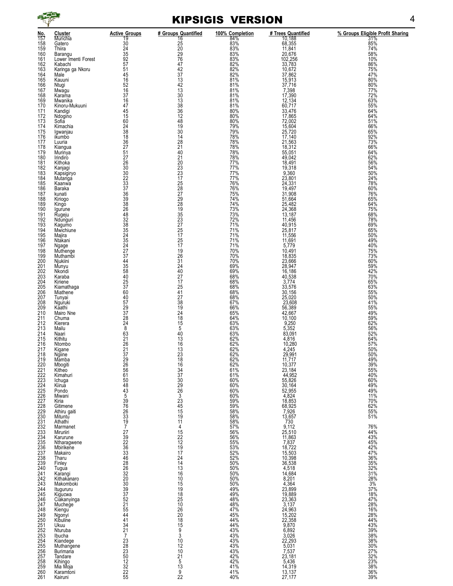

### KIPSIGIS VERSION 4

| No.               | <b>Cluster</b>                 | <b>Active Groups</b>                                                                                                         | # Groups Quantified                | 100% Completion                                          | # Trees Quantified                                                                                  | % Groups Eligible Profit Sharing |
|-------------------|--------------------------------|------------------------------------------------------------------------------------------------------------------------------|------------------------------------|----------------------------------------------------------|-----------------------------------------------------------------------------------------------------|----------------------------------|
| 157<br>158        | Murichia<br>Gatero             | 19<br>30                                                                                                                     | 16<br>25                           | 84%<br>83%                                               | 10,188<br>68,355                                                                                    | $\frac{31\%}{85\%}$              |
| 159               | Thiira                         |                                                                                                                              |                                    | 83%                                                      |                                                                                                     | 74%                              |
| 160<br>161        | Barangu<br>Lower Imenti Forest |                                                                                                                              | 20<br>29<br>76                     | 83%<br>83%                                               | $11,841$<br>$20,676$<br>$102,256$                                                                   | 58%<br>10%                       |
| 162               | Kabachi                        |                                                                                                                              | $\frac{47}{42}$<br>$\frac{42}{37}$ |                                                          |                                                                                                     | 86%<br>75%                       |
| 163<br>164        | Karinga ga Nkoru<br>Male       |                                                                                                                              |                                    | 82%<br>82%<br>82%                                        | 33,783<br>10,672<br>37,862                                                                          | 47%                              |
| 165<br>166        | Kauuni<br>Ntugi                | 24<br>35<br>92<br>57<br>54<br>52<br>52<br>52<br>5                                                                            | 13                                 | 81%<br>81%<br>81%                                        | 15,913                                                                                              | 80%<br>80%                       |
| 167               | Mwagu                          |                                                                                                                              | $\frac{42}{13}$                    |                                                          | 37,716<br>7,398                                                                                     | 77%                              |
| 168<br>169        | Karama<br>Mwanika              | 37<br>16                                                                                                                     | $\frac{30}{13}$                    | 81%<br>81%<br>81%                                        | $\begin{array}{c} 17,390 \\ 12,134 \\ 60,717 \end{array}$                                           | 72%<br>63%<br>55%                |
| 170<br>171        | Kinoru-Mukuuni<br>Kandigi      | $\ddot{47}$<br>45                                                                                                            | 36                                 |                                                          | 33,476                                                                                              | 64%                              |
| 172               | Ndogiño<br>Sofia               | $\frac{15}{60}$                                                                                                              | 12                                 | 80%<br>80%<br>80%                                        | 17,865<br>72,002                                                                                    | 64%<br>51%                       |
| 173<br>174        | Kimachia                       |                                                                                                                              | $4\overline{8}$<br>19              | 79%                                                      | 15,604                                                                                              | 66%                              |
| 175<br>176        | Igwanjau<br>ikumbo             | $\frac{24}{38}$                                                                                                              | $\frac{30}{14}$                    | 79%<br>78%                                               | 25,720<br>17,140                                                                                    | 65%<br>92%                       |
| 177               | Luuria                         |                                                                                                                              | 28                                 |                                                          |                                                                                                     | 73%                              |
| 178<br>179        | Kiangua<br>Murinya             | $\frac{36}{27}$                                                                                                              | 21<br>40                           | 78%<br>78%<br>78%                                        | 21,563<br>18,312<br>55,051                                                                          | 66%<br>64%                       |
| 180               | Irindiro                       |                                                                                                                              | 21                                 | 78%                                                      | 49,042                                                                                              | $62\%$<br>$56\%$                 |
| 181<br>182        | Kithoka<br>Kanjagi             | $\frac{27}{26}$<br>30                                                                                                        | $\substack{20\\23}$                | 77%<br>77%                                               | 18,491<br>19,318                                                                                    | 54%                              |
| 183<br>184        | Kapsigiryo<br>Mutanga          | 30<br>22<br>33<br>37<br>37                                                                                                   | 23<br>17                           | 77%<br>77%<br>76%                                        | 9,360                                                                                               | 50%                              |
| 185               | Kaanwa                         |                                                                                                                              | 25                                 |                                                          | 23,801<br>24,331                                                                                    | 24%<br>78%                       |
| 186<br>187        | Baraka<br>kunati               |                                                                                                                              | 28<br>27<br>29                     | 76%<br>75%<br>74%                                        | 19,497<br>31,908<br>51,664                                                                          | 60%<br>76%                       |
| 188<br>189        | Kiriogo<br>Kingo               |                                                                                                                              |                                    | 74%                                                      |                                                                                                     | 65%<br>64%                       |
| 190               | Igurune                        |                                                                                                                              |                                    | $\frac{73\%}{73\%}$                                      | 25,482<br>24,368<br>13,187                                                                          | 75%<br>68%                       |
| 191<br>192        | Rugeju<br>Ndunguri             |                                                                                                                              | 28<br>19<br>135<br>23<br>27<br>25  | 72%                                                      | 11,456                                                                                              | 78%                              |
| 193<br>194        | Kagumo<br>Mwichiune            |                                                                                                                              |                                    | $71\%$<br>$71\%$<br>$71\%$<br>$71\%$<br>$71\%$<br>$71\%$ | 40,915<br>25,817                                                                                    | 69%<br>65%                       |
| 195               | Majira                         |                                                                                                                              | 17                                 |                                                          |                                                                                                     | 50%                              |
| 196<br>197        | Ntakani<br>Ngage               |                                                                                                                              | $^{25}_{17}$                       |                                                          | 11,556<br>11,691<br>5,779                                                                           | 49%<br>40%                       |
| 198               | Muthenge                       | 3693824823854227774435840                                                                                                    | $\frac{19}{26}$<br>31              | 70%                                                      | 10,491<br>18,835<br>23,666                                                                          | 75%                              |
| 199<br>200        | Muthambi<br>Njukiini           |                                                                                                                              |                                    | 70%<br>70%                                               |                                                                                                     | 73%<br>60%                       |
| 201               | Munyu<br>Nkondi                |                                                                                                                              | 24<br>40                           | 69%<br>69%<br>68%                                        | 28,947                                                                                              | 59%                              |
| ${}^{202}_{203}$  | Karaba                         |                                                                                                                              | 27                                 |                                                          | 16,186<br>40,538                                                                                    | 42%<br>70%                       |
| 204               | Kiriene<br>Kiamathaga          | $\frac{25}{37}$<br>60                                                                                                        | 17                                 | 68%<br>68%                                               | $3,774$<br>$33,576$<br>$30,156$                                                                     | 65%                              |
| 205<br>206<br>207 | Miathene                       | 40                                                                                                                           | $^{25}_{41}$<br>27                 | 68%                                                      | 25,020                                                                                              | 63%<br>55%<br>50%                |
| 208<br>209        | Tunyai<br>Nguruki<br>Kaathi    | $\frac{57}{29}$                                                                                                              | 38                                 | 68%<br>67%<br>66%                                        | 23,608<br>56,389                                                                                    | 41%                              |
| 210               | Mairo Nne                      | 37                                                                                                                           | $\overline{19}$<br>24              | 65%                                                      | 42,667                                                                                              | 55%                              |
| 211<br>212        | Chuma                          | $\frac{28}{24}$                                                                                                              | $\frac{18}{15}$                    | 64%<br>63%                                               | 10,100<br>9,250                                                                                     | 49%<br>59%<br>62%                |
| 213               | Kierera<br>Mailu               | 8                                                                                                                            | 5                                  | 63%                                                      | 5,352                                                                                               | 56%                              |
| $^{214}_{215}$    | Naari<br>Kithitu               | $63$<br>$21$                                                                                                                 | $\frac{40}{13}$                    | 63%<br>62%                                               | 83,091<br>4,816                                                                                     | 52%<br>64%                       |
| 216               | Ntombo                         | $^{26}_{21}$                                                                                                                 | 16                                 | 62%                                                      | 10,280                                                                                              | 57%                              |
| 217<br>218        | Kigane<br>Ngiine               | 37                                                                                                                           | 13<br>23                           | 62%<br>62%                                               | 4,245<br>29,991                                                                                     | 50%<br>50%                       |
| 219<br>220<br>221 | Mamba<br>Mbogiti               | 29<br>26<br>56                                                                                                               | 18<br>16                           | 62%<br>62%<br>61%<br>61%<br>60%                          | 11,717<br>10,377<br>23,184<br>44,952<br>55,826<br>30,164                                            | 49%<br>39%<br>55%                |
|                   | Kitheo                         |                                                                                                                              | $\frac{34}{37}$                    |                                                          |                                                                                                     |                                  |
| 222<br>223<br>224 | Kimahuri<br>Ichuga             |                                                                                                                              |                                    |                                                          |                                                                                                     | 40%<br>60%                       |
| 225               | Kiirua<br>Pondo                |                                                                                                                              | $\frac{30}{29}$                    | 60%                                                      |                                                                                                     | 49%<br>49%                       |
| 226<br>227        | Miwani                         |                                                                                                                              | 3                                  | 60%<br>60%<br>59%                                        |                                                                                                     | 11%                              |
|                   | Kiria<br>Gitimene              | 61<br>548<br>43<br>5<br>97<br>5<br>26<br>3<br>3<br>7<br><br><br><br><br><br><br><br><br><br><br><br><br><br><br><br><br><br> | 23                                 |                                                          | 52,955<br>4,824<br>18,853<br>68,925<br>7,926<br>13,657                                              | 70%                              |
| 228<br>229<br>230 | Athiru gaiti<br>Mituntu        |                                                                                                                              | 45<br>15<br>19                     | 59%<br>58%                                               |                                                                                                     | 62%<br>55%<br>51%                |
| 231               | Athathi                        |                                                                                                                              | 11                                 |                                                          |                                                                                                     |                                  |
| 232<br>233        | Marmanet<br>Miruriiri          | 27                                                                                                                           | 4<br>15                            | 58%<br>57%<br>56%                                        | $730$<br>$9,112$<br>$25,510$<br>$11,863$<br>$7,837$<br>$18,722$<br>$15,503$<br>$10,398$<br>$36,538$ | 76%<br>44%                       |
| 234               | Karurune                       |                                                                                                                              | $\frac{22}{12}$<br>$\frac{12}{19}$ | 56%<br>55%<br>53%                                        |                                                                                                     | 43%<br>45%<br>42%                |
| 235<br>236        | Ntharagwene<br>Mbirikene       | 39<br>2236<br>3346<br>288<br>220<br>3220<br>333<br>37                                                                        |                                    |                                                          |                                                                                                     |                                  |
| 237               | Makairo<br>Tharu               |                                                                                                                              | 17<br>24                           | 52%<br>52%<br>50%                                        |                                                                                                     | 47%<br>36%                       |
| 238<br>239        | Finley                         |                                                                                                                              | $\overline{14}$                    |                                                          |                                                                                                     | 35%                              |
| 240<br>241<br>242 | Tugua<br>Karangi               |                                                                                                                              | 13<br>16                           | 50%<br>50%                                               | 4,518<br>14,684<br>8,201<br>4,364<br>23,899<br>19,889                                               | 32%<br>31%                       |
| 243               | Kithakanaro<br>Makomboki       |                                                                                                                              | 10<br>15                           | 50%<br>50%<br>50%<br>49%<br>49%                          |                                                                                                     | 28%                              |
| $^{244}_{245}$    | Itugururu<br>Kigucwa           |                                                                                                                              | $\frac{19}{18}$                    |                                                          |                                                                                                     | $\frac{3\%}{37\%}$<br>18%        |
| 246               | Ciakanyinga                    |                                                                                                                              | 25                                 |                                                          |                                                                                                     |                                  |
| 247<br>248        | Muchege<br>Kiengu <sup>-</sup> | 52<br>21<br>55<br>44<br>41<br>34                                                                                             | 10<br>26                           | $\frac{48\%}{48\%}$<br>47%                               | 23,363<br>3,137<br>24,963                                                                           | 47%<br>28%<br>16%                |
| 249               | Ngonyi                         |                                                                                                                              | 20                                 |                                                          |                                                                                                     |                                  |
| 250<br>251        | Kibuline<br>Ukuu               |                                                                                                                              | 18<br>15                           | $45\%$<br>$44\%$<br>$44\%$                               |                                                                                                     | 28%<br>44%<br>43%                |
| 252               | Nturuba<br>Ibucha              |                                                                                                                              | 9<br>3                             | 43%<br>43%                                               |                                                                                                     | 39%<br>38%                       |
| 253<br>254        | Kiandege                       |                                                                                                                              | 10                                 | 43%                                                      | 24,963<br>22,358<br>9,870<br>6,892<br>6,702<br>5,733<br>5,733<br>72,142<br>5,143                    | 38%                              |
| 255               | Muthangene<br>Burimaria        |                                                                                                                              | 12<br>10                           | $43\%$<br>$43\%$<br>$42\%$                               |                                                                                                     | 30%<br>27%<br>32%                |
| 256<br>257<br>258 | Tandare<br>Kihingo             |                                                                                                                              | 21<br>5                            |                                                          |                                                                                                     |                                  |
| 259<br>260        | Mia Moja<br>Karamtoni          | 2172383022255                                                                                                                | 13                                 | $42\%$<br>$41\%$<br>$41\%$                               | $5,436$<br>$14,319$<br>$13,137$                                                                     | 23%<br>38%                       |
| 261               | Kairuni                        |                                                                                                                              | 9<br>22                            | 40%                                                      | 27,177                                                                                              | 36%<br>39%                       |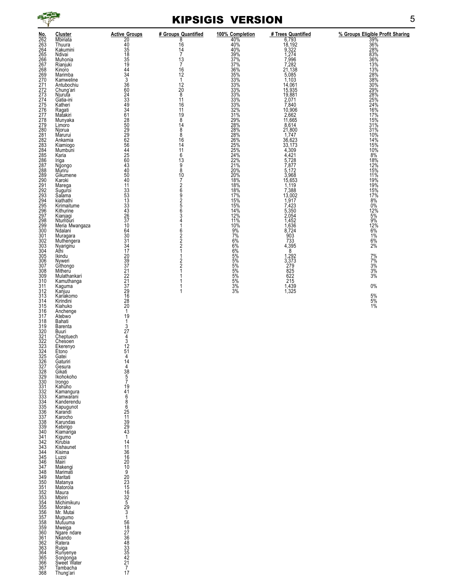

## KIPSIGIS VERSION 5

| No.                                                                  | <b>Cluster</b>                   | <b>Active Groups</b>                                  | # Groups Quantified | 100% Completion     |                                                                  |                                         |
|----------------------------------------------------------------------|----------------------------------|-------------------------------------------------------|---------------------|---------------------|------------------------------------------------------------------|-----------------------------------------|
| 262                                                                  | Mbiriata                         | 20                                                    | 8                   | 40%                 | # Trees Quantified<br>6,793<br>18,192<br>9,322<br>7,274<br>1,274 | % Groups Eligible Profit Sharing<br>39% |
| 263<br>2645<br>265678<br>2678<br>2672<br>2772<br>2772<br>2772<br>277 | Thuura<br>Kakumini               | $\frac{40}{35}$                                       | 16<br>14            | 40%<br>40%          |                                                                  | 36%<br>28%<br>83%                       |
|                                                                      | Ndivai                           |                                                       | $\overline{7}$      | 39%<br>37%          |                                                                  |                                         |
|                                                                      | Muhonia<br>Rianjuki              | 35<br>19                                              | 13<br>7             | 37%                 | $7,996$<br>$7,282$<br>$21,138$                                   | 36%<br>13%                              |
|                                                                      | Kinoro                           |                                                       | 16                  | 36%                 |                                                                  | 13%                                     |
|                                                                      | Marimba                          | $\frac{44}{34}$                                       | 12                  | 35%<br>33%          | 5,085                                                            | 28%                                     |
|                                                                      | Kamweline<br>Antubochiu          |                                                       | $\mathbf{1}$<br>12  | 33%                 | 1,103<br>14,061                                                  | 38%<br>30%                              |
|                                                                      | Chung'ari<br>Njuruta             | 36<br>60<br>24<br>33<br>49                            | 20                  | 33%                 | 15,935                                                           | 29%                                     |
|                                                                      | Gatia-ini                        |                                                       | 8<br>11             | 33%<br>33%          | 19,881<br>2,071                                                  | 28%<br>25%                              |
|                                                                      | Katheri                          |                                                       | 16                  | 33%                 | 7,840                                                            | 24%                                     |
| 276<br>277                                                           | Ragati<br>Matakiri               | $\frac{34}{61}$                                       | 11<br>19            | 32%<br>31%          | 10,906<br>2,662                                                  | 16%<br>17%                              |
|                                                                      | Munyaka                          |                                                       | 8                   | 29%<br>28%          | 11,665                                                           | 15%<br>31%                              |
|                                                                      | Limoro                           | 2809926442564340                                      | 14<br>8             |                     | 8,614                                                            |                                         |
|                                                                      | Njorua<br>Marurui                |                                                       | 8                   | 28%<br>28%          | 21,800<br>1,747<br>36,623<br>33,173                              | 31%<br>10%                              |
|                                                                      | Ankamia                          |                                                       | 16                  | 26%<br>25%          |                                                                  | 14%<br>15%                              |
|                                                                      | Kiamiogo<br>Mumbuni              |                                                       | 14<br>11            |                     |                                                                  | 10%                                     |
|                                                                      | Karia                            |                                                       | 6                   | 25%<br>24%<br>22%   | $4,309$<br>$4,421$                                               | 8%                                      |
|                                                                      | Iriga<br>Ngongo                  |                                                       | 13<br>9             | 21%                 | $\frac{5,728}{7,877}$                                            | 18%<br>12%                              |
|                                                                      | Muriru                           |                                                       | 8                   | 20%                 | 5,172                                                            | 15%                                     |
|                                                                      | Gikumene<br>Karoki               | 50<br>40                                              | 10<br>7             | 20%<br>18%          | 3,968<br>15,653                                                  | 11%<br>19%                              |
| 291<br>292                                                           | Marega                           | $\frac{11}{33}$                                       | $\frac{2}{6}$       | 18%<br>18%          | 1,119                                                            | 19%                                     |
|                                                                      | Suguroi<br>Salama                |                                                       | 9                   |                     | $7,388$<br>13,002                                                | 15%<br>17%                              |
|                                                                      | kiathathi                        |                                                       | $\overline{2}$      | 17%<br>15%          | 1,917                                                            | 8%                                      |
|                                                                      | Kirimaitume<br>Kithurine         |                                                       | 5<br>6              | 15%<br>14%          | $7,423$<br>5,350                                                 | 0%<br>12%                               |
|                                                                      |                                  | 53<br>13<br>33<br>33<br>43<br>26<br>37                | 3                   | $\frac{12\%}{11\%}$ | $2,054$<br>1,452                                                 | $\frac{5\%}{9\%}$                       |
| 293<br>294<br>295<br>296<br>298<br>299                               | Kianjagi<br>Ntumburi             | 10                                                    | 4<br>1              | 10%                 |                                                                  |                                         |
|                                                                      | Meria Mwangaza<br>Ndalani        | 64                                                    | 6                   |                     | 1,636<br>8,724                                                   | 12%<br>6%                               |
| 300<br>301                                                           | Muragara                         | $\frac{30}{31}$<br>$\frac{31}{34}$<br>$\frac{17}{17}$ | $\frac{2}{2}$       | $\frac{9\%}{7\%}$   | 903                                                              | 1%                                      |
| 302                                                                  | Muthengera<br>Nyariginu          |                                                       |                     | 6%                  | 733<br>4,395                                                     | 6%<br>2%                                |
| 303<br>304<br>305                                                    | Athi                             |                                                       |                     | 6%                  | 8                                                                |                                         |
|                                                                      | Ikindu<br>Nyweri                 | $\ddot{20}$                                           |                     | 5%<br>5%            | 1,292                                                            | 7%                                      |
| 306<br>307                                                           | Githongo                         |                                                       | $\frac{2}{2}$       | 5%                  | 3,373<br>279                                                     | $\frac{7\%}{3\%}$                       |
| 308<br>309                                                           | Mitheru<br>Mulathankari          | 39<br>21<br>22<br>21<br>37<br>39<br>46<br>46          | 1                   | 5%<br>5%            | 825<br>622                                                       | $3%$<br>$3%$                            |
| 310                                                                  | Kamuthanga                       |                                                       | 1                   | $\frac{5\%}{3\%}$   | 215                                                              |                                         |
| $\frac{311}{312}$<br>$\frac{313}{313}$                               | Kaguma<br>Kanjuu                 |                                                       | 1<br>$\mathbf{1}$   | 3%                  | 1,439<br>1,325                                                   | $0\%$                                   |
|                                                                      | Kariakomo                        |                                                       |                     |                     |                                                                  | 5%                                      |
| 314                                                                  | Kirindini                        | 28<br>20                                              |                     |                     |                                                                  | 5%                                      |
| $315$<br>$316$<br>$317$                                              | Kiahuko<br>Anchenge              | $\overline{1}$                                        |                     |                     |                                                                  | 1%                                      |
|                                                                      | Atebwo                           | 19                                                    |                     |                     |                                                                  |                                         |
| 318<br>319<br>320                                                    | Bahati<br><b>Barenta</b>         | $\frac{1}{3}$                                         |                     |                     |                                                                  |                                         |
|                                                                      | Buuri                            | $\tilde{27}$                                          |                     |                     |                                                                  |                                         |
| 321<br>322                                                           | Cheptuech<br>Chesoen             | $\frac{4}{3}$                                         |                     |                     |                                                                  |                                         |
| 323<br>324                                                           | Ekerenyo                         | 12                                                    |                     |                     |                                                                  |                                         |
| 325                                                                  | Etono<br>Gatei                   | 51<br>4                                               |                     |                     |                                                                  |                                         |
|                                                                      | Gaturin                          | $\begin{array}{c} 14 \\ 4 \end{array}$                |                     |                     |                                                                  |                                         |
|                                                                      | Gesura<br>Gikati                 |                                                       |                     |                     |                                                                  |                                         |
|                                                                      | Ikohokoho                        | $38$<br>5<br>7                                        |                     |                     |                                                                  |                                         |
|                                                                      | lrongo<br>Kahuho                 | 19                                                    |                     |                     |                                                                  |                                         |
|                                                                      | Kamangura                        | $^{41}_{6}$                                           |                     |                     |                                                                  |                                         |
|                                                                      | Kamwarani                        |                                                       |                     |                     |                                                                  |                                         |
|                                                                      | Kanderendu<br>Kapugunot          | $\begin{smallmatrix} 8 \\ 6 \end{smallmatrix}$        |                     |                     |                                                                  |                                         |
|                                                                      | Karandi                          | $\frac{25}{11}$                                       |                     |                     |                                                                  |                                         |
|                                                                      | Karocho<br>Karundas              |                                                       |                     |                     |                                                                  |                                         |
|                                                                      | Kebirigo                         | 39<br>29<br>43<br>1                                   |                     |                     |                                                                  |                                         |
|                                                                      | Kiamariga<br>Kigumo <sup>®</sup> |                                                       |                     |                     |                                                                  |                                         |
|                                                                      | Kirubia                          | 14                                                    |                     |                     |                                                                  |                                         |
|                                                                      | Kishaunet<br>Kisima              | 11                                                    |                     |                     |                                                                  |                                         |
|                                                                      | Luzoi                            |                                                       |                     |                     |                                                                  |                                         |
|                                                                      | Mairi<br>Makengi                 | 36<br>16<br>20<br>10<br>9<br>20<br>23                 |                     |                     |                                                                  |                                         |
|                                                                      | Marimati                         |                                                       |                     |                     |                                                                  |                                         |
|                                                                      | Maritati<br>Matanya              |                                                       |                     |                     |                                                                  |                                         |
|                                                                      | Matorola                         |                                                       |                     |                     |                                                                  |                                         |
|                                                                      | Maura<br>Mbiriri                 |                                                       |                     |                     |                                                                  |                                         |
|                                                                      | Michimikuru                      | $1516$<br>$325$<br>$529$<br>$3$<br>$1$                |                     |                     |                                                                  |                                         |
|                                                                      | Morako<br>Mr. Mutai              |                                                       |                     |                     |                                                                  |                                         |
|                                                                      | Mugumo                           |                                                       |                     |                     |                                                                  |                                         |
|                                                                      | Mutuuma                          |                                                       |                     |                     |                                                                  |                                         |
|                                                                      | Mweiga<br>Ngare ndare            |                                                       |                     |                     |                                                                  |                                         |
|                                                                      | Nkando                           |                                                       |                     |                     |                                                                  |                                         |
|                                                                      | Ratera<br>Ruiga                  |                                                       |                     |                     |                                                                  |                                         |
|                                                                      | Runyenye                         | 5618768333542                                         |                     |                     |                                                                  |                                         |
|                                                                      | Songonga<br>Sweet Water          |                                                       |                     |                     |                                                                  |                                         |
|                                                                      | Tambacha                         | $\frac{27}{7}$<br>17                                  |                     |                     |                                                                  |                                         |
| 368                                                                  | Thung'ari                        |                                                       |                     |                     |                                                                  |                                         |